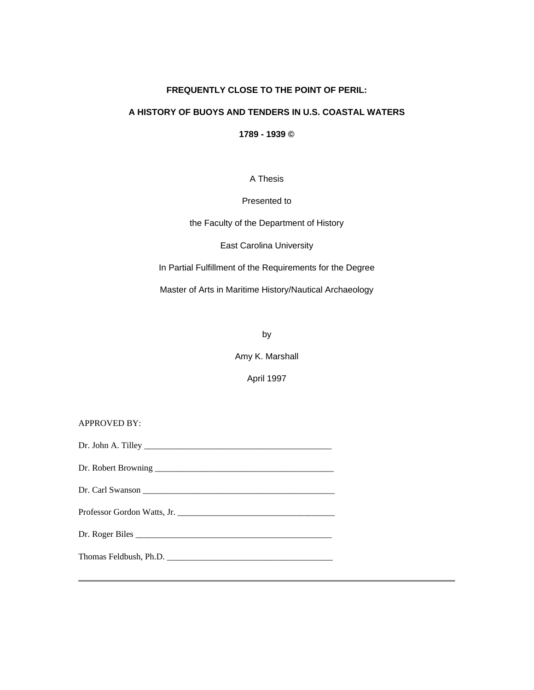# **FREQUENTLY CLOSE TO THE POINT OF PERIL:**

# **A HISTORY OF BUOYS AND TENDERS IN U.S. COASTAL WATERS**

**1789 - 1939 ©**

A Thesis

# Presented to

the Faculty of the Department of History

East Carolina University

In Partial Fulfillment of the Requirements for the Degree

Master of Arts in Maritime History/Nautical Archaeology

by

Amy K. Marshall

April 1997

| <b>APPROVED BY:</b> |
|---------------------|
|                     |
|                     |
|                     |
|                     |
|                     |
|                     |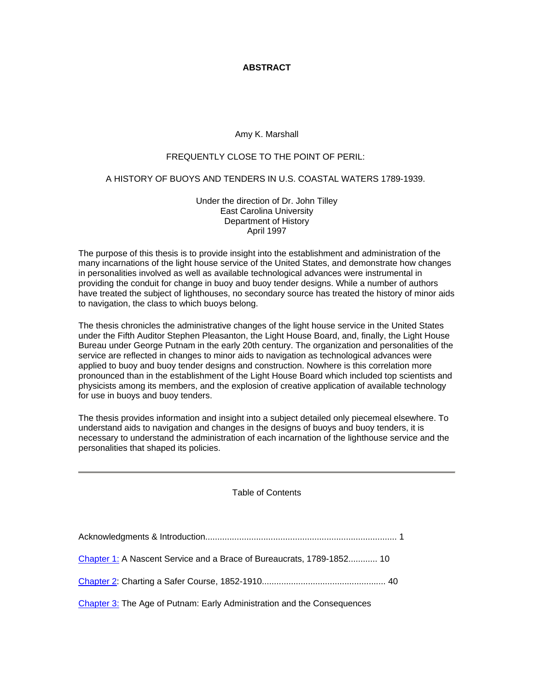# **ABSTRACT**

# Amy K. Marshall

### FREQUENTLY CLOSE TO THE POINT OF PERIL:

### A HISTORY OF BUOYS AND TENDERS IN U.S. COASTAL WATERS 1789-1939.

Under the direction of Dr. John Tilley East Carolina University Department of History April 1997

The purpose of this thesis is to provide insight into the establishment and administration of the many incarnations of the light house service of the United States, and demonstrate how changes in personalities involved as well as available technological advances were instrumental in providing the conduit for change in buoy and buoy tender designs. While a number of authors have treated the subject of lighthouses, no secondary source has treated the history of minor aids to navigation, the class to which buoys belong.

The thesis chronicles the administrative changes of the light house service in the United States under the Fifth Auditor Stephen Pleasanton, the Light House Board, and, finally, the Light House Bureau under George Putnam in the early 20th century. The organization and personalities of the service are reflected in changes to minor aids to navigation as technological advances were applied to buoy and buoy tender designs and construction. Nowhere is this correlation more pronounced than in the establishment of the Light House Board which included top scientists and physicists among its members, and the explosion of creative application of available technology for use in buoys and buoy tenders.

The thesis provides information and insight into a subject detailed only piecemeal elsewhere. To understand aids to navigation and changes in the designs of buoys and buoy tenders, it is necessary to understand the administration of each incarnation of the lighthouse service and the personalities that shaped its policies.

Table of Contents

| Chapter 1: A Nascent Service and a Brace of Bureaucrats, 1789-1852 10   |
|-------------------------------------------------------------------------|
|                                                                         |
| Chapter 3: The Age of Putnam: Early Administration and the Consequences |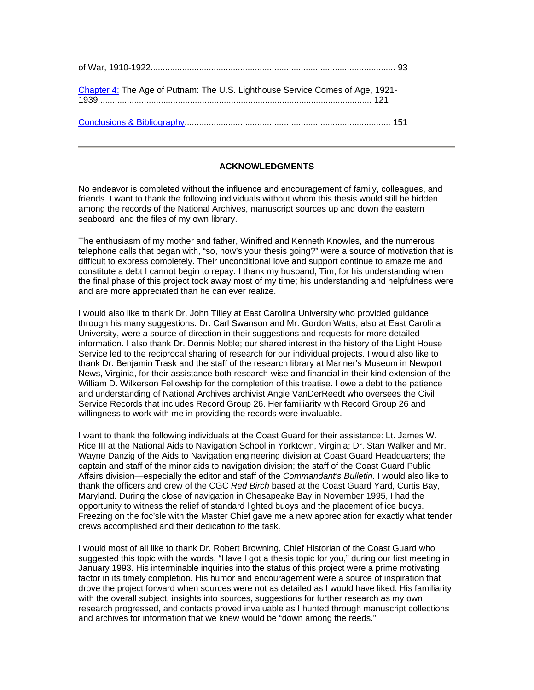| Chapter 4: The Age of Putnam: The U.S. Lighthouse Service Comes of Age, 1921- |  |
|-------------------------------------------------------------------------------|--|
|                                                                               |  |

# **ACKNOWLEDGMENTS**

No endeavor is completed without the influence and encouragement of family, colleagues, and friends. I want to thank the following individuals without whom this thesis would still be hidden among the records of the National Archives, manuscript sources up and down the eastern seaboard, and the files of my own library.

The enthusiasm of my mother and father, Winifred and Kenneth Knowles, and the numerous telephone calls that began with, "so, how's your thesis going?" were a source of motivation that is difficult to express completely. Their unconditional love and support continue to amaze me and constitute a debt I cannot begin to repay. I thank my husband, Tim, for his understanding when the final phase of this project took away most of my time; his understanding and helpfulness were and are more appreciated than he can ever realize.

I would also like to thank Dr. John Tilley at East Carolina University who provided guidance through his many suggestions. Dr. Carl Swanson and Mr. Gordon Watts, also at East Carolina University, were a source of direction in their suggestions and requests for more detailed information. I also thank Dr. Dennis Noble; our shared interest in the history of the Light House Service led to the reciprocal sharing of research for our individual projects. I would also like to thank Dr. Benjamin Trask and the staff of the research library at Mariner's Museum in Newport News, Virginia, for their assistance both research-wise and financial in their kind extension of the William D. Wilkerson Fellowship for the completion of this treatise. I owe a debt to the patience and understanding of National Archives archivist Angie VanDerReedt who oversees the Civil Service Records that includes Record Group 26. Her familiarity with Record Group 26 and willingness to work with me in providing the records were invaluable.

I want to thank the following individuals at the Coast Guard for their assistance: Lt. James W. Rice III at the National Aids to Navigation School in Yorktown, Virginia; Dr. Stan Walker and Mr. Wayne Danzig of the Aids to Navigation engineering division at Coast Guard Headquarters; the captain and staff of the minor aids to navigation division; the staff of the Coast Guard Public Affairs division—especially the editor and staff of the *Commandant's Bulletin*. I would also like to thank the officers and crew of the CGC *Red Birch* based at the Coast Guard Yard, Curtis Bay, Maryland. During the close of navigation in Chesapeake Bay in November 1995, I had the opportunity to witness the relief of standard lighted buoys and the placement of ice buoys. Freezing on the foc'sle with the Master Chief gave me a new appreciation for exactly what tender crews accomplished and their dedication to the task.

I would most of all like to thank Dr. Robert Browning, Chief Historian of the Coast Guard who suggested this topic with the words, "Have I got a thesis topic for you," during our first meeting in January 1993. His interminable inquiries into the status of this project were a prime motivating factor in its timely completion. His humor and encouragement were a source of inspiration that drove the project forward when sources were not as detailed as I would have liked. His familiarity with the overall subject, insights into sources, suggestions for further research as my own research progressed, and contacts proved invaluable as I hunted through manuscript collections and archives for information that we knew would be "down among the reeds."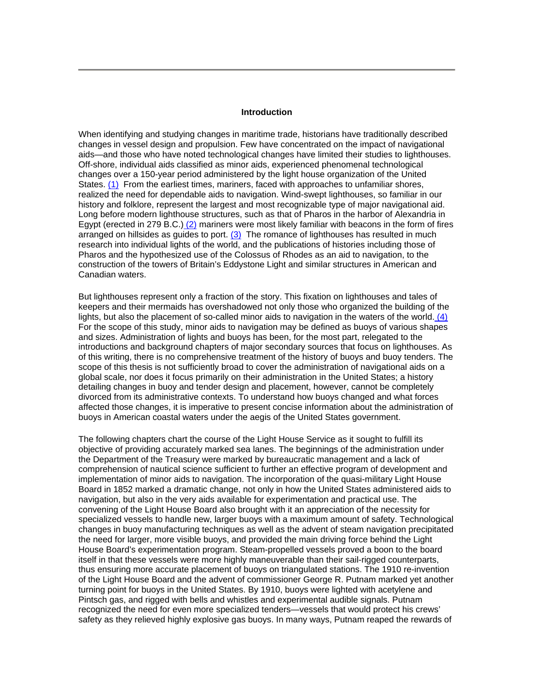#### **Introduction**

When identifying and studying changes in maritime trade, historians have traditionally described changes in vessel design and propulsion. Few have concentrated on the impact of navigational aids—and those who have noted technological changes have limited their studies to lighthouses. Off-shore, individual aids classified as minor aids, experienced phenomenal technological changes over a 150-year period administered by the light house organization of the United States. (1) From the earliest times, mariners, faced with approaches to unfamiliar shores, realized the need for dependable aids to navigation. Wind-swept lighthouses, so familiar in our history and folklore, represent the largest and most recognizable type of major navigational aid. Long before modern lighthouse structures, such as that of Pharos in the harbor of Alexandria in Egypt (erected in 279 B.C.)  $(2)$  mariners were most likely familiar with beacons in the form of fires arranged on hillsides as guides to port.  $(3)$  The romance of lighthouses has resulted in much research into individual lights of the world, and the publications of histories including those of Pharos and the hypothesized use of the Colossus of Rhodes as an aid to navigation, to the construction of the towers of Britain's Eddystone Light and similar structures in American and Canadian waters.

But lighthouses represent only a fraction of the story. This fixation on lighthouses and tales of keepers and their mermaids has overshadowed not only those who organized the building of the lights, but also the placement of so-called minor aids to navigation in the waters of the world. (4) For the scope of this study, minor aids to navigation may be defined as buoys of various shapes and sizes. Administration of lights and buoys has been, for the most part, relegated to the introductions and background chapters of major secondary sources that focus on lighthouses. As of this writing, there is no comprehensive treatment of the history of buoys and buoy tenders. The scope of this thesis is not sufficiently broad to cover the administration of navigational aids on a global scale, nor does it focus primarily on their administration in the United States; a history detailing changes in buoy and tender design and placement, however, cannot be completely divorced from its administrative contexts. To understand how buoys changed and what forces affected those changes, it is imperative to present concise information about the administration of buoys in American coastal waters under the aegis of the United States government.

The following chapters chart the course of the Light House Service as it sought to fulfill its objective of providing accurately marked sea lanes. The beginnings of the administration under the Department of the Treasury were marked by bureaucratic management and a lack of comprehension of nautical science sufficient to further an effective program of development and implementation of minor aids to navigation. The incorporation of the quasi-military Light House Board in 1852 marked a dramatic change, not only in how the United States administered aids to navigation, but also in the very aids available for experimentation and practical use. The convening of the Light House Board also brought with it an appreciation of the necessity for specialized vessels to handle new, larger buoys with a maximum amount of safety. Technological changes in buoy manufacturing techniques as well as the advent of steam navigation precipitated the need for larger, more visible buoys, and provided the main driving force behind the Light House Board's experimentation program. Steam-propelled vessels proved a boon to the board itself in that these vessels were more highly maneuverable than their sail-rigged counterparts, thus ensuring more accurate placement of buoys on triangulated stations. The 1910 re-invention of the Light House Board and the advent of commissioner George R. Putnam marked yet another turning point for buoys in the United States. By 1910, buoys were lighted with acetylene and Pintsch gas, and rigged with bells and whistles and experimental audible signals. Putnam recognized the need for even more specialized tenders—vessels that would protect his crews' safety as they relieved highly explosive gas buoys. In many ways, Putnam reaped the rewards of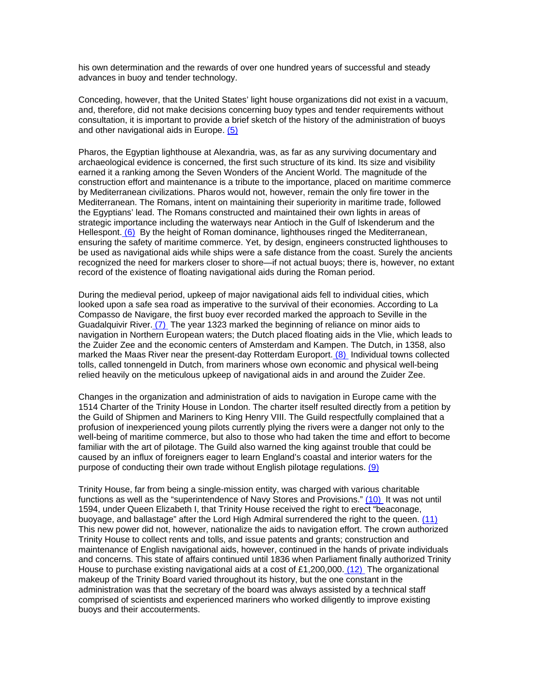his own determination and the rewards of over one hundred years of successful and steady advances in buoy and tender technology.

Conceding, however, that the United States' light house organizations did not exist in a vacuum, and, therefore, did not make decisions concerning buoy types and tender requirements without consultation, it is important to provide a brief sketch of the history of the administration of buoys and other navigational aids in Europe. (5)

Pharos, the Egyptian lighthouse at Alexandria, was, as far as any surviving documentary and archaeological evidence is concerned, the first such structure of its kind. Its size and visibility earned it a ranking among the Seven Wonders of the Ancient World. The magnitude of the construction effort and maintenance is a tribute to the importance, placed on maritime commerce by Mediterranean civilizations. Pharos would not, however, remain the only fire tower in the Mediterranean. The Romans, intent on maintaining their superiority in maritime trade, followed the Egyptians' lead. The Romans constructed and maintained their own lights in areas of strategic importance including the waterways near Antioch in the Gulf of Iskenderum and the Hellespont. (6) By the height of Roman dominance, lighthouses ringed the Mediterranean, ensuring the safety of maritime commerce. Yet, by design, engineers constructed lighthouses to be used as navigational aids while ships were a safe distance from the coast. Surely the ancients recognized the need for markers closer to shore—if not actual buoys; there is, however, no extant record of the existence of floating navigational aids during the Roman period.

During the medieval period, upkeep of major navigational aids fell to individual cities, which looked upon a safe sea road as imperative to the survival of their economies. According to La Compasso de Navigare, the first buoy ever recorded marked the approach to Seville in the Guadalquivir River. (7) The year 1323 marked the beginning of reliance on minor aids to navigation in Northern European waters; the Dutch placed floating aids in the Vlie, which leads to the Zuider Zee and the economic centers of Amsterdam and Kampen. The Dutch, in 1358, also marked the Maas River near the present-day Rotterdam Europort. (8) Individual towns collected tolls, called tonnengeld in Dutch, from mariners whose own economic and physical well-being relied heavily on the meticulous upkeep of navigational aids in and around the Zuider Zee.

Changes in the organization and administration of aids to navigation in Europe came with the 1514 Charter of the Trinity House in London. The charter itself resulted directly from a petition by the Guild of Shipmen and Mariners to King Henry VIII. The Guild respectfully complained that a profusion of inexperienced young pilots currently plying the rivers were a danger not only to the well-being of maritime commerce, but also to those who had taken the time and effort to become familiar with the art of pilotage. The Guild also warned the king against trouble that could be caused by an influx of foreigners eager to learn England's coastal and interior waters for the purpose of conducting their own trade without English pilotage regulations. (9)

Trinity House, far from being a single-mission entity, was charged with various charitable functions as well as the "superintendence of Navy Stores and Provisions." (10) It was not until 1594, under Queen Elizabeth I, that Trinity House received the right to erect "beaconage, buoyage, and ballastage" after the Lord High Admiral surrendered the right to the queen. (11) This new power did not, however, nationalize the aids to navigation effort. The crown authorized Trinity House to collect rents and tolls, and issue patents and grants; construction and maintenance of English navigational aids, however, continued in the hands of private individuals and concerns. This state of affairs continued until 1836 when Parliament finally authorized Trinity House to purchase existing navigational aids at a cost of £1,200,000.  $(12)$  The organizational makeup of the Trinity Board varied throughout its history, but the one constant in the administration was that the secretary of the board was always assisted by a technical staff comprised of scientists and experienced mariners who worked diligently to improve existing buoys and their accouterments.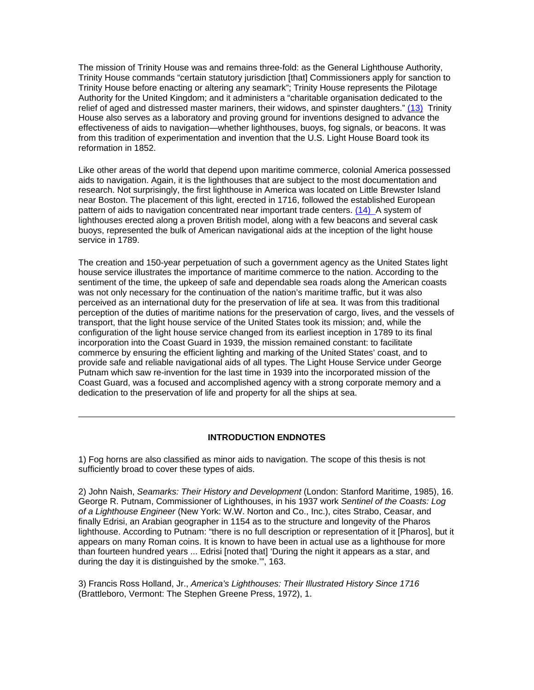The mission of Trinity House was and remains three-fold: as the General Lighthouse Authority, Trinity House commands "certain statutory jurisdiction [that] Commissioners apply for sanction to Trinity House before enacting or altering any seamark"; Trinity House represents the Pilotage Authority for the United Kingdom; and it administers a "charitable organisation dedicated to the relief of aged and distressed master mariners, their widows, and spinster daughters." (13) Trinity House also serves as a laboratory and proving ground for inventions designed to advance the effectiveness of aids to navigation—whether lighthouses, buoys, fog signals, or beacons. It was from this tradition of experimentation and invention that the U.S. Light House Board took its reformation in 1852.

Like other areas of the world that depend upon maritime commerce, colonial America possessed aids to navigation. Again, it is the lighthouses that are subject to the most documentation and research. Not surprisingly, the first lighthouse in America was located on Little Brewster Island near Boston. The placement of this light, erected in 1716, followed the established European pattern of aids to navigation concentrated near important trade centers. (14) A system of lighthouses erected along a proven British model, along with a few beacons and several cask buoys, represented the bulk of American navigational aids at the inception of the light house service in 1789.

The creation and 150-year perpetuation of such a government agency as the United States light house service illustrates the importance of maritime commerce to the nation. According to the sentiment of the time, the upkeep of safe and dependable sea roads along the American coasts was not only necessary for the continuation of the nation's maritime traffic, but it was also perceived as an international duty for the preservation of life at sea. It was from this traditional perception of the duties of maritime nations for the preservation of cargo, lives, and the vessels of transport, that the light house service of the United States took its mission; and, while the configuration of the light house service changed from its earliest inception in 1789 to its final incorporation into the Coast Guard in 1939, the mission remained constant: to facilitate commerce by ensuring the efficient lighting and marking of the United States' coast, and to provide safe and reliable navigational aids of all types. The Light House Service under George Putnam which saw re-invention for the last time in 1939 into the incorporated mission of the Coast Guard, was a focused and accomplished agency with a strong corporate memory and a dedication to the preservation of life and property for all the ships at sea.

### **INTRODUCTION ENDNOTES**

1) Fog horns are also classified as minor aids to navigation. The scope of this thesis is not sufficiently broad to cover these types of aids.

2) John Naish, *Seamarks: Their History and Development* (London: Stanford Maritime, 1985), 16. George R. Putnam, Commissioner of Lighthouses, in his 1937 work *Sentinel of the Coasts: Log of a Lighthouse Engineer* (New York: W.W. Norton and Co., Inc.), cites Strabo, Ceasar, and finally Edrisi, an Arabian geographer in 1154 as to the structure and longevity of the Pharos lighthouse. According to Putnam: "there is no full description or representation of it [Pharos], but it appears on many Roman coins. It is known to have been in actual use as a lighthouse for more than fourteen hundred years ... Edrisi [noted that] 'During the night it appears as a star, and during the day it is distinguished by the smoke.'", 163.

3) Francis Ross Holland, Jr., *America's Lighthouses: Their Illustrated History Since 1716* (Brattleboro, Vermont: The Stephen Greene Press, 1972), 1.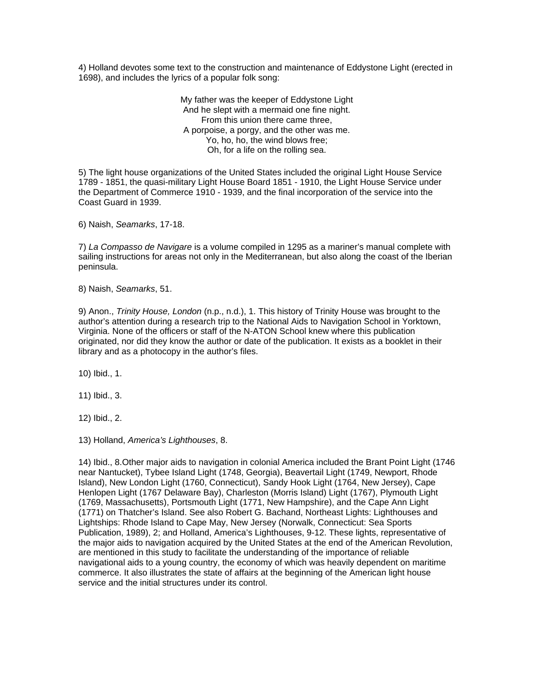4) Holland devotes some text to the construction and maintenance of Eddystone Light (erected in 1698), and includes the lyrics of a popular folk song:

> My father was the keeper of Eddystone Light And he slept with a mermaid one fine night. From this union there came three, A porpoise, a porgy, and the other was me. Yo, ho, ho, the wind blows free; Oh, for a life on the rolling sea.

5) The light house organizations of the United States included the original Light House Service 1789 - 1851, the quasi-military Light House Board 1851 - 1910, the Light House Service under the Department of Commerce 1910 - 1939, and the final incorporation of the service into the Coast Guard in 1939.

6) Naish, *Seamarks*, 17-18.

7) *La Compasso de Navigare* is a volume compiled in 1295 as a mariner's manual complete with sailing instructions for areas not only in the Mediterranean, but also along the coast of the Iberian peninsula.

8) Naish, *Seamarks*, 51.

9) Anon., *Trinity House, London* (n.p., n.d.), 1. This history of Trinity House was brought to the author's attention during a research trip to the National Aids to Navigation School in Yorktown, Virginia. None of the officers or staff of the N-ATON School knew where this publication originated, nor did they know the author or date of the publication. It exists as a booklet in their library and as a photocopy in the author's files.

10) Ibid., 1.

11) Ibid., 3.

12) Ibid., 2.

13) Holland, *America's Lighthouses*, 8.

14) Ibid., 8.Other major aids to navigation in colonial America included the Brant Point Light (1746 near Nantucket), Tybee Island Light (1748, Georgia), Beavertail Light (1749, Newport, Rhode Island), New London Light (1760, Connecticut), Sandy Hook Light (1764, New Jersey), Cape Henlopen Light (1767 Delaware Bay), Charleston (Morris Island) Light (1767), Plymouth Light (1769, Massachusetts), Portsmouth Light (1771, New Hampshire), and the Cape Ann Light (1771) on Thatcher's Island. See also Robert G. Bachand, Northeast Lights: Lighthouses and Lightships: Rhode Island to Cape May, New Jersey (Norwalk, Connecticut: Sea Sports Publication, 1989), 2; and Holland, America's Lighthouses, 9-12. These lights, representative of the major aids to navigation acquired by the United States at the end of the American Revolution, are mentioned in this study to facilitate the understanding of the importance of reliable navigational aids to a young country, the economy of which was heavily dependent on maritime commerce. It also illustrates the state of affairs at the beginning of the American light house service and the initial structures under its control.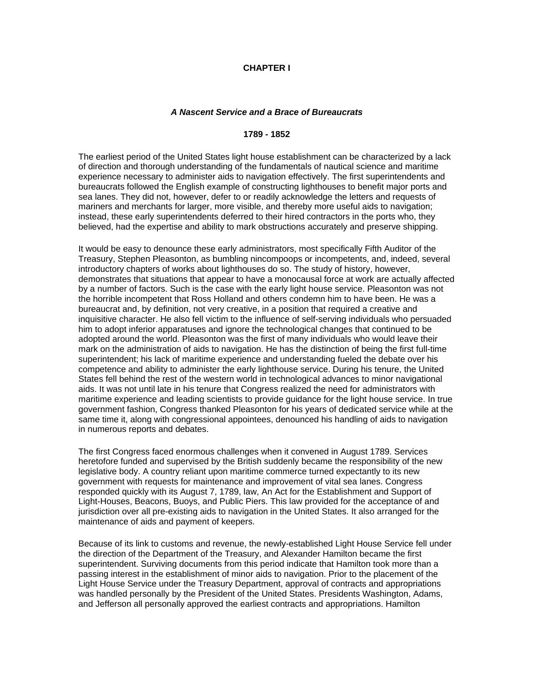## **CHAPTER I**

#### *A Nascent Service and a Brace of Bureaucrats*

### **1789 - 1852**

The earliest period of the United States light house establishment can be characterized by a lack of direction and thorough understanding of the fundamentals of nautical science and maritime experience necessary to administer aids to navigation effectively. The first superintendents and bureaucrats followed the English example of constructing lighthouses to benefit major ports and sea lanes. They did not, however, defer to or readily acknowledge the letters and requests of mariners and merchants for larger, more visible, and thereby more useful aids to navigation; instead, these early superintendents deferred to their hired contractors in the ports who, they believed, had the expertise and ability to mark obstructions accurately and preserve shipping.

It would be easy to denounce these early administrators, most specifically Fifth Auditor of the Treasury, Stephen Pleasonton, as bumbling nincompoops or incompetents, and, indeed, several introductory chapters of works about lighthouses do so. The study of history, however, demonstrates that situations that appear to have a monocausal force at work are actually affected by a number of factors. Such is the case with the early light house service. Pleasonton was not the horrible incompetent that Ross Holland and others condemn him to have been. He was a bureaucrat and, by definition, not very creative, in a position that required a creative and inquisitive character. He also fell victim to the influence of self-serving individuals who persuaded him to adopt inferior apparatuses and ignore the technological changes that continued to be adopted around the world. Pleasonton was the first of many individuals who would leave their mark on the administration of aids to navigation. He has the distinction of being the first full-time superintendent; his lack of maritime experience and understanding fueled the debate over his competence and ability to administer the early lighthouse service. During his tenure, the United States fell behind the rest of the western world in technological advances to minor navigational aids. It was not until late in his tenure that Congress realized the need for administrators with maritime experience and leading scientists to provide guidance for the light house service. In true government fashion, Congress thanked Pleasonton for his years of dedicated service while at the same time it, along with congressional appointees, denounced his handling of aids to navigation in numerous reports and debates.

The first Congress faced enormous challenges when it convened in August 1789. Services heretofore funded and supervised by the British suddenly became the responsibility of the new legislative body. A country reliant upon maritime commerce turned expectantly to its new government with requests for maintenance and improvement of vital sea lanes. Congress responded quickly with its August 7, 1789, law, An Act for the Establishment and Support of Light-Houses, Beacons, Buoys, and Public Piers. This law provided for the acceptance of and jurisdiction over all pre-existing aids to navigation in the United States. It also arranged for the maintenance of aids and payment of keepers.

Because of its link to customs and revenue, the newly-established Light House Service fell under the direction of the Department of the Treasury, and Alexander Hamilton became the first superintendent. Surviving documents from this period indicate that Hamilton took more than a passing interest in the establishment of minor aids to navigation. Prior to the placement of the Light House Service under the Treasury Department, approval of contracts and appropriations was handled personally by the President of the United States. Presidents Washington, Adams, and Jefferson all personally approved the earliest contracts and appropriations. Hamilton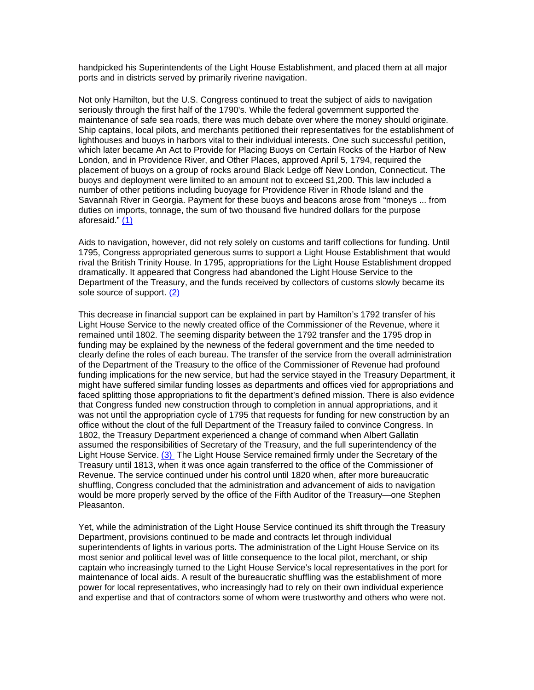handpicked his Superintendents of the Light House Establishment, and placed them at all major ports and in districts served by primarily riverine navigation.

Not only Hamilton, but the U.S. Congress continued to treat the subject of aids to navigation seriously through the first half of the 1790's. While the federal government supported the maintenance of safe sea roads, there was much debate over where the money should originate. Ship captains, local pilots, and merchants petitioned their representatives for the establishment of lighthouses and buoys in harbors vital to their individual interests. One such successful petition, which later became An Act to Provide for Placing Buoys on Certain Rocks of the Harbor of New London, and in Providence River, and Other Places, approved April 5, 1794, required the placement of buoys on a group of rocks around Black Ledge off New London, Connecticut. The buoys and deployment were limited to an amount not to exceed \$1,200. This law included a number of other petitions including buoyage for Providence River in Rhode Island and the Savannah River in Georgia. Payment for these buoys and beacons arose from "moneys ... from duties on imports, tonnage, the sum of two thousand five hundred dollars for the purpose aforesaid." (1)

Aids to navigation, however, did not rely solely on customs and tariff collections for funding. Until 1795, Congress appropriated generous sums to support a Light House Establishment that would rival the British Trinity House. In 1795, appropriations for the Light House Establishment dropped dramatically. It appeared that Congress had abandoned the Light House Service to the Department of the Treasury, and the funds received by collectors of customs slowly became its sole source of support. (2)

This decrease in financial support can be explained in part by Hamilton's 1792 transfer of his Light House Service to the newly created office of the Commissioner of the Revenue, where it remained until 1802. The seeming disparity between the 1792 transfer and the 1795 drop in funding may be explained by the newness of the federal government and the time needed to clearly define the roles of each bureau. The transfer of the service from the overall administration of the Department of the Treasury to the office of the Commissioner of Revenue had profound funding implications for the new service, but had the service stayed in the Treasury Department, it might have suffered similar funding losses as departments and offices vied for appropriations and faced splitting those appropriations to fit the department's defined mission. There is also evidence that Congress funded new construction through to completion in annual appropriations, and it was not until the appropriation cycle of 1795 that requests for funding for new construction by an office without the clout of the full Department of the Treasury failed to convince Congress. In 1802, the Treasury Department experienced a change of command when Albert Gallatin assumed the responsibilities of Secretary of the Treasury, and the full superintendency of the Light House Service. (3) The Light House Service remained firmly under the Secretary of the Treasury until 1813, when it was once again transferred to the office of the Commissioner of Revenue. The service continued under his control until 1820 when, after more bureaucratic shuffling, Congress concluded that the administration and advancement of aids to navigation would be more properly served by the office of the Fifth Auditor of the Treasury—one Stephen Pleasanton.

Yet, while the administration of the Light House Service continued its shift through the Treasury Department, provisions continued to be made and contracts let through individual superintendents of lights in various ports. The administration of the Light House Service on its most senior and political level was of little consequence to the local pilot, merchant, or ship captain who increasingly turned to the Light House Service's local representatives in the port for maintenance of local aids. A result of the bureaucratic shuffling was the establishment of more power for local representatives, who increasingly had to rely on their own individual experience and expertise and that of contractors some of whom were trustworthy and others who were not.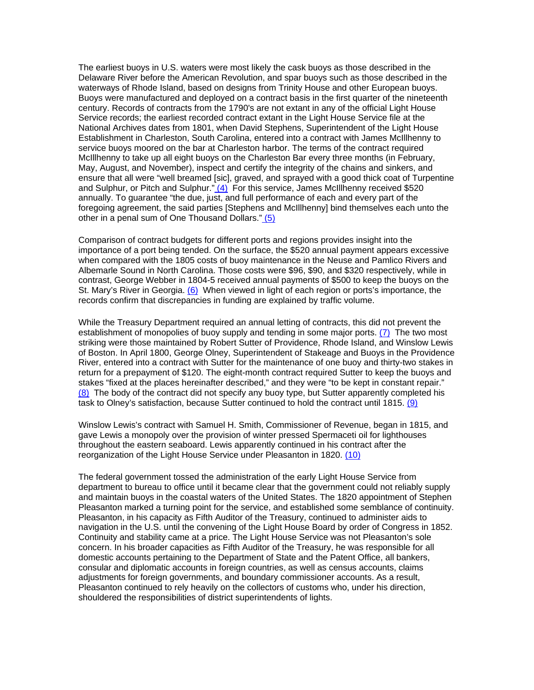The earliest buoys in U.S. waters were most likely the cask buoys as those described in the Delaware River before the American Revolution, and spar buoys such as those described in the waterways of Rhode Island, based on designs from Trinity House and other European buoys. Buoys were manufactured and deployed on a contract basis in the first quarter of the nineteenth century. Records of contracts from the 1790's are not extant in any of the official Light House Service records; the earliest recorded contract extant in the Light House Service file at the National Archives dates from 1801, when David Stephens, Superintendent of the Light House Establishment in Charleston, South Carolina, entered into a contract with James McIllhenny to service buoys moored on the bar at Charleston harbor. The terms of the contract required McIllhenny to take up all eight buoys on the Charleston Bar every three months (in February, May, August, and November), inspect and certify the integrity of the chains and sinkers, and ensure that all were "well breamed [sic], graved, and sprayed with a good thick coat of Turpentine and Sulphur, or Pitch and Sulphur."  $(4)$  For this service, James McIllhenny received \$520 annually. To guarantee "the due, just, and full performance of each and every part of the foregoing agreement, the said parties [Stephens and McIllhenny] bind themselves each unto the other in a penal sum of One Thousand Dollars." (5)

Comparison of contract budgets for different ports and regions provides insight into the importance of a port being tended. On the surface, the \$520 annual payment appears excessive when compared with the 1805 costs of buoy maintenance in the Neuse and Pamlico Rivers and Albemarle Sound in North Carolina. Those costs were \$96, \$90, and \$320 respectively, while in contrast, George Webber in 1804-5 received annual payments of \$500 to keep the buoys on the St. Mary's River in Georgia. (6) When viewed in light of each region or ports's importance, the records confirm that discrepancies in funding are explained by traffic volume.

While the Treasury Department required an annual letting of contracts, this did not prevent the establishment of monopolies of buoy supply and tending in some major ports. (7) The two most striking were those maintained by Robert Sutter of Providence, Rhode Island, and Winslow Lewis of Boston. In April 1800, George Olney, Superintendent of Stakeage and Buoys in the Providence River, entered into a contract with Sutter for the maintenance of one buoy and thirty-two stakes in return for a prepayment of \$120. The eight-month contract required Sutter to keep the buoys and stakes "fixed at the places hereinafter described," and they were "to be kept in constant repair." (8) The body of the contract did not specify any buoy type, but Sutter apparently completed his task to Olney's satisfaction, because Sutter continued to hold the contract until 1815.  $(9)$ 

Winslow Lewis's contract with Samuel H. Smith, Commissioner of Revenue, began in 1815, and gave Lewis a monopoly over the provision of winter pressed Spermaceti oil for lighthouses throughout the eastern seaboard. Lewis apparently continued in his contract after the reorganization of the Light House Service under Pleasanton in 1820. (10)

The federal government tossed the administration of the early Light House Service from department to bureau to office until it became clear that the government could not reliably supply and maintain buoys in the coastal waters of the United States. The 1820 appointment of Stephen Pleasanton marked a turning point for the service, and established some semblance of continuity. Pleasanton, in his capacity as Fifth Auditor of the Treasury, continued to administer aids to navigation in the U.S. until the convening of the Light House Board by order of Congress in 1852. Continuity and stability came at a price. The Light House Service was not Pleasanton's sole concern. In his broader capacities as Fifth Auditor of the Treasury, he was responsible for all domestic accounts pertaining to the Department of State and the Patent Office, all bankers, consular and diplomatic accounts in foreign countries, as well as census accounts, claims adjustments for foreign governments, and boundary commissioner accounts. As a result, Pleasanton continued to rely heavily on the collectors of customs who, under his direction, shouldered the responsibilities of district superintendents of lights.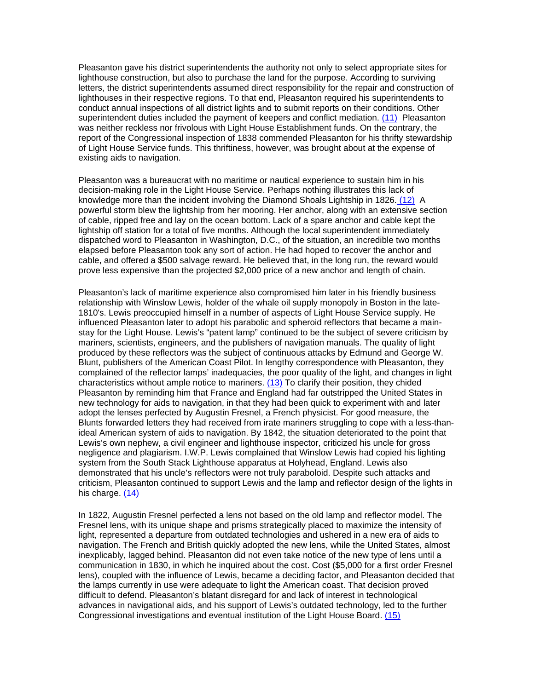Pleasanton gave his district superintendents the authority not only to select appropriate sites for lighthouse construction, but also to purchase the land for the purpose. According to surviving letters, the district superintendents assumed direct responsibility for the repair and construction of lighthouses in their respective regions. To that end, Pleasanton required his superintendents to conduct annual inspections of all district lights and to submit reports on their conditions. Other superintendent duties included the payment of keepers and conflict mediation. (11) Pleasanton was neither reckless nor frivolous with Light House Establishment funds. On the contrary, the report of the Congressional inspection of 1838 commended Pleasanton for his thrifty stewardship of Light House Service funds. This thriftiness, however, was brought about at the expense of existing aids to navigation.

Pleasanton was a bureaucrat with no maritime or nautical experience to sustain him in his decision-making role in the Light House Service. Perhaps nothing illustrates this lack of knowledge more than the incident involving the Diamond Shoals Lightship in 1826. (12) A powerful storm blew the lightship from her mooring. Her anchor, along with an extensive section of cable, ripped free and lay on the ocean bottom. Lack of a spare anchor and cable kept the lightship off station for a total of five months. Although the local superintendent immediately dispatched word to Pleasanton in Washington, D.C., of the situation, an incredible two months elapsed before Pleasanton took any sort of action. He had hoped to recover the anchor and cable, and offered a \$500 salvage reward. He believed that, in the long run, the reward would prove less expensive than the projected \$2,000 price of a new anchor and length of chain.

Pleasanton's lack of maritime experience also compromised him later in his friendly business relationship with Winslow Lewis, holder of the whale oil supply monopoly in Boston in the late-1810's. Lewis preoccupied himself in a number of aspects of Light House Service supply. He influenced Pleasanton later to adopt his parabolic and spheroid reflectors that became a mainstay for the Light House. Lewis's "patent lamp" continued to be the subject of severe criticism by mariners, scientists, engineers, and the publishers of navigation manuals. The quality of light produced by these reflectors was the subject of continuous attacks by Edmund and George W. Blunt, publishers of the American Coast Pilot. In lengthy correspondence with Pleasanton, they complained of the reflector lamps' inadequacies, the poor quality of the light, and changes in light characteristics without ample notice to mariners.  $(13)$  To clarify their position, they chided Pleasanton by reminding him that France and England had far outstripped the United States in new technology for aids to navigation, in that they had been quick to experiment with and later adopt the lenses perfected by Augustin Fresnel, a French physicist. For good measure, the Blunts forwarded letters they had received from irate mariners struggling to cope with a less-thanideal American system of aids to navigation. By 1842, the situation deteriorated to the point that Lewis's own nephew, a civil engineer and lighthouse inspector, criticized his uncle for gross negligence and plagiarism. I.W.P. Lewis complained that Winslow Lewis had copied his lighting system from the South Stack Lighthouse apparatus at Holyhead, England. Lewis also demonstrated that his uncle's reflectors were not truly paraboloid. Despite such attacks and criticism, Pleasanton continued to support Lewis and the lamp and reflector design of the lights in his charge. (14)

In 1822, Augustin Fresnel perfected a lens not based on the old lamp and reflector model. The Fresnel lens, with its unique shape and prisms strategically placed to maximize the intensity of light, represented a departure from outdated technologies and ushered in a new era of aids to navigation. The French and British quickly adopted the new lens, while the United States, almost inexplicably, lagged behind. Pleasanton did not even take notice of the new type of lens until a communication in 1830, in which he inquired about the cost. Cost (\$5,000 for a first order Fresnel lens), coupled with the influence of Lewis, became a deciding factor, and Pleasanton decided that the lamps currently in use were adequate to light the American coast. That decision proved difficult to defend. Pleasanton's blatant disregard for and lack of interest in technological advances in navigational aids, and his support of Lewis's outdated technology, led to the further Congressional investigations and eventual institution of the Light House Board. (15)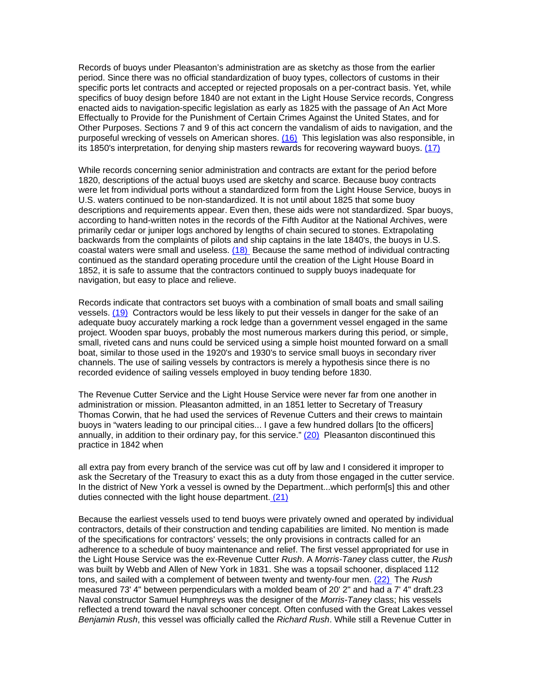Records of buoys under Pleasanton's administration are as sketchy as those from the earlier period. Since there was no official standardization of buoy types, collectors of customs in their specific ports let contracts and accepted or rejected proposals on a per-contract basis. Yet, while specifics of buoy design before 1840 are not extant in the Light House Service records, Congress enacted aids to navigation-specific legislation as early as 1825 with the passage of An Act More Effectually to Provide for the Punishment of Certain Crimes Against the United States, and for Other Purposes. Sections 7 and 9 of this act concern the vandalism of aids to navigation, and the purposeful wrecking of vessels on American shores. (16) This legislation was also responsible, in its 1850's interpretation, for denying ship masters rewards for recovering wayward buoys. (17)

While records concerning senior administration and contracts are extant for the period before 1820, descriptions of the actual buoys used are sketchy and scarce. Because buoy contracts were let from individual ports without a standardized form from the Light House Service, buoys in U.S. waters continued to be non-standardized. It is not until about 1825 that some buoy descriptions and requirements appear. Even then, these aids were not standardized. Spar buoys, according to hand-written notes in the records of the Fifth Auditor at the National Archives, were primarily cedar or juniper logs anchored by lengths of chain secured to stones. Extrapolating backwards from the complaints of pilots and ship captains in the late 1840's, the buoys in U.S. coastal waters were small and useless. (18) Because the same method of individual contracting continued as the standard operating procedure until the creation of the Light House Board in 1852, it is safe to assume that the contractors continued to supply buoys inadequate for navigation, but easy to place and relieve.

Records indicate that contractors set buoys with a combination of small boats and small sailing vessels. (19) Contractors would be less likely to put their vessels in danger for the sake of an adequate buoy accurately marking a rock ledge than a government vessel engaged in the same project. Wooden spar buoys, probably the most numerous markers during this period, or simple, small, riveted cans and nuns could be serviced using a simple hoist mounted forward on a small boat, similar to those used in the 1920's and 1930's to service small buoys in secondary river channels. The use of sailing vessels by contractors is merely a hypothesis since there is no recorded evidence of sailing vessels employed in buoy tending before 1830.

The Revenue Cutter Service and the Light House Service were never far from one another in administration or mission. Pleasanton admitted, in an 1851 letter to Secretary of Treasury Thomas Corwin, that he had used the services of Revenue Cutters and their crews to maintain buoys in "waters leading to our principal cities... I gave a few hundred dollars [to the officers] annually, in addition to their ordinary pay, for this service." (20) Pleasanton discontinued this practice in 1842 when

all extra pay from every branch of the service was cut off by law and I considered it improper to ask the Secretary of the Treasury to exact this as a duty from those engaged in the cutter service. In the district of New York a vessel is owned by the Department...which perform[s] this and other duties connected with the light house department. (21)

Because the earliest vessels used to tend buoys were privately owned and operated by individual contractors, details of their construction and tending capabilities are limited. No mention is made of the specifications for contractors' vessels; the only provisions in contracts called for an adherence to a schedule of buoy maintenance and relief. The first vessel appropriated for use in the Light House Service was the ex-Revenue Cutter *Rush*. A *Morris-Taney* class cutter, the *Rush* was built by Webb and Allen of New York in 1831. She was a topsail schooner, displaced 112 tons, and sailed with a complement of between twenty and twenty-four men. (22) The *Rush* measured 73' 4" between perpendiculars with a molded beam of 20' 2" and had a 7' 4" draft.23 Naval constructor Samuel Humphreys was the designer of the *Morris-Taney* class; his vessels reflected a trend toward the naval schooner concept. Often confused with the Great Lakes vessel *Benjamin Rush*, this vessel was officially called the *Richard Rush*. While still a Revenue Cutter in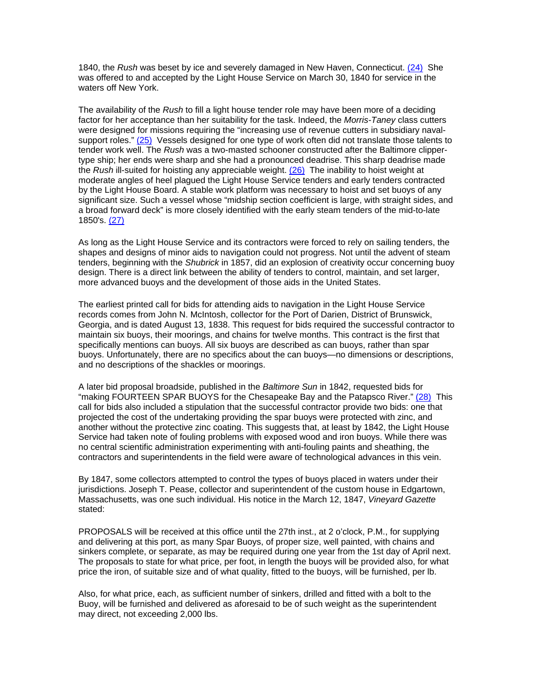1840, the *Rush* was beset by ice and severely damaged in New Haven, Connecticut. (24) She was offered to and accepted by the Light House Service on March 30, 1840 for service in the waters off New York.

The availability of the *Rush* to fill a light house tender role may have been more of a deciding factor for her acceptance than her suitability for the task. Indeed, the *Morris-Taney* class cutters were designed for missions requiring the "increasing use of revenue cutters in subsidiary navalsupport roles." (25) Vessels designed for one type of work often did not translate those talents to tender work well. The *Rush* was a two-masted schooner constructed after the Baltimore clippertype ship; her ends were sharp and she had a pronounced deadrise. This sharp deadrise made the *Rush* ill-suited for hoisting any appreciable weight. (26) The inability to hoist weight at moderate angles of heel plagued the Light House Service tenders and early tenders contracted by the Light House Board. A stable work platform was necessary to hoist and set buoys of any significant size. Such a vessel whose "midship section coefficient is large, with straight sides, and a broad forward deck" is more closely identified with the early steam tenders of the mid-to-late 1850's. (27)

As long as the Light House Service and its contractors were forced to rely on sailing tenders, the shapes and designs of minor aids to navigation could not progress. Not until the advent of steam tenders, beginning with the *Shubrick* in 1857, did an explosion of creativity occur concerning buoy design. There is a direct link between the ability of tenders to control, maintain, and set larger, more advanced buoys and the development of those aids in the United States.

The earliest printed call for bids for attending aids to navigation in the Light House Service records comes from John N. McIntosh, collector for the Port of Darien, District of Brunswick, Georgia, and is dated August 13, 1838. This request for bids required the successful contractor to maintain six buoys, their moorings, and chains for twelve months. This contract is the first that specifically mentions can buoys. All six buoys are described as can buoys, rather than spar buoys. Unfortunately, there are no specifics about the can buoys—no dimensions or descriptions, and no descriptions of the shackles or moorings.

A later bid proposal broadside, published in the *Baltimore Sun* in 1842, requested bids for "making FOURTEEN SPAR BUOYS for the Chesapeake Bay and the Patapsco River." (28) This call for bids also included a stipulation that the successful contractor provide two bids: one that projected the cost of the undertaking providing the spar buoys were protected with zinc, and another without the protective zinc coating. This suggests that, at least by 1842, the Light House Service had taken note of fouling problems with exposed wood and iron buoys. While there was no central scientific administration experimenting with anti-fouling paints and sheathing, the contractors and superintendents in the field were aware of technological advances in this vein.

By 1847, some collectors attempted to control the types of buoys placed in waters under their jurisdictions. Joseph T. Pease, collector and superintendent of the custom house in Edgartown, Massachusetts, was one such individual. His notice in the March 12, 1847, *Vineyard Gazette* stated:

PROPOSALS will be received at this office until the 27th inst., at 2 o'clock, P.M., for supplying and delivering at this port, as many Spar Buoys, of proper size, well painted, with chains and sinkers complete, or separate, as may be required during one year from the 1st day of April next. The proposals to state for what price, per foot, in length the buoys will be provided also, for what price the iron, of suitable size and of what quality, fitted to the buoys, will be furnished, per lb.

Also, for what price, each, as sufficient number of sinkers, drilled and fitted with a bolt to the Buoy, will be furnished and delivered as aforesaid to be of such weight as the superintendent may direct, not exceeding 2,000 lbs.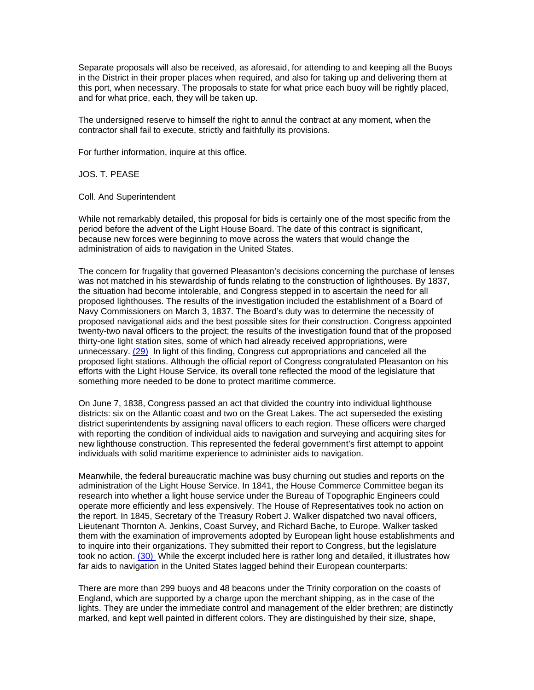Separate proposals will also be received, as aforesaid, for attending to and keeping all the Buoys in the District in their proper places when required, and also for taking up and delivering them at this port, when necessary. The proposals to state for what price each buoy will be rightly placed, and for what price, each, they will be taken up.

The undersigned reserve to himself the right to annul the contract at any moment, when the contractor shall fail to execute, strictly and faithfully its provisions.

For further information, inquire at this office.

JOS. T. PEASE

Coll. And Superintendent

While not remarkably detailed, this proposal for bids is certainly one of the most specific from the period before the advent of the Light House Board. The date of this contract is significant, because new forces were beginning to move across the waters that would change the administration of aids to navigation in the United States.

The concern for frugality that governed Pleasanton's decisions concerning the purchase of lenses was not matched in his stewardship of funds relating to the construction of lighthouses. By 1837, the situation had become intolerable, and Congress stepped in to ascertain the need for all proposed lighthouses. The results of the investigation included the establishment of a Board of Navy Commissioners on March 3, 1837. The Board's duty was to determine the necessity of proposed navigational aids and the best possible sites for their construction. Congress appointed twenty-two naval officers to the project; the results of the investigation found that of the proposed thirty-one light station sites, some of which had already received appropriations, were unnecessary. (29) In light of this finding, Congress cut appropriations and canceled all the proposed light stations. Although the official report of Congress congratulated Pleasanton on his efforts with the Light House Service, its overall tone reflected the mood of the legislature that something more needed to be done to protect maritime commerce.

On June 7, 1838, Congress passed an act that divided the country into individual lighthouse districts: six on the Atlantic coast and two on the Great Lakes. The act superseded the existing district superintendents by assigning naval officers to each region. These officers were charged with reporting the condition of individual aids to navigation and surveying and acquiring sites for new lighthouse construction. This represented the federal government's first attempt to appoint individuals with solid maritime experience to administer aids to navigation.

Meanwhile, the federal bureaucratic machine was busy churning out studies and reports on the administration of the Light House Service. In 1841, the House Commerce Committee began its research into whether a light house service under the Bureau of Topographic Engineers could operate more efficiently and less expensively. The House of Representatives took no action on the report. In 1845, Secretary of the Treasury Robert J. Walker dispatched two naval officers, Lieutenant Thornton A. Jenkins, Coast Survey, and Richard Bache, to Europe. Walker tasked them with the examination of improvements adopted by European light house establishments and to inquire into their organizations. They submitted their report to Congress, but the legislature took no action. (30) While the excerpt included here is rather long and detailed, it illustrates how far aids to navigation in the United States lagged behind their European counterparts:

There are more than 299 buoys and 48 beacons under the Trinity corporation on the coasts of England, which are supported by a charge upon the merchant shipping, as in the case of the lights. They are under the immediate control and management of the elder brethren; are distinctly marked, and kept well painted in different colors. They are distinguished by their size, shape,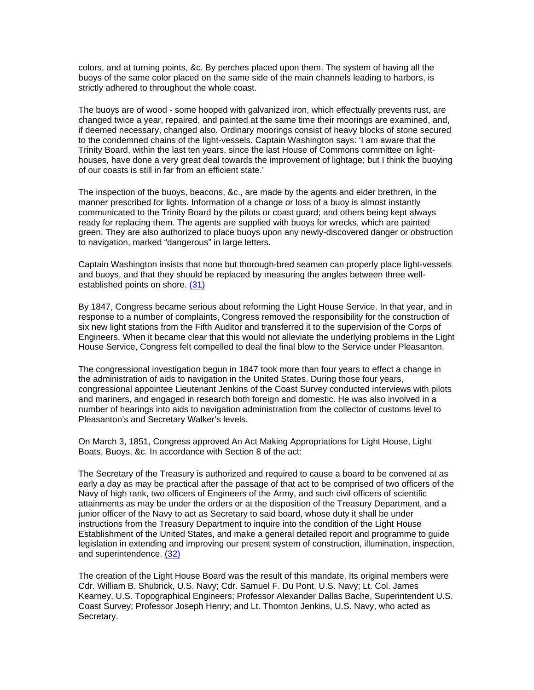colors, and at turning points, &c. By perches placed upon them. The system of having all the buoys of the same color placed on the same side of the main channels leading to harbors, is strictly adhered to throughout the whole coast.

The buoys are of wood - some hooped with galvanized iron, which effectually prevents rust, are changed twice a year, repaired, and painted at the same time their moorings are examined, and, if deemed necessary, changed also. Ordinary moorings consist of heavy blocks of stone secured to the condemned chains of the light-vessels. Captain Washington says: 'I am aware that the Trinity Board, within the last ten years, since the last House of Commons committee on lighthouses, have done a very great deal towards the improvement of lightage; but I think the buoying of our coasts is still in far from an efficient state.'

The inspection of the buoys, beacons, &c., are made by the agents and elder brethren, in the manner prescribed for lights. Information of a change or loss of a buoy is almost instantly communicated to the Trinity Board by the pilots or coast guard; and others being kept always ready for replacing them. The agents are supplied with buoys for wrecks, which are painted green. They are also authorized to place buoys upon any newly-discovered danger or obstruction to navigation, marked "dangerous" in large letters.

Captain Washington insists that none but thorough-bred seamen can properly place light-vessels and buoys, and that they should be replaced by measuring the angles between three wellestablished points on shore. (31)

By 1847, Congress became serious about reforming the Light House Service. In that year, and in response to a number of complaints, Congress removed the responsibility for the construction of six new light stations from the Fifth Auditor and transferred it to the supervision of the Corps of Engineers. When it became clear that this would not alleviate the underlying problems in the Light House Service, Congress felt compelled to deal the final blow to the Service under Pleasanton.

The congressional investigation begun in 1847 took more than four years to effect a change in the administration of aids to navigation in the United States. During those four years, congressional appointee Lieutenant Jenkins of the Coast Survey conducted interviews with pilots and mariners, and engaged in research both foreign and domestic. He was also involved in a number of hearings into aids to navigation administration from the collector of customs level to Pleasanton's and Secretary Walker's levels.

On March 3, 1851, Congress approved An Act Making Appropriations for Light House, Light Boats, Buoys, &c. In accordance with Section 8 of the act:

The Secretary of the Treasury is authorized and required to cause a board to be convened at as early a day as may be practical after the passage of that act to be comprised of two officers of the Navy of high rank, two officers of Engineers of the Army, and such civil officers of scientific attainments as may be under the orders or at the disposition of the Treasury Department, and a junior officer of the Navy to act as Secretary to said board, whose duty it shall be under instructions from the Treasury Department to inquire into the condition of the Light House Establishment of the United States, and make a general detailed report and programme to guide legislation in extending and improving our present system of construction, illumination, inspection, and superintendence. (32)

The creation of the Light House Board was the result of this mandate. Its original members were Cdr. William B. Shubrick, U.S. Navy; Cdr. Samuel F. Du Pont, U.S. Navy; Lt. Col. James Kearney, U.S. Topographical Engineers; Professor Alexander Dallas Bache, Superintendent U.S. Coast Survey; Professor Joseph Henry; and Lt. Thornton Jenkins, U.S. Navy, who acted as Secretary.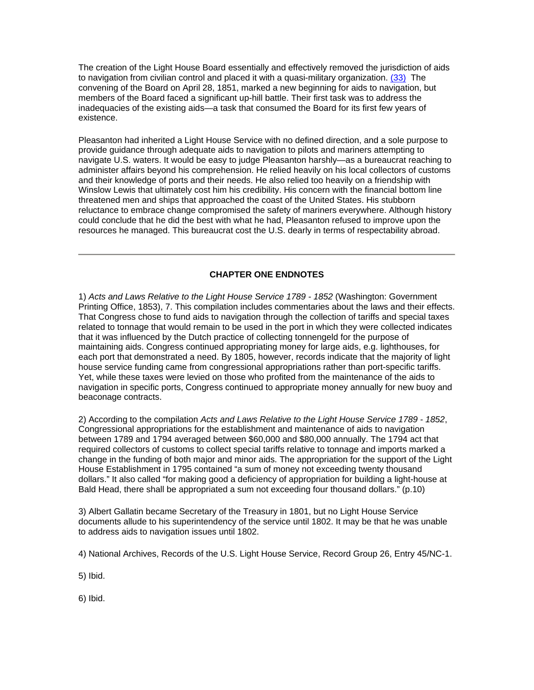The creation of the Light House Board essentially and effectively removed the jurisdiction of aids to navigation from civilian control and placed it with a quasi-military organization. (33) The convening of the Board on April 28, 1851, marked a new beginning for aids to navigation, but members of the Board faced a significant up-hill battle. Their first task was to address the inadequacies of the existing aids—a task that consumed the Board for its first few years of existence.

Pleasanton had inherited a Light House Service with no defined direction, and a sole purpose to provide guidance through adequate aids to navigation to pilots and mariners attempting to navigate U.S. waters. It would be easy to judge Pleasanton harshly—as a bureaucrat reaching to administer affairs beyond his comprehension. He relied heavily on his local collectors of customs and their knowledge of ports and their needs. He also relied too heavily on a friendship with Winslow Lewis that ultimately cost him his credibility. His concern with the financial bottom line threatened men and ships that approached the coast of the United States. His stubborn reluctance to embrace change compromised the safety of mariners everywhere. Although history could conclude that he did the best with what he had, Pleasanton refused to improve upon the resources he managed. This bureaucrat cost the U.S. dearly in terms of respectability abroad.

## **CHAPTER ONE ENDNOTES**

1) *Acts and Laws Relative to the Light House Service 1789 - 1852* (Washington: Government Printing Office, 1853), 7. This compilation includes commentaries about the laws and their effects. That Congress chose to fund aids to navigation through the collection of tariffs and special taxes related to tonnage that would remain to be used in the port in which they were collected indicates that it was influenced by the Dutch practice of collecting tonnengeld for the purpose of maintaining aids. Congress continued appropriating money for large aids, e.g. lighthouses, for each port that demonstrated a need. By 1805, however, records indicate that the majority of light house service funding came from congressional appropriations rather than port-specific tariffs. Yet, while these taxes were levied on those who profited from the maintenance of the aids to navigation in specific ports, Congress continued to appropriate money annually for new buoy and beaconage contracts.

2) According to the compilation *Acts and Laws Relative to the Light House Service 1789 - 1852*, Congressional appropriations for the establishment and maintenance of aids to navigation between 1789 and 1794 averaged between \$60,000 and \$80,000 annually. The 1794 act that required collectors of customs to collect special tariffs relative to tonnage and imports marked a change in the funding of both major and minor aids. The appropriation for the support of the Light House Establishment in 1795 contained "a sum of money not exceeding twenty thousand dollars." It also called "for making good a deficiency of appropriation for building a light-house at Bald Head, there shall be appropriated a sum not exceeding four thousand dollars." (p.10)

3) Albert Gallatin became Secretary of the Treasury in 1801, but no Light House Service documents allude to his superintendency of the service until 1802. It may be that he was unable to address aids to navigation issues until 1802.

4) National Archives, Records of the U.S. Light House Service, Record Group 26, Entry 45/NC-1.

5) Ibid.

6) Ibid.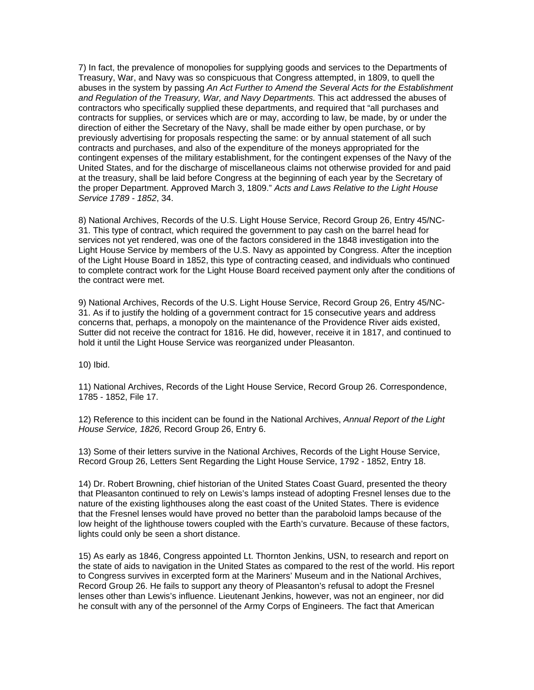7) In fact, the prevalence of monopolies for supplying goods and services to the Departments of Treasury, War, and Navy was so conspicuous that Congress attempted, in 1809, to quell the abuses in the system by passing *An Act Further to Amend the Several Acts for the Establishment and Regulation of the Treasury, War, and Navy Departments.* This act addressed the abuses of contractors who specifically supplied these departments, and required that "all purchases and contracts for supplies, or services which are or may, according to law, be made, by or under the direction of either the Secretary of the Navy, shall be made either by open purchase, or by previously advertising for proposals respecting the same: or by annual statement of all such contracts and purchases, and also of the expenditure of the moneys appropriated for the contingent expenses of the military establishment, for the contingent expenses of the Navy of the United States, and for the discharge of miscellaneous claims not otherwise provided for and paid at the treasury, shall be laid before Congress at the beginning of each year by the Secretary of the proper Department. Approved March 3, 1809." *Acts and Laws Relative to the Light House Service 1789 - 1852*, 34.

8) National Archives, Records of the U.S. Light House Service, Record Group 26, Entry 45/NC-31. This type of contract, which required the government to pay cash on the barrel head for services not yet rendered, was one of the factors considered in the 1848 investigation into the Light House Service by members of the U.S. Navy as appointed by Congress. After the inception of the Light House Board in 1852, this type of contracting ceased, and individuals who continued to complete contract work for the Light House Board received payment only after the conditions of the contract were met.

9) National Archives, Records of the U.S. Light House Service, Record Group 26, Entry 45/NC-31. As if to justify the holding of a government contract for 15 consecutive years and address concerns that, perhaps, a monopoly on the maintenance of the Providence River aids existed, Sutter did not receive the contract for 1816. He did, however, receive it in 1817, and continued to hold it until the Light House Service was reorganized under Pleasanton.

10) Ibid.

11) National Archives, Records of the Light House Service, Record Group 26. Correspondence, 1785 - 1852, File 17.

12) Reference to this incident can be found in the National Archives, *Annual Report of the Light House Service, 1826,* Record Group 26, Entry 6.

13) Some of their letters survive in the National Archives, Records of the Light House Service, Record Group 26, Letters Sent Regarding the Light House Service, 1792 - 1852, Entry 18.

14) Dr. Robert Browning, chief historian of the United States Coast Guard, presented the theory that Pleasanton continued to rely on Lewis's lamps instead of adopting Fresnel lenses due to the nature of the existing lighthouses along the east coast of the United States. There is evidence that the Fresnel lenses would have proved no better than the paraboloid lamps because of the low height of the lighthouse towers coupled with the Earth's curvature. Because of these factors, lights could only be seen a short distance.

15) As early as 1846, Congress appointed Lt. Thornton Jenkins, USN, to research and report on the state of aids to navigation in the United States as compared to the rest of the world. His report to Congress survives in excerpted form at the Mariners' Museum and in the National Archives, Record Group 26. He fails to support any theory of Pleasanton's refusal to adopt the Fresnel lenses other than Lewis's influence. Lieutenant Jenkins, however, was not an engineer, nor did he consult with any of the personnel of the Army Corps of Engineers. The fact that American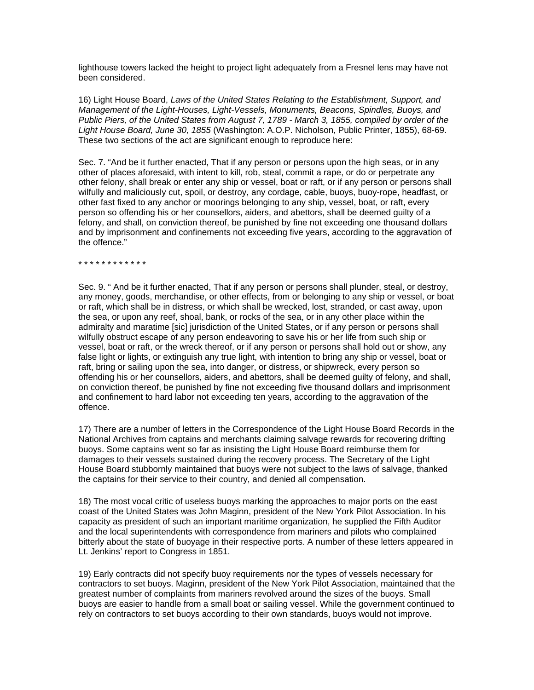lighthouse towers lacked the height to project light adequately from a Fresnel lens may have not been considered.

16) Light House Board, *Laws of the United States Relating to the Establishment, Support, and Management of the Light-Houses, Light-Vessels, Monuments, Beacons, Spindles, Buoys, and Public Piers, of the United States from August 7, 1789 - March 3, 1855, compiled by order of the Light House Board, June 30, 1855* (Washington: A.O.P. Nicholson, Public Printer, 1855), 68-69. These two sections of the act are significant enough to reproduce here:

Sec. 7. "And be it further enacted, That if any person or persons upon the high seas, or in any other of places aforesaid, with intent to kill, rob, steal, commit a rape, or do or perpetrate any other felony, shall break or enter any ship or vessel, boat or raft, or if any person or persons shall wilfully and maliciously cut, spoil, or destroy, any cordage, cable, buoys, buoy-rope, headfast, or other fast fixed to any anchor or moorings belonging to any ship, vessel, boat, or raft, every person so offending his or her counsellors, aiders, and abettors, shall be deemed guilty of a felony, and shall, on conviction thereof, be punished by fine not exceeding one thousand dollars and by imprisonment and confinements not exceeding five years, according to the aggravation of the offence."

\* \* \* \* \* \* \* \* \* \* \* \*

Sec. 9. " And be it further enacted, That if any person or persons shall plunder, steal, or destroy, any money, goods, merchandise, or other effects, from or belonging to any ship or vessel, or boat or raft, which shall be in distress, or which shall be wrecked, lost, stranded, or cast away, upon the sea, or upon any reef, shoal, bank, or rocks of the sea, or in any other place within the admiralty and maratime [sic] jurisdiction of the United States, or if any person or persons shall wilfully obstruct escape of any person endeavoring to save his or her life from such ship or vessel, boat or raft, or the wreck thereof, or if any person or persons shall hold out or show, any false light or lights, or extinguish any true light, with intention to bring any ship or vessel, boat or raft, bring or sailing upon the sea, into danger, or distress, or shipwreck, every person so offending his or her counsellors, aiders, and abettors, shall be deemed guilty of felony, and shall, on conviction thereof, be punished by fine not exceeding five thousand dollars and imprisonment and confinement to hard labor not exceeding ten years, according to the aggravation of the offence.

17) There are a number of letters in the Correspondence of the Light House Board Records in the National Archives from captains and merchants claiming salvage rewards for recovering drifting buoys. Some captains went so far as insisting the Light House Board reimburse them for damages to their vessels sustained during the recovery process. The Secretary of the Light House Board stubbornly maintained that buoys were not subject to the laws of salvage, thanked the captains for their service to their country, and denied all compensation.

18) The most vocal critic of useless buoys marking the approaches to major ports on the east coast of the United States was John Maginn, president of the New York Pilot Association. In his capacity as president of such an important maritime organization, he supplied the Fifth Auditor and the local superintendents with correspondence from mariners and pilots who complained bitterly about the state of buoyage in their respective ports. A number of these letters appeared in Lt. Jenkins' report to Congress in 1851.

19) Early contracts did not specify buoy requirements nor the types of vessels necessary for contractors to set buoys. Maginn, president of the New York Pilot Association, maintained that the greatest number of complaints from mariners revolved around the sizes of the buoys. Small buoys are easier to handle from a small boat or sailing vessel. While the government continued to rely on contractors to set buoys according to their own standards, buoys would not improve.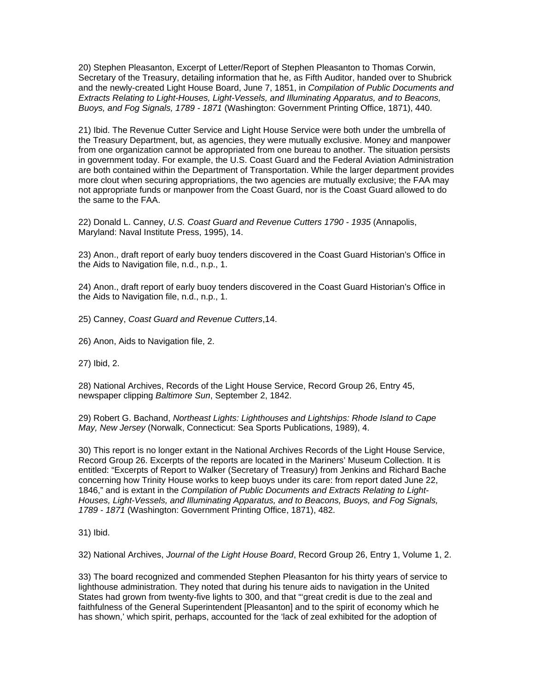20) Stephen Pleasanton, Excerpt of Letter/Report of Stephen Pleasanton to Thomas Corwin, Secretary of the Treasury, detailing information that he, as Fifth Auditor, handed over to Shubrick and the newly-created Light House Board, June 7, 1851, in *Compilation of Public Documents and Extracts Relating to Light-Houses, Light-Vessels, and Illuminating Apparatus, and to Beacons, Buoys, and Fog Signals, 1789 - 1871* (Washington: Government Printing Office, 1871), 440.

21) Ibid. The Revenue Cutter Service and Light House Service were both under the umbrella of the Treasury Department, but, as agencies, they were mutually exclusive. Money and manpower from one organization cannot be appropriated from one bureau to another. The situation persists in government today. For example, the U.S. Coast Guard and the Federal Aviation Administration are both contained within the Department of Transportation. While the larger department provides more clout when securing appropriations, the two agencies are mutually exclusive; the FAA may not appropriate funds or manpower from the Coast Guard, nor is the Coast Guard allowed to do the same to the FAA.

22) Donald L. Canney, *U.S. Coast Guard and Revenue Cutters 1790 - 1935* (Annapolis, Maryland: Naval Institute Press, 1995), 14.

23) Anon., draft report of early buoy tenders discovered in the Coast Guard Historian's Office in the Aids to Navigation file, n.d., n.p., 1.

24) Anon., draft report of early buoy tenders discovered in the Coast Guard Historian's Office in the Aids to Navigation file, n.d., n.p., 1.

25) Canney, *Coast Guard and Revenue Cutters*,14.

26) Anon, Aids to Navigation file, 2.

27) Ibid, 2.

28) National Archives, Records of the Light House Service, Record Group 26, Entry 45, newspaper clipping *Baltimore Sun*, September 2, 1842.

29) Robert G. Bachand, *Northeast Lights: Lighthouses and Lightships: Rhode Island to Cape May, New Jersey* (Norwalk, Connecticut: Sea Sports Publications, 1989), 4.

30) This report is no longer extant in the National Archives Records of the Light House Service, Record Group 26. Excerpts of the reports are located in the Mariners' Museum Collection. It is entitled: "Excerpts of Report to Walker (Secretary of Treasury) from Jenkins and Richard Bache concerning how Trinity House works to keep buoys under its care: from report dated June 22, 1846," and is extant in the *Compilation of Public Documents and Extracts Relating to Light-Houses, Light-Vessels, and Illuminating Apparatus, and to Beacons, Buoys, and Fog Signals, 1789 - 1871* (Washington: Government Printing Office, 1871), 482.

31) Ibid.

32) National Archives, *Journal of the Light House Board*, Record Group 26, Entry 1, Volume 1, 2.

33) The board recognized and commended Stephen Pleasanton for his thirty years of service to lighthouse administration. They noted that during his tenure aids to navigation in the United States had grown from twenty-five lights to 300, and that "'great credit is due to the zeal and faithfulness of the General Superintendent [Pleasanton] and to the spirit of economy which he has shown,' which spirit, perhaps, accounted for the 'lack of zeal exhibited for the adoption of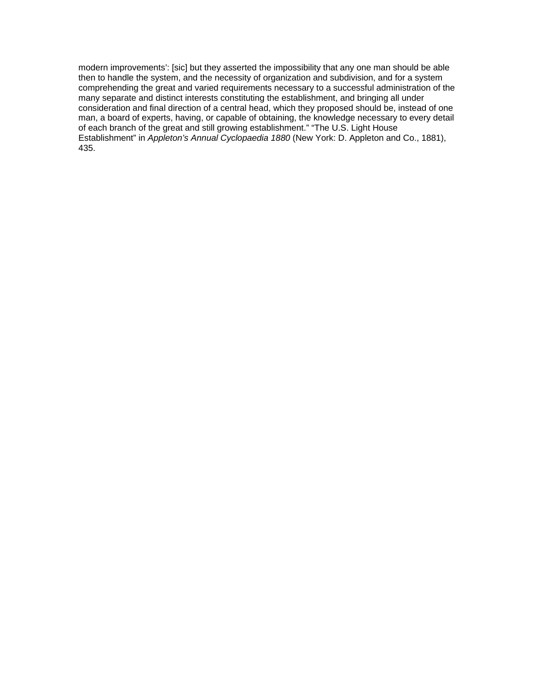modern improvements': [sic] but they asserted the impossibility that any one man should be able then to handle the system, and the necessity of organization and subdivision, and for a system comprehending the great and varied requirements necessary to a successful administration of the many separate and distinct interests constituting the establishment, and bringing all under consideration and final direction of a central head, which they proposed should be, instead of one man, a board of experts, having, or capable of obtaining, the knowledge necessary to every detail of each branch of the great and still growing establishment." "The U.S. Light House Establishment" in *Appleton's Annual Cyclopaedia 1880* (New York: D. Appleton and Co., 1881), 435.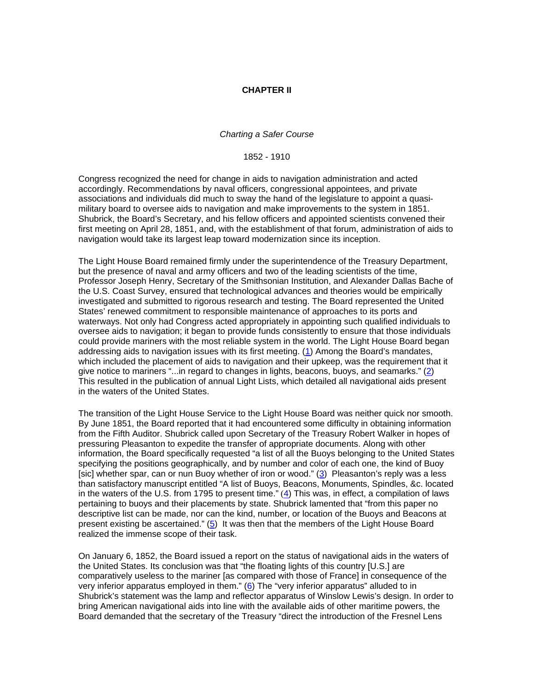#### **CHAPTER II**

#### *Charting a Safer Course*

1852 - 1910

Congress recognized the need for change in aids to navigation administration and acted accordingly. Recommendations by naval officers, congressional appointees, and private associations and individuals did much to sway the hand of the legislature to appoint a quasimilitary board to oversee aids to navigation and make improvements to the system in 1851. Shubrick, the Board's Secretary, and his fellow officers and appointed scientists convened their first meeting on April 28, 1851, and, with the establishment of that forum, administration of aids to navigation would take its largest leap toward modernization since its inception.

The Light House Board remained firmly under the superintendence of the Treasury Department, but the presence of naval and army officers and two of the leading scientists of the time, Professor Joseph Henry, Secretary of the Smithsonian Institution, and Alexander Dallas Bache of the U.S. Coast Survey, ensured that technological advances and theories would be empirically investigated and submitted to rigorous research and testing. The Board represented the United States' renewed commitment to responsible maintenance of approaches to its ports and waterways. Not only had Congress acted appropriately in appointing such qualified individuals to oversee aids to navigation; it began to provide funds consistently to ensure that those individuals could provide mariners with the most reliable system in the world. The Light House Board began addressing aids to navigation issues with its first meeting. (1) Among the Board's mandates, which included the placement of aids to navigation and their upkeep, was the requirement that it give notice to mariners "...in regard to changes in lights, beacons, buoys, and seamarks." (2) This resulted in the publication of annual Light Lists, which detailed all navigational aids present in the waters of the United States.

The transition of the Light House Service to the Light House Board was neither quick nor smooth. By June 1851, the Board reported that it had encountered some difficulty in obtaining information from the Fifth Auditor. Shubrick called upon Secretary of the Treasury Robert Walker in hopes of pressuring Pleasanton to expedite the transfer of appropriate documents. Along with other information, the Board specifically requested "a list of all the Buoys belonging to the United States specifying the positions geographically, and by number and color of each one, the kind of Buoy [sic] whether spar, can or nun Buoy whether of iron or wood." (3) Pleasanton's reply was a less than satisfactory manuscript entitled "A list of Buoys, Beacons, Monuments, Spindles, &c. located in the waters of the U.S. from 1795 to present time."  $(4)$  This was, in effect, a compilation of laws pertaining to buoys and their placements by state. Shubrick lamented that "from this paper no descriptive list can be made, nor can the kind, number, or location of the Buoys and Beacons at present existing be ascertained." (5) It was then that the members of the Light House Board realized the immense scope of their task.

On January 6, 1852, the Board issued a report on the status of navigational aids in the waters of the United States. Its conclusion was that "the floating lights of this country [U.S.] are comparatively useless to the mariner [as compared with those of France] in consequence of the very inferior apparatus employed in them." (6) The "very inferior apparatus" alluded to in Shubrick's statement was the lamp and reflector apparatus of Winslow Lewis's design. In order to bring American navigational aids into line with the available aids of other maritime powers, the Board demanded that the secretary of the Treasury "direct the introduction of the Fresnel Lens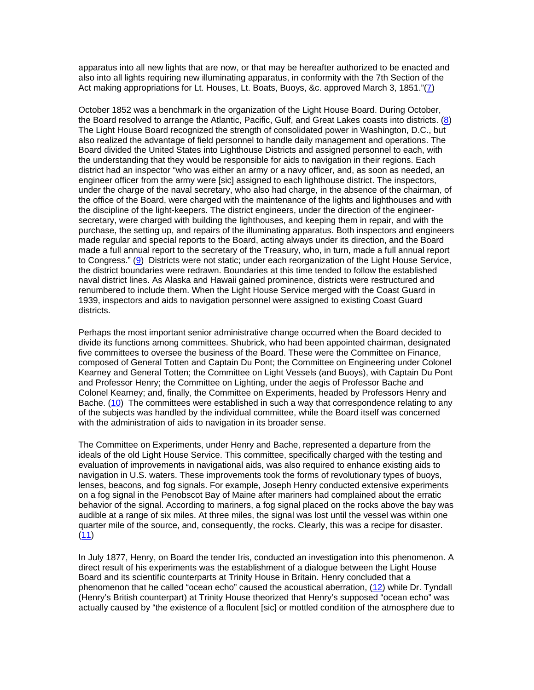apparatus into all new lights that are now, or that may be hereafter authorized to be enacted and also into all lights requiring new illuminating apparatus, in conformity with the 7th Section of the Act making appropriations for Lt. Houses, Lt. Boats, Buoys, &c. approved March 3, 1851."(7)

October 1852 was a benchmark in the organization of the Light House Board. During October, the Board resolved to arrange the Atlantic, Pacific, Gulf, and Great Lakes coasts into districts. (8) The Light House Board recognized the strength of consolidated power in Washington, D.C., but also realized the advantage of field personnel to handle daily management and operations. The Board divided the United States into Lighthouse Districts and assigned personnel to each, with the understanding that they would be responsible for aids to navigation in their regions. Each district had an inspector "who was either an army or a navy officer, and, as soon as needed, an engineer officer from the army were [sic] assigned to each lighthouse district. The inspectors, under the charge of the naval secretary, who also had charge, in the absence of the chairman, of the office of the Board, were charged with the maintenance of the lights and lighthouses and with the discipline of the light-keepers. The district engineers, under the direction of the engineersecretary, were charged with building the lighthouses, and keeping them in repair, and with the purchase, the setting up, and repairs of the illuminating apparatus. Both inspectors and engineers made regular and special reports to the Board, acting always under its direction, and the Board made a full annual report to the secretary of the Treasury, who, in turn, made a full annual report to Congress." (9) Districts were not static; under each reorganization of the Light House Service, the district boundaries were redrawn. Boundaries at this time tended to follow the established naval district lines. As Alaska and Hawaii gained prominence, districts were restructured and renumbered to include them. When the Light House Service merged with the Coast Guard in 1939, inspectors and aids to navigation personnel were assigned to existing Coast Guard districts.

Perhaps the most important senior administrative change occurred when the Board decided to divide its functions among committees. Shubrick, who had been appointed chairman, designated five committees to oversee the business of the Board. These were the Committee on Finance, composed of General Totten and Captain Du Pont; the Committee on Engineering under Colonel Kearney and General Totten; the Committee on Light Vessels (and Buoys), with Captain Du Pont and Professor Henry; the Committee on Lighting, under the aegis of Professor Bache and Colonel Kearney; and, finally, the Committee on Experiments, headed by Professors Henry and Bache. (10) The committees were established in such a way that correspondence relating to any of the subjects was handled by the individual committee, while the Board itself was concerned with the administration of aids to navigation in its broader sense.

The Committee on Experiments, under Henry and Bache, represented a departure from the ideals of the old Light House Service. This committee, specifically charged with the testing and evaluation of improvements in navigational aids, was also required to enhance existing aids to navigation in U.S. waters. These improvements took the forms of revolutionary types of buoys, lenses, beacons, and fog signals. For example, Joseph Henry conducted extensive experiments on a fog signal in the Penobscot Bay of Maine after mariners had complained about the erratic behavior of the signal. According to mariners, a fog signal placed on the rocks above the bay was audible at a range of six miles. At three miles, the signal was lost until the vessel was within one quarter mile of the source, and, consequently, the rocks. Clearly, this was a recipe for disaster. (11)

In July 1877, Henry, on Board the tender Iris, conducted an investigation into this phenomenon. A direct result of his experiments was the establishment of a dialogue between the Light House Board and its scientific counterparts at Trinity House in Britain. Henry concluded that a phenomenon that he called "ocean echo" caused the acoustical aberration, (12) while Dr. Tyndall (Henry's British counterpart) at Trinity House theorized that Henry's supposed "ocean echo" was actually caused by "the existence of a floculent [sic] or mottled condition of the atmosphere due to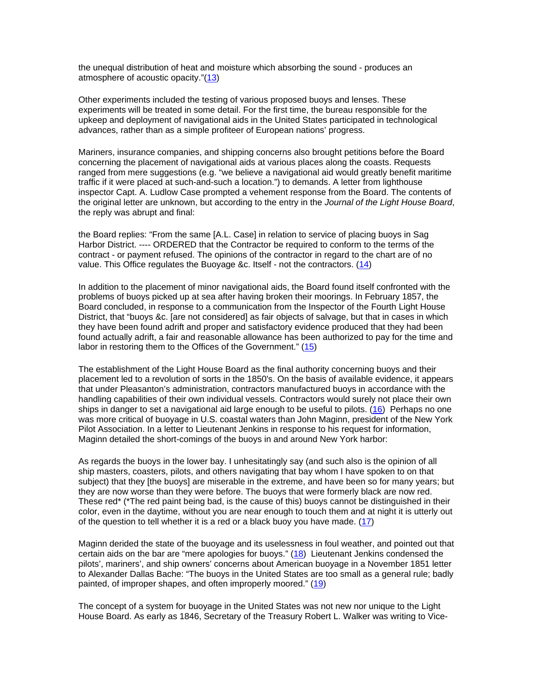the unequal distribution of heat and moisture which absorbing the sound - produces an atmosphere of acoustic opacity."(13)

Other experiments included the testing of various proposed buoys and lenses. These experiments will be treated in some detail. For the first time, the bureau responsible for the upkeep and deployment of navigational aids in the United States participated in technological advances, rather than as a simple profiteer of European nations' progress.

Mariners, insurance companies, and shipping concerns also brought petitions before the Board concerning the placement of navigational aids at various places along the coasts. Requests ranged from mere suggestions (e.g. "we believe a navigational aid would greatly benefit maritime traffic if it were placed at such-and-such a location.") to demands. A letter from lighthouse inspector Capt. A. Ludlow Case prompted a vehement response from the Board. The contents of the original letter are unknown, but according to the entry in the *Journal of the Light House Board*, the reply was abrupt and final:

the Board replies: "From the same [A.L. Case] in relation to service of placing buoys in Sag Harbor District. ---- ORDERED that the Contractor be required to conform to the terms of the contract - or payment refused. The opinions of the contractor in regard to the chart are of no value. This Office regulates the Buoyage &c. Itself - not the contractors. (14)

In addition to the placement of minor navigational aids, the Board found itself confronted with the problems of buoys picked up at sea after having broken their moorings. In February 1857, the Board concluded, in response to a communication from the Inspector of the Fourth Light House District, that "buoys &c. [are not considered] as fair objects of salvage, but that in cases in which they have been found adrift and proper and satisfactory evidence produced that they had been found actually adrift, a fair and reasonable allowance has been authorized to pay for the time and labor in restoring them to the Offices of the Government." (15)

The establishment of the Light House Board as the final authority concerning buoys and their placement led to a revolution of sorts in the 1850's. On the basis of available evidence, it appears that under Pleasanton's administration, contractors manufactured buoys in accordance with the handling capabilities of their own individual vessels. Contractors would surely not place their own ships in danger to set a navigational aid large enough to be useful to pilots. (16) Perhaps no one was more critical of buoyage in U.S. coastal waters than John Maginn, president of the New York Pilot Association. In a letter to Lieutenant Jenkins in response to his request for information, Maginn detailed the short-comings of the buoys in and around New York harbor:

As regards the buoys in the lower bay. I unhesitatingly say (and such also is the opinion of all ship masters, coasters, pilots, and others navigating that bay whom I have spoken to on that subject) that they [the buoys] are miserable in the extreme, and have been so for many years; but they are now worse than they were before. The buoys that were formerly black are now red. These red\* (\*The red paint being bad, is the cause of this) buoys cannot be distinguished in their color, even in the daytime, without you are near enough to touch them and at night it is utterly out of the question to tell whether it is a red or a black buoy you have made. (17)

Maginn derided the state of the buoyage and its uselessness in foul weather, and pointed out that certain aids on the bar are "mere apologies for buoys." (18) Lieutenant Jenkins condensed the pilots', mariners', and ship owners' concerns about American buoyage in a November 1851 letter to Alexander Dallas Bache: "The buoys in the United States are too small as a general rule; badly painted, of improper shapes, and often improperly moored." (19)

The concept of a system for buoyage in the United States was not new nor unique to the Light House Board. As early as 1846, Secretary of the Treasury Robert L. Walker was writing to Vice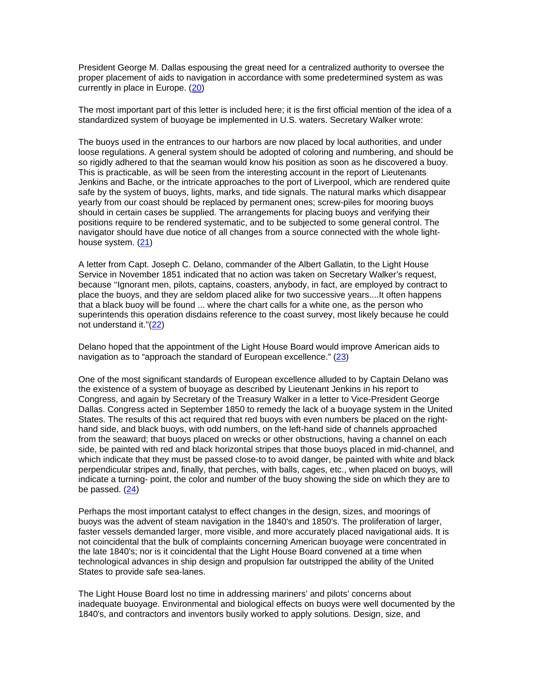President George M. Dallas espousing the great need for a centralized authority to oversee the proper placement of aids to navigation in accordance with some predetermined system as was currently in place in Europe. (20)

The most important part of this letter is included here; it is the first official mention of the idea of a standardized system of buoyage be implemented in U.S. waters. Secretary Walker wrote:

The buoys used in the entrances to our harbors are now placed by local authorities, and under loose regulations. A general system should be adopted of coloring and numbering, and should be so rigidly adhered to that the seaman would know his position as soon as he discovered a buoy. This is practicable, as will be seen from the interesting account in the report of Lieutenants Jenkins and Bache, or the intricate approaches to the port of Liverpool, which are rendered quite safe by the system of buoys, lights, marks, and tide signals. The natural marks which disappear yearly from our coast should be replaced by permanent ones; screw-piles for mooring buoys should in certain cases be supplied. The arrangements for placing buoys and verifying their positions require to be rendered systematic, and to be subjected to some general control. The navigator should have due notice of all changes from a source connected with the whole lighthouse system. (21)

A letter from Capt. Joseph C. Delano, commander of the Albert Gallatin, to the Light House Service in November 1851 indicated that no action was taken on Secretary Walker's request, because "Ignorant men, pilots, captains, coasters, anybody, in fact, are employed by contract to place the buoys, and they are seldom placed alike for two successive years....It often happens that a black buoy will be found ... where the chart calls for a white one, as the person who superintends this operation disdains reference to the coast survey, most likely because he could not understand it."(22)

Delano hoped that the appointment of the Light House Board would improve American aids to navigation as to "approach the standard of European excellence." (23)

One of the most significant standards of European excellence alluded to by Captain Delano was the existence of a system of buoyage as described by Lieutenant Jenkins in his report to Congress, and again by Secretary of the Treasury Walker in a letter to Vice-President George Dallas. Congress acted in September 1850 to remedy the lack of a buoyage system in the United States. The results of this act required that red buoys with even numbers be placed on the righthand side, and black buoys, with odd numbers, on the left-hand side of channels approached from the seaward; that buoys placed on wrecks or other obstructions, having a channel on each side, be painted with red and black horizontal stripes that those buoys placed in mid-channel, and which indicate that they must be passed close-to to avoid danger, be painted with white and black perpendicular stripes and, finally, that perches, with balls, cages, etc., when placed on buoys, will indicate a turning- point, the color and number of the buoy showing the side on which they are to be passed. (24)

Perhaps the most important catalyst to effect changes in the design, sizes, and moorings of buoys was the advent of steam navigation in the 1840's and 1850's. The proliferation of larger, faster vessels demanded larger, more visible, and more accurately placed navigational aids. It is not coincidental that the bulk of complaints concerning American buoyage were concentrated in the late 1840's; nor is it coincidental that the Light House Board convened at a time when technological advances in ship design and propulsion far outstripped the ability of the United States to provide safe sea-lanes.

The Light House Board lost no time in addressing mariners' and pilots' concerns about inadequate buoyage. Environmental and biological effects on buoys were well documented by the 1840's, and contractors and inventors busily worked to apply solutions. Design, size, and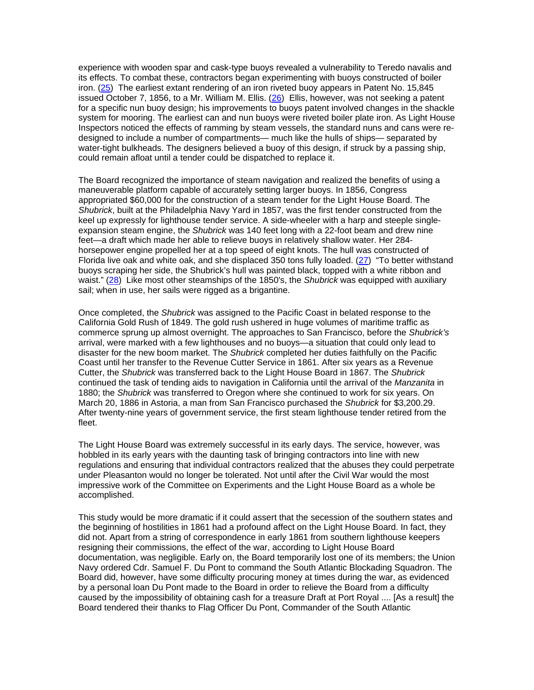experience with wooden spar and cask-type buoys revealed a vulnerability to Teredo navalis and its effects. To combat these, contractors began experimenting with buoys constructed of boiler iron. (25) The earliest extant rendering of an iron riveted buoy appears in Patent No. 15,845 issued October 7, 1856, to a Mr. William M. Ellis.  $(26)$  Ellis, however, was not seeking a patent for a specific nun buoy design; his improvements to buoys patent involved changes in the shackle system for mooring. The earliest can and nun buoys were riveted boiler plate iron. As Light House Inspectors noticed the effects of ramming by steam vessels, the standard nuns and cans were redesigned to include a number of compartments— much like the hulls of ships— separated by water-tight bulkheads. The designers believed a buoy of this design, if struck by a passing ship, could remain afloat until a tender could be dispatched to replace it.

The Board recognized the importance of steam navigation and realized the benefits of using a maneuverable platform capable of accurately setting larger buoys. In 1856, Congress appropriated \$60,000 for the construction of a steam tender for the Light House Board. The *Shubrick*, built at the Philadelphia Navy Yard in 1857, was the first tender constructed from the keel up expressly for lighthouse tender service. A side-wheeler with a harp and steeple singleexpansion steam engine, the *Shubrick* was 140 feet long with a 22-foot beam and drew nine feet—a draft which made her able to relieve buoys in relatively shallow water. Her 284 horsepower engine propelled her at a top speed of eight knots. The hull was constructed of Florida live oak and white oak, and she displaced 350 tons fully loaded. (27) "To better withstand buoys scraping her side, the Shubrick's hull was painted black, topped with a white ribbon and waist." (28) Like most other steamships of the 1850's, the *Shubrick* was equipped with auxiliary sail; when in use, her sails were rigged as a brigantine.

Once completed, the *Shubrick* was assigned to the Pacific Coast in belated response to the California Gold Rush of 1849. The gold rush ushered in huge volumes of maritime traffic as commerce sprung up almost overnight. The approaches to San Francisco, before the *Shubrick's* arrival, were marked with a few lighthouses and no buoys—a situation that could only lead to disaster for the new boom market. The *Shubrick* completed her duties faithfully on the Pacific Coast until her transfer to the Revenue Cutter Service in 1861. After six years as a Revenue Cutter, the *Shubrick* was transferred back to the Light House Board in 1867. The *Shubrick* continued the task of tending aids to navigation in California until the arrival of the *Manzanita* in 1880; the *Shubrick* was transferred to Oregon where she continued to work for six years. On March 20, 1886 in Astoria, a man from San Francisco purchased the *Shubrick* for \$3,200.29. After twenty-nine years of government service, the first steam lighthouse tender retired from the fleet.

The Light House Board was extremely successful in its early days. The service, however, was hobbled in its early years with the daunting task of bringing contractors into line with new regulations and ensuring that individual contractors realized that the abuses they could perpetrate under Pleasanton would no longer be tolerated. Not until after the Civil War would the most impressive work of the Committee on Experiments and the Light House Board as a whole be accomplished.

This study would be more dramatic if it could assert that the secession of the southern states and the beginning of hostilities in 1861 had a profound affect on the Light House Board. In fact, they did not. Apart from a string of correspondence in early 1861 from southern lighthouse keepers resigning their commissions, the effect of the war, according to Light House Board documentation, was negligible. Early on, the Board temporarily lost one of its members; the Union Navy ordered Cdr. Samuel F. Du Pont to command the South Atlantic Blockading Squadron. The Board did, however, have some difficulty procuring money at times during the war, as evidenced by a personal loan Du Pont made to the Board in order to relieve the Board from a difficulty caused by the impossibility of obtaining cash for a treasure Draft at Port Royal .... [As a result] the Board tendered their thanks to Flag Officer Du Pont, Commander of the South Atlantic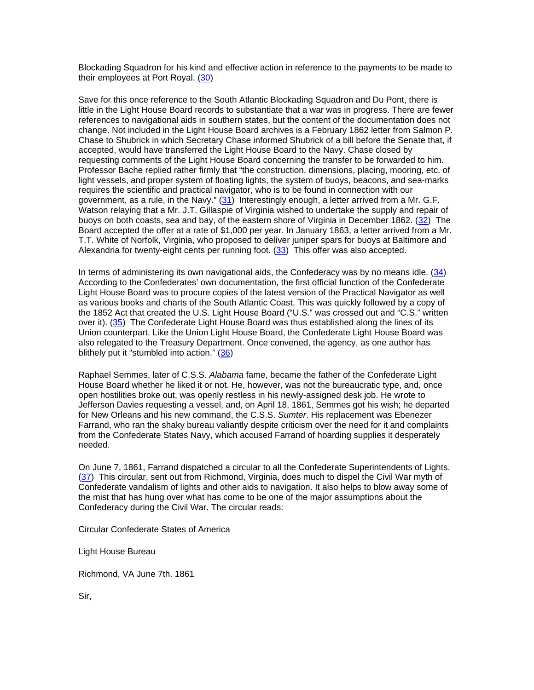Blockading Squadron for his kind and effective action in reference to the payments to be made to their employees at Port Royal. (30)

Save for this once reference to the South Atlantic Blockading Squadron and Du Pont, there is little in the Light House Board records to substantiate that a war was in progress. There are fewer references to navigational aids in southern states, but the content of the documentation does not change. Not included in the Light House Board archives is a February 1862 letter from Salmon P. Chase to Shubrick in which Secretary Chase informed Shubrick of a bill before the Senate that, if accepted, would have transferred the Light House Board to the Navy. Chase closed by requesting comments of the Light House Board concerning the transfer to be forwarded to him. Professor Bache replied rather firmly that "the construction, dimensions, placing, mooring, etc. of light vessels, and proper system of floating lights, the system of buoys, beacons, and sea-marks requires the scientific and practical navigator, who is to be found in connection with our government, as a rule, in the Navy." (31) Interestingly enough, a letter arrived from a Mr. G.F. Watson relaying that a Mr. J.T. Gillaspie of Virginia wished to undertake the supply and repair of buoys on both coasts, sea and bay, of the eastern shore of Virginia in December 1862. (32) The Board accepted the offer at a rate of \$1,000 per year. In January 1863, a letter arrived from a Mr. T.T. White of Norfolk, Virginia, who proposed to deliver juniper spars for buoys at Baltimore and Alexandria for twenty-eight cents per running foot. (33) This offer was also accepted.

In terms of administering its own navigational aids, the Confederacy was by no means idle. (34) According to the Confederates' own documentation, the first official function of the Confederate Light House Board was to procure copies of the latest version of the Practical Navigator as well as various books and charts of the South Atlantic Coast. This was quickly followed by a copy of the 1852 Act that created the U.S. Light House Board ("U.S." was crossed out and "C.S." written over it). (35) The Confederate Light House Board was thus established along the lines of its Union counterpart. Like the Union Light House Board, the Confederate Light House Board was also relegated to the Treasury Department. Once convened, the agency, as one author has blithely put it "stumbled into action." (36)

Raphael Semmes, later of C.S.S. *Alabama* fame, became the father of the Confederate Light House Board whether he liked it or not. He, however, was not the bureaucratic type, and, once open hostilities broke out, was openly restless in his newly-assigned desk job. He wrote to Jefferson Davies requesting a vessel, and, on April 18, 1861, Semmes got his wish; he departed for New Orleans and his new command, the C.S.S. *Sumter*. His replacement was Ebenezer Farrand, who ran the shaky bureau valiantly despite criticism over the need for it and complaints from the Confederate States Navy, which accused Farrand of hoarding supplies it desperately needed.

On June 7, 1861, Farrand dispatched a circular to all the Confederate Superintendents of Lights. (37) This circular, sent out from Richmond, Virginia, does much to dispel the Civil War myth of Confederate vandalism of lights and other aids to navigation. It also helps to blow away some of the mist that has hung over what has come to be one of the major assumptions about the Confederacy during the Civil War. The circular reads:

Circular Confederate States of America

Light House Bureau

Richmond, VA June 7th. 1861

Sir,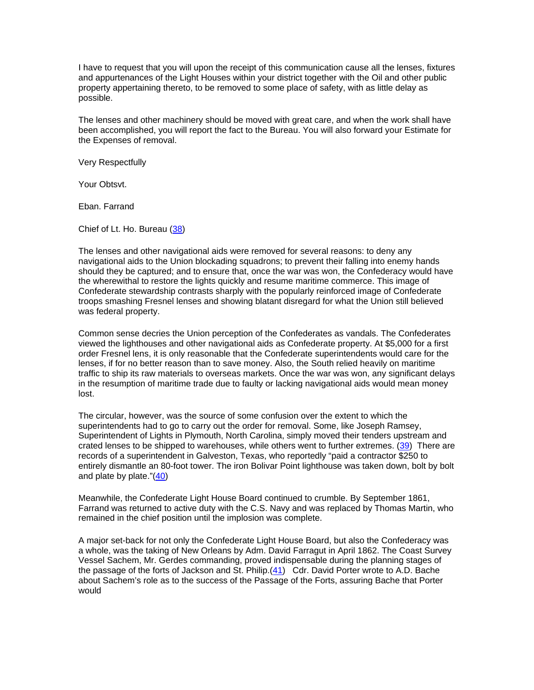I have to request that you will upon the receipt of this communication cause all the lenses, fixtures and appurtenances of the Light Houses within your district together with the Oil and other public property appertaining thereto, to be removed to some place of safety, with as little delay as possible.

The lenses and other machinery should be moved with great care, and when the work shall have been accomplished, you will report the fact to the Bureau. You will also forward your Estimate for the Expenses of removal.

Very Respectfully

Your Obtsvt.

Eban. Farrand

Chief of Lt. Ho. Bureau (38)

The lenses and other navigational aids were removed for several reasons: to deny any navigational aids to the Union blockading squadrons; to prevent their falling into enemy hands should they be captured; and to ensure that, once the war was won, the Confederacy would have the wherewithal to restore the lights quickly and resume maritime commerce. This image of Confederate stewardship contrasts sharply with the popularly reinforced image of Confederate troops smashing Fresnel lenses and showing blatant disregard for what the Union still believed was federal property.

Common sense decries the Union perception of the Confederates as vandals. The Confederates viewed the lighthouses and other navigational aids as Confederate property. At \$5,000 for a first order Fresnel lens, it is only reasonable that the Confederate superintendents would care for the lenses, if for no better reason than to save money. Also, the South relied heavily on maritime traffic to ship its raw materials to overseas markets. Once the war was won, any significant delays in the resumption of maritime trade due to faulty or lacking navigational aids would mean money lost.

The circular, however, was the source of some confusion over the extent to which the superintendents had to go to carry out the order for removal. Some, like Joseph Ramsey, Superintendent of Lights in Plymouth, North Carolina, simply moved their tenders upstream and crated lenses to be shipped to warehouses, while others went to further extremes. (39) There are records of a superintendent in Galveston, Texas, who reportedly "paid a contractor \$250 to entirely dismantle an 80-foot tower. The iron Bolivar Point lighthouse was taken down, bolt by bolt and plate by plate."(40)

Meanwhile, the Confederate Light House Board continued to crumble. By September 1861, Farrand was returned to active duty with the C.S. Navy and was replaced by Thomas Martin, who remained in the chief position until the implosion was complete.

A major set-back for not only the Confederate Light House Board, but also the Confederacy was a whole, was the taking of New Orleans by Adm. David Farragut in April 1862. The Coast Survey Vessel Sachem, Mr. Gerdes commanding, proved indispensable during the planning stages of the passage of the forts of Jackson and St. Philip.(41) Cdr. David Porter wrote to A.D. Bache about Sachem's role as to the success of the Passage of the Forts, assuring Bache that Porter would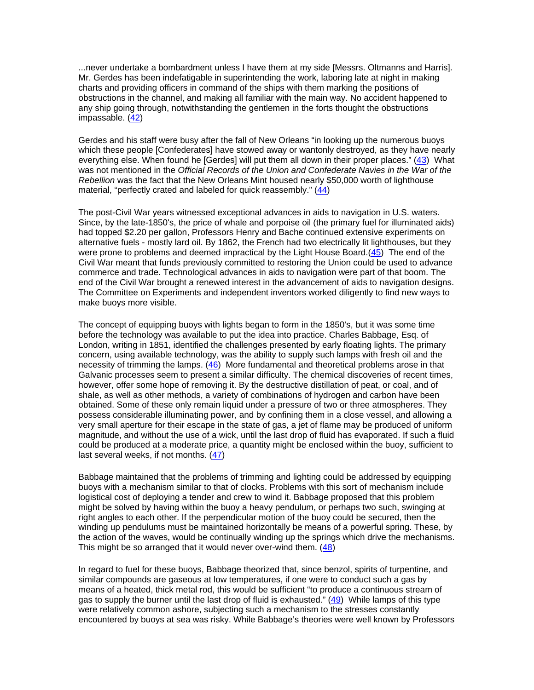...never undertake a bombardment unless I have them at my side [Messrs. Oltmanns and Harris]. Mr. Gerdes has been indefatigable in superintending the work, laboring late at night in making charts and providing officers in command of the ships with them marking the positions of obstructions in the channel, and making all familiar with the main way. No accident happened to any ship going through, notwithstanding the gentlemen in the forts thought the obstructions impassable. (42)

Gerdes and his staff were busy after the fall of New Orleans "in looking up the numerous buoys which these people [Confederates] have stowed away or wantonly destroyed, as they have nearly everything else. When found he [Gerdes] will put them all down in their proper places." (43) What was not mentioned in the *Official Records of the Union and Confederate Navies in the War of the Rebellion* was the fact that the New Orleans Mint housed nearly \$50,000 worth of lighthouse material, "perfectly crated and labeled for quick reassembly." (44)

The post-Civil War years witnessed exceptional advances in aids to navigation in U.S. waters. Since, by the late-1850's, the price of whale and porpoise oil (the primary fuel for illuminated aids) had topped \$2.20 per gallon, Professors Henry and Bache continued extensive experiments on alternative fuels - mostly lard oil. By 1862, the French had two electrically lit lighthouses, but they were prone to problems and deemed impractical by the Light House Board.(45) The end of the Civil War meant that funds previously committed to restoring the Union could be used to advance commerce and trade. Technological advances in aids to navigation were part of that boom. The end of the Civil War brought a renewed interest in the advancement of aids to navigation designs. The Committee on Experiments and independent inventors worked diligently to find new ways to make buoys more visible.

The concept of equipping buoys with lights began to form in the 1850's, but it was some time before the technology was available to put the idea into practice. Charles Babbage, Esq. of London, writing in 1851, identified the challenges presented by early floating lights. The primary concern, using available technology, was the ability to supply such lamps with fresh oil and the necessity of trimming the lamps. (46) More fundamental and theoretical problems arose in that Galvanic processes seem to present a similar difficulty. The chemical discoveries of recent times, however, offer some hope of removing it. By the destructive distillation of peat, or coal, and of shale, as well as other methods, a variety of combinations of hydrogen and carbon have been obtained. Some of these only remain liquid under a pressure of two or three atmospheres. They possess considerable illuminating power, and by confining them in a close vessel, and allowing a very small aperture for their escape in the state of gas, a jet of flame may be produced of uniform magnitude, and without the use of a wick, until the last drop of fluid has evaporated. If such a fluid could be produced at a moderate price, a quantity might be enclosed within the buoy, sufficient to last several weeks, if not months. (47)

Babbage maintained that the problems of trimming and lighting could be addressed by equipping buoys with a mechanism similar to that of clocks. Problems with this sort of mechanism include logistical cost of deploying a tender and crew to wind it. Babbage proposed that this problem might be solved by having within the buoy a heavy pendulum, or perhaps two such, swinging at right angles to each other. If the perpendicular motion of the buoy could be secured, then the winding up pendulums must be maintained horizontally be means of a powerful spring. These, by the action of the waves, would be continually winding up the springs which drive the mechanisms. This might be so arranged that it would never over-wind them. (48)

In regard to fuel for these buoys, Babbage theorized that, since benzol, spirits of turpentine, and similar compounds are gaseous at low temperatures, if one were to conduct such a gas by means of a heated, thick metal rod, this would be sufficient "to produce a continuous stream of gas to supply the burner until the last drop of fluid is exhausted."  $(49)$  While lamps of this type were relatively common ashore, subjecting such a mechanism to the stresses constantly encountered by buoys at sea was risky. While Babbage's theories were well known by Professors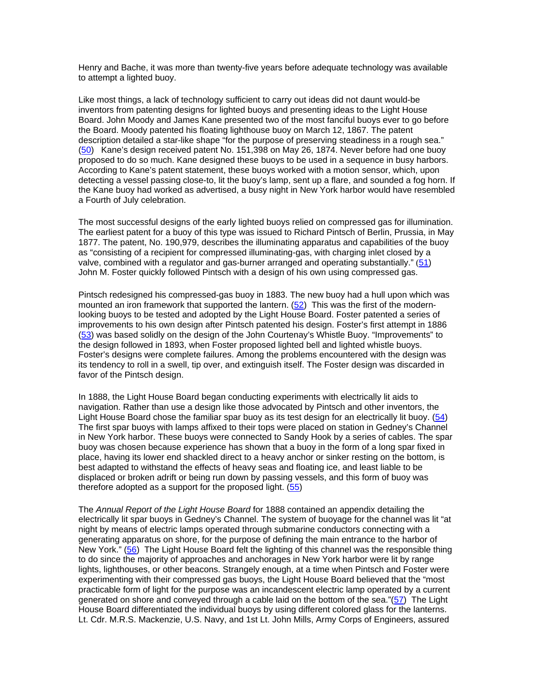Henry and Bache, it was more than twenty-five years before adequate technology was available to attempt a lighted buoy.

Like most things, a lack of technology sufficient to carry out ideas did not daunt would-be inventors from patenting designs for lighted buoys and presenting ideas to the Light House Board. John Moody and James Kane presented two of the most fanciful buoys ever to go before the Board. Moody patented his floating lighthouse buoy on March 12, 1867. The patent description detailed a star-like shape "for the purpose of preserving steadiness in a rough sea." (50) Kane's design received patent No. 151,398 on May 26, 1874. Never before had one buoy proposed to do so much. Kane designed these buoys to be used in a sequence in busy harbors. According to Kane's patent statement, these buoys worked with a motion sensor, which, upon detecting a vessel passing close-to, lit the buoy's lamp, sent up a flare, and sounded a fog horn. If the Kane buoy had worked as advertised, a busy night in New York harbor would have resembled a Fourth of July celebration.

The most successful designs of the early lighted buoys relied on compressed gas for illumination. The earliest patent for a buoy of this type was issued to Richard Pintsch of Berlin, Prussia, in May 1877. The patent, No. 190,979, describes the illuminating apparatus and capabilities of the buoy as "consisting of a recipient for compressed illuminating-gas, with charging inlet closed by a valve, combined with a regulator and gas-burner arranged and operating substantially." (51) John M. Foster quickly followed Pintsch with a design of his own using compressed gas.

Pintsch redesigned his compressed-gas buoy in 1883. The new buoy had a hull upon which was mounted an iron framework that supported the lantern. (52) This was the first of the modernlooking buoys to be tested and adopted by the Light House Board. Foster patented a series of improvements to his own design after Pintsch patented his design. Foster's first attempt in 1886 (53) was based solidly on the design of the John Courtenay's Whistle Buoy. "Improvements" to the design followed in 1893, when Foster proposed lighted bell and lighted whistle buoys. Foster's designs were complete failures. Among the problems encountered with the design was its tendency to roll in a swell, tip over, and extinguish itself. The Foster design was discarded in favor of the Pintsch design.

In 1888, the Light House Board began conducting experiments with electrically lit aids to navigation. Rather than use a design like those advocated by Pintsch and other inventors, the Light House Board chose the familiar spar buoy as its test design for an electrically lit buoy. (54) The first spar buoys with lamps affixed to their tops were placed on station in Gedney's Channel in New York harbor. These buoys were connected to Sandy Hook by a series of cables. The spar buoy was chosen because experience has shown that a buoy in the form of a long spar fixed in place, having its lower end shackled direct to a heavy anchor or sinker resting on the bottom, is best adapted to withstand the effects of heavy seas and floating ice, and least liable to be displaced or broken adrift or being run down by passing vessels, and this form of buoy was therefore adopted as a support for the proposed light. (55)

The *Annual Report of the Light House Board* for 1888 contained an appendix detailing the electrically lit spar buoys in Gedney's Channel. The system of buoyage for the channel was lit "at night by means of electric lamps operated through submarine conductors connecting with a generating apparatus on shore, for the purpose of defining the main entrance to the harbor of New York." (56) The Light House Board felt the lighting of this channel was the responsible thing to do since the majority of approaches and anchorages in New York harbor were lit by range lights, lighthouses, or other beacons. Strangely enough, at a time when Pintsch and Foster were experimenting with their compressed gas buoys, the Light House Board believed that the "most practicable form of light for the purpose was an incandescent electric lamp operated by a current generated on shore and conveyed through a cable laid on the bottom of the sea."(57) The Light House Board differentiated the individual buoys by using different colored glass for the lanterns. Lt. Cdr. M.R.S. Mackenzie, U.S. Navy, and 1st Lt. John Mills, Army Corps of Engineers, assured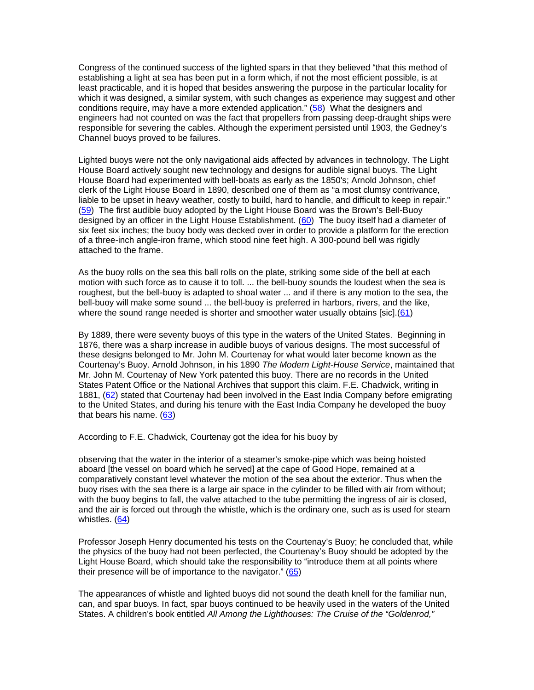Congress of the continued success of the lighted spars in that they believed "that this method of establishing a light at sea has been put in a form which, if not the most efficient possible, is at least practicable, and it is hoped that besides answering the purpose in the particular locality for which it was designed, a similar system, with such changes as experience may suggest and other conditions require, may have a more extended application." (58) What the designers and engineers had not counted on was the fact that propellers from passing deep-draught ships were responsible for severing the cables. Although the experiment persisted until 1903, the Gedney's Channel buoys proved to be failures.

Lighted buoys were not the only navigational aids affected by advances in technology. The Light House Board actively sought new technology and designs for audible signal buoys. The Light House Board had experimented with bell-boats as early as the 1850's; Arnold Johnson, chief clerk of the Light House Board in 1890, described one of them as "a most clumsy contrivance, liable to be upset in heavy weather, costly to build, hard to handle, and difficult to keep in repair." (59) The first audible buoy adopted by the Light House Board was the Brown's Bell-Buoy designed by an officer in the Light House Establishment. (60) The buoy itself had a diameter of six feet six inches; the buoy body was decked over in order to provide a platform for the erection of a three-inch angle-iron frame, which stood nine feet high. A 300-pound bell was rigidly attached to the frame.

As the buoy rolls on the sea this ball rolls on the plate, striking some side of the bell at each motion with such force as to cause it to toll. ... the bell-buoy sounds the loudest when the sea is roughest, but the bell-buoy is adapted to shoal water ... and if there is any motion to the sea, the bell-buoy will make some sound ... the bell-buoy is preferred in harbors, rivers, and the like, where the sound range needed is shorter and smoother water usually obtains [sic].(61)

By 1889, there were seventy buoys of this type in the waters of the United States. Beginning in 1876, there was a sharp increase in audible buoys of various designs. The most successful of these designs belonged to Mr. John M. Courtenay for what would later become known as the Courtenay's Buoy. Arnold Johnson, in his 1890 *The Modern Light-House Service*, maintained that Mr. John M. Courtenay of New York patented this buoy. There are no records in the United States Patent Office or the National Archives that support this claim. F.E. Chadwick, writing in 1881, (62) stated that Courtenay had been involved in the East India Company before emigrating to the United States, and during his tenure with the East India Company he developed the buoy that bears his name. (63)

According to F.E. Chadwick, Courtenay got the idea for his buoy by

observing that the water in the interior of a steamer's smoke-pipe which was being hoisted aboard [the vessel on board which he served] at the cape of Good Hope, remained at a comparatively constant level whatever the motion of the sea about the exterior. Thus when the buoy rises with the sea there is a large air space in the cylinder to be filled with air from without; with the buoy begins to fall, the valve attached to the tube permitting the ingress of air is closed, and the air is forced out through the whistle, which is the ordinary one, such as is used for steam whistles. (64)

Professor Joseph Henry documented his tests on the Courtenay's Buoy; he concluded that, while the physics of the buoy had not been perfected, the Courtenay's Buoy should be adopted by the Light House Board, which should take the responsibility to "introduce them at all points where their presence will be of importance to the navigator." (65)

The appearances of whistle and lighted buoys did not sound the death knell for the familiar nun, can, and spar buoys. In fact, spar buoys continued to be heavily used in the waters of the United States. A children's book entitled *All Among the Lighthouses: The Cruise of the "Goldenrod,"*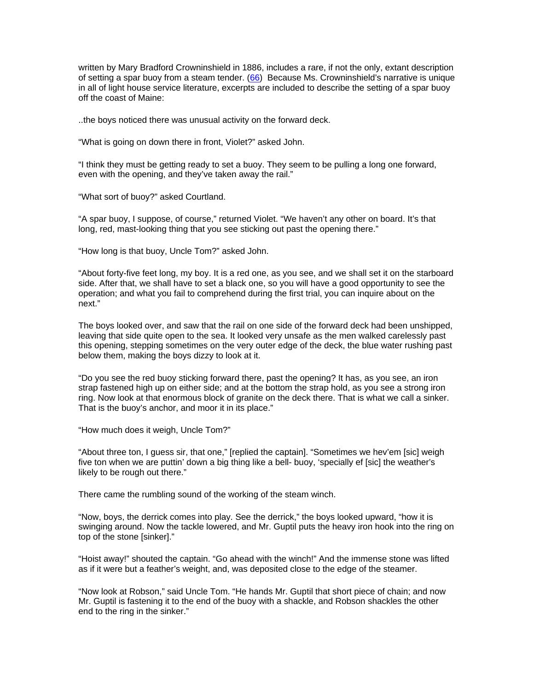written by Mary Bradford Crowninshield in 1886, includes a rare, if not the only, extant description of setting a spar buoy from a steam tender. (66) Because Ms. Crowninshield's narrative is unique in all of light house service literature, excerpts are included to describe the setting of a spar buoy off the coast of Maine:

..the boys noticed there was unusual activity on the forward deck.

"What is going on down there in front, Violet?" asked John.

"I think they must be getting ready to set a buoy. They seem to be pulling a long one forward, even with the opening, and they've taken away the rail."

"What sort of buoy?" asked Courtland.

"A spar buoy, I suppose, of course," returned Violet. "We haven't any other on board. It's that long, red, mast-looking thing that you see sticking out past the opening there."

"How long is that buoy, Uncle Tom?" asked John.

"About forty-five feet long, my boy. It is a red one, as you see, and we shall set it on the starboard side. After that, we shall have to set a black one, so you will have a good opportunity to see the operation; and what you fail to comprehend during the first trial, you can inquire about on the next."

The boys looked over, and saw that the rail on one side of the forward deck had been unshipped, leaving that side quite open to the sea. It looked very unsafe as the men walked carelessly past this opening, stepping sometimes on the very outer edge of the deck, the blue water rushing past below them, making the boys dizzy to look at it.

"Do you see the red buoy sticking forward there, past the opening? It has, as you see, an iron strap fastened high up on either side; and at the bottom the strap hold, as you see a strong iron ring. Now look at that enormous block of granite on the deck there. That is what we call a sinker. That is the buoy's anchor, and moor it in its place."

"How much does it weigh, Uncle Tom?"

"About three ton, I guess sir, that one," [replied the captain]. "Sometimes we hev'em [sic] weigh five ton when we are puttin' down a big thing like a bell- buoy, 'specially ef [sic] the weather's likely to be rough out there."

There came the rumbling sound of the working of the steam winch.

"Now, boys, the derrick comes into play. See the derrick," the boys looked upward, "how it is swinging around. Now the tackle lowered, and Mr. Guptil puts the heavy iron hook into the ring on top of the stone [sinker]."

"Hoist away!" shouted the captain. "Go ahead with the winch!" And the immense stone was lifted as if it were but a feather's weight, and, was deposited close to the edge of the steamer.

"Now look at Robson," said Uncle Tom. "He hands Mr. Guptil that short piece of chain; and now Mr. Guptil is fastening it to the end of the buoy with a shackle, and Robson shackles the other end to the ring in the sinker."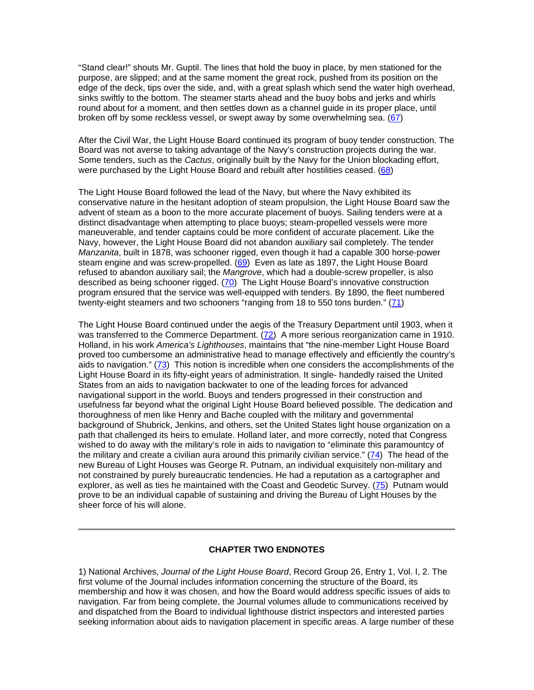"Stand clear!" shouts Mr. Guptil. The lines that hold the buoy in place, by men stationed for the purpose, are slipped; and at the same moment the great rock, pushed from its position on the edge of the deck, tips over the side, and, with a great splash which send the water high overhead, sinks swiftly to the bottom. The steamer starts ahead and the buoy bobs and jerks and whirls round about for a moment, and then settles down as a channel guide in its proper place, until broken off by some reckless vessel, or swept away by some overwhelming sea. (67)

After the Civil War, the Light House Board continued its program of buoy tender construction. The Board was not averse to taking advantage of the Navy's construction projects during the war. Some tenders, such as the *Cactus*, originally built by the Navy for the Union blockading effort, were purchased by the Light House Board and rebuilt after hostilities ceased. (68)

The Light House Board followed the lead of the Navy, but where the Navy exhibited its conservative nature in the hesitant adoption of steam propulsion, the Light House Board saw the advent of steam as a boon to the more accurate placement of buoys. Sailing tenders were at a distinct disadvantage when attempting to place buoys; steam-propelled vessels were more maneuverable, and tender captains could be more confident of accurate placement. Like the Navy, however, the Light House Board did not abandon auxiliary sail completely. The tender *Manzanita*, built in 1878, was schooner rigged, even though it had a capable 300 horse-power steam engine and was screw-propelled.  $(69)$  Even as late as 1897, the Light House Board refused to abandon auxiliary sail; the *Mangrove*, which had a double-screw propeller, is also described as being schooner rigged. (70) The Light House Board's innovative construction program ensured that the service was well-equipped with tenders. By 1890, the fleet numbered twenty-eight steamers and two schooners "ranging from 18 to 550 tons burden." (71)

The Light House Board continued under the aegis of the Treasury Department until 1903, when it was transferred to the Commerce Department. (72) A more serious reorganization came in 1910. Holland, in his work *America's Lighthouses*, maintains that "the nine-member Light House Board proved too cumbersome an administrative head to manage effectively and efficiently the country's aids to navigation." (73) This notion is incredible when one considers the accomplishments of the Light House Board in its fifty-eight years of administration. It single- handedly raised the United States from an aids to navigation backwater to one of the leading forces for advanced navigational support in the world. Buoys and tenders progressed in their construction and usefulness far beyond what the original Light House Board believed possible. The dedication and thoroughness of men like Henry and Bache coupled with the military and governmental background of Shubrick, Jenkins, and others, set the United States light house organization on a path that challenged its heirs to emulate. Holland later, and more correctly, noted that Congress wished to do away with the military's role in aids to navigation to "eliminate this paramountcy of the military and create a civilian aura around this primarily civilian service."  $(74)$  The head of the new Bureau of Light Houses was George R. Putnam, an individual exquisitely non-military and not constrained by purely bureaucratic tendencies. He had a reputation as a cartographer and explorer, as well as ties he maintained with the Coast and Geodetic Survey. (75) Putnam would prove to be an individual capable of sustaining and driving the Bureau of Light Houses by the sheer force of his will alone.

#### **CHAPTER TWO ENDNOTES**

1) National Archives, *Journal of the Light House Board*, Record Group 26, Entry 1, Vol. I, 2. The first volume of the Journal includes information concerning the structure of the Board, its membership and how it was chosen, and how the Board would address specific issues of aids to navigation. Far from being complete, the Journal volumes allude to communications received by and dispatched from the Board to individual lighthouse district inspectors and interested parties seeking information about aids to navigation placement in specific areas. A large number of these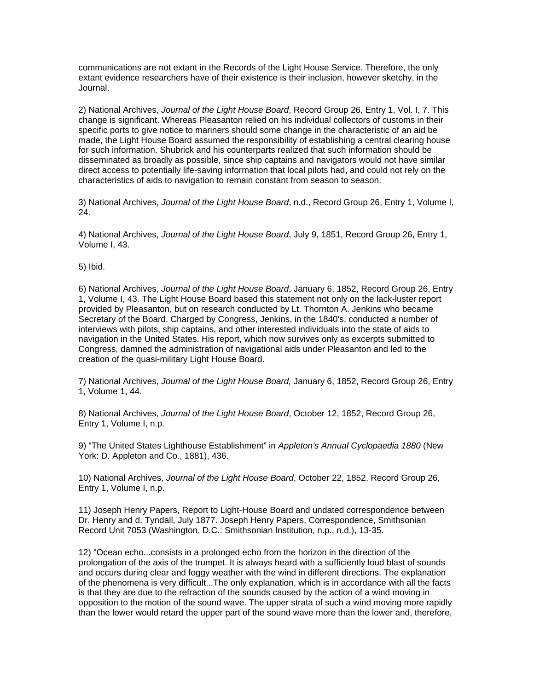communications are not extant in the Records of the Light House Service. Therefore, the only extant evidence researchers have of their existence is their inclusion, however sketchy, in the Journal.

2) National Archives, *Journal of the Light House Board*, Record Group 26, Entry 1, Vol. I, 7. This change is significant. Whereas Pleasanton relied on his individual collectors of customs in their specific ports to give notice to mariners should some change in the characteristic of an aid be made, the Light House Board assumed the responsibility of establishing a central clearing house for such information. Shubrick and his counterparts realized that such information should be disseminated as broadly as possible, since ship captains and navigators would not have similar direct access to potentially life-saving information that local pilots had, and could not rely on the characteristics of aids to navigation to remain constant from season to season.

3) National Archives, *Journal of the Light House Board*, n.d., Record Group 26, Entry 1, Volume I, 24.

4) National Archives, *Journal of the Light House Board*, July 9, 1851, Record Group 26, Entry 1, Volume I, 43.

5) Ibid.

6) National Archives, *Journal of the Light House Board*, January 6, 1852, Record Group 26, Entry 1, Volume I, 43. The Light House Board based this statement not only on the lack-luster report provided by Pleasanton, but on research conducted by Lt. Thornton A. Jenkins who became Secretary of the Board. Charged by Congress, Jenkins, in the 1840's, conducted a number of interviews with pilots, ship captains, and other interested individuals into the state of aids to navigation in the United States. His report, which now survives only as excerpts submitted to Congress, damned the administration of navigational aids under Pleasanton and led to the creation of the quasi-military Light House Board.

7) National Archives, *Journal of the Light House Board,* January 6, 1852, Record Group 26, Entry 1, Volume 1, 44.

8) National Archives, *Journal of the Light House Board*, October 12, 1852, Record Group 26, Entry 1, Volume I, n.p.

9) "The United States Lighthouse Establishment" in *Appleton's Annual Cyclopaedia 1880* (New York: D. Appleton and Co., 1881), 436.

10) National Archives, *Journal of the Light House Board*, October 22, 1852, Record Group 26, Entry 1, Volume I, n.p.

11) Joseph Henry Papers, Report to Light-House Board and undated correspondence between Dr. Henry and d. Tyndall, July 1877. Joseph Henry Papers, Correspondence, Smithsonian Record Unit 7053 (Washington, D.C.: Smithsonian Institution, n.p., n.d.), 13-35.

12) "Ocean echo...consists in a prolonged echo from the horizon in the direction of the prolongation of the axis of the trumpet. It is always heard with a sufficiently loud blast of sounds and occurs during clear and foggy weather with the wind in different directions. The explanation of the phenomena is very difficult...The only explanation, which is in accordance with all the facts is that they are due to the refraction of the sounds caused by the action of a wind moving in opposition to the motion of the sound wave. The upper strata of such a wind moving more rapidly than the lower would retard the upper part of the sound wave more than the lower and, therefore,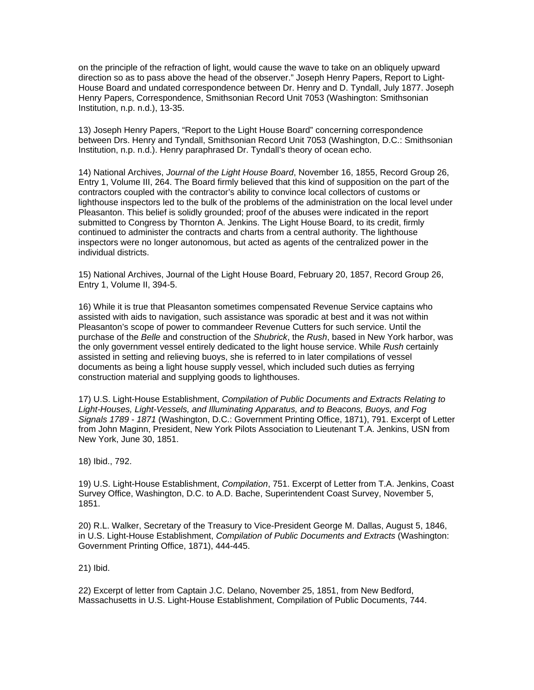on the principle of the refraction of light, would cause the wave to take on an obliquely upward direction so as to pass above the head of the observer." Joseph Henry Papers, Report to Light-House Board and undated correspondence between Dr. Henry and D. Tyndall, July 1877. Joseph Henry Papers, Correspondence, Smithsonian Record Unit 7053 (Washington: Smithsonian Institution, n.p. n.d.), 13-35.

13) Joseph Henry Papers, "Report to the Light House Board" concerning correspondence between Drs. Henry and Tyndall, Smithsonian Record Unit 7053 (Washington, D.C.: Smithsonian Institution, n.p. n.d.). Henry paraphrased Dr. Tyndall's theory of ocean echo.

14) National Archives, *Journal of the Light House Board*, November 16, 1855, Record Group 26, Entry 1, Volume III, 264. The Board firmly believed that this kind of supposition on the part of the contractors coupled with the contractor's ability to convince local collectors of customs or lighthouse inspectors led to the bulk of the problems of the administration on the local level under Pleasanton. This belief is solidly grounded; proof of the abuses were indicated in the report submitted to Congress by Thornton A. Jenkins. The Light House Board, to its credit, firmly continued to administer the contracts and charts from a central authority. The lighthouse inspectors were no longer autonomous, but acted as agents of the centralized power in the individual districts.

15) National Archives, Journal of the Light House Board, February 20, 1857, Record Group 26, Entry 1, Volume II, 394-5.

16) While it is true that Pleasanton sometimes compensated Revenue Service captains who assisted with aids to navigation, such assistance was sporadic at best and it was not within Pleasanton's scope of power to commandeer Revenue Cutters for such service. Until the purchase of the *Belle* and construction of the *Shubrick*, the *Rush*, based in New York harbor, was the only government vessel entirely dedicated to the light house service. While *Rush* certainly assisted in setting and relieving buoys, she is referred to in later compilations of vessel documents as being a light house supply vessel, which included such duties as ferrying construction material and supplying goods to lighthouses.

17) U.S. Light-House Establishment, *Compilation of Public Documents and Extracts Relating to Light-Houses, Light-Vessels, and Illuminating Apparatus, and to Beacons, Buoys, and Fog Signals 1789 - 1871* (Washington, D.C.: Government Printing Office, 1871), 791. Excerpt of Letter from John Maginn, President, New York Pilots Association to Lieutenant T.A. Jenkins, USN from New York, June 30, 1851.

18) Ibid., 792.

19) U.S. Light-House Establishment, *Compilation*, 751. Excerpt of Letter from T.A. Jenkins, Coast Survey Office, Washington, D.C. to A.D. Bache, Superintendent Coast Survey, November 5, 1851.

20) R.L. Walker, Secretary of the Treasury to Vice-President George M. Dallas, August 5, 1846, in U.S. Light-House Establishment, *Compilation of Public Documents and Extracts* (Washington: Government Printing Office, 1871), 444-445.

21) Ibid.

22) Excerpt of letter from Captain J.C. Delano, November 25, 1851, from New Bedford, Massachusetts in U.S. Light-House Establishment, Compilation of Public Documents, 744.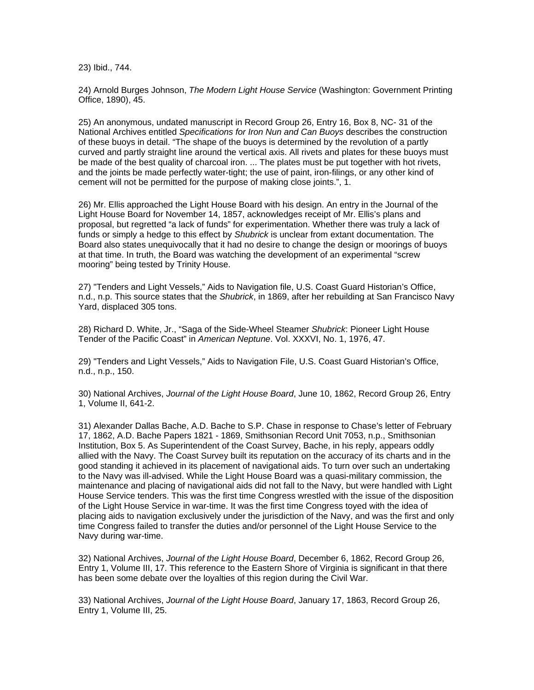23) Ibid., 744.

24) Arnold Burges Johnson, *The Modern Light House Service* (Washington: Government Printing Office, 1890), 45.

25) An anonymous, undated manuscript in Record Group 26, Entry 16, Box 8, NC- 31 of the National Archives entitled *Specifications for Iron Nun and Can Buoys* describes the construction of these buoys in detail. "The shape of the buoys is determined by the revolution of a partly curved and partly straight line around the vertical axis. All rivets and plates for these buoys must be made of the best quality of charcoal iron. ... The plates must be put together with hot rivets, and the joints be made perfectly water-tight; the use of paint, iron-filings, or any other kind of cement will not be permitted for the purpose of making close joints.", 1.

26) Mr. Ellis approached the Light House Board with his design. An entry in the Journal of the Light House Board for November 14, 1857, acknowledges receipt of Mr. Ellis's plans and proposal, but regretted "a lack of funds" for experimentation. Whether there was truly a lack of funds or simply a hedge to this effect by *Shubrick* is unclear from extant documentation. The Board also states unequivocally that it had no desire to change the design or moorings of buoys at that time. In truth, the Board was watching the development of an experimental "screw mooring" being tested by Trinity House.

27) "Tenders and Light Vessels," Aids to Navigation file, U.S. Coast Guard Historian's Office, n.d., n.p. This source states that the *Shubrick*, in 1869, after her rebuilding at San Francisco Navy Yard, displaced 305 tons.

28) Richard D. White, Jr., "Saga of the Side-Wheel Steamer *Shubrick*: Pioneer Light House Tender of the Pacific Coast" in *American Neptune*. Vol. XXXVI, No. 1, 1976, 47.

29) "Tenders and Light Vessels," Aids to Navigation File, U.S. Coast Guard Historian's Office, n.d., n.p., 150.

30) National Archives, *Journal of the Light House Board*, June 10, 1862, Record Group 26, Entry 1, Volume II, 641-2.

31) Alexander Dallas Bache, A.D. Bache to S.P. Chase in response to Chase's letter of February 17, 1862, A.D. Bache Papers 1821 - 1869, Smithsonian Record Unit 7053, n.p., Smithsonian Institution, Box 5. As Superintendent of the Coast Survey, Bache, in his reply, appears oddly allied with the Navy. The Coast Survey built its reputation on the accuracy of its charts and in the good standing it achieved in its placement of navigational aids. To turn over such an undertaking to the Navy was ill-advised. While the Light House Board was a quasi-military commission, the maintenance and placing of navigational aids did not fall to the Navy, but were handled with Light House Service tenders. This was the first time Congress wrestled with the issue of the disposition of the Light House Service in war-time. It was the first time Congress toyed with the idea of placing aids to navigation exclusively under the jurisdiction of the Navy, and was the first and only time Congress failed to transfer the duties and/or personnel of the Light House Service to the Navy during war-time.

32) National Archives, *Journal of the Light House Board*, December 6, 1862, Record Group 26, Entry 1, Volume III, 17. This reference to the Eastern Shore of Virginia is significant in that there has been some debate over the loyalties of this region during the Civil War.

33) National Archives, *Journal of the Light House Board*, January 17, 1863, Record Group 26, Entry 1, Volume III, 25.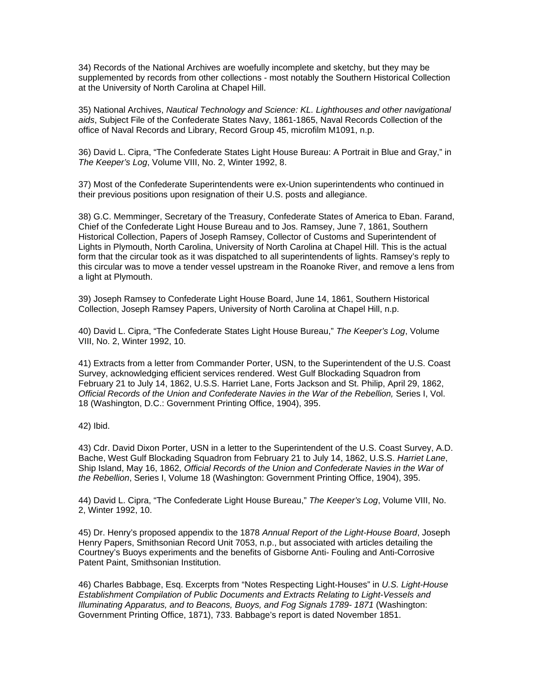34) Records of the National Archives are woefully incomplete and sketchy, but they may be supplemented by records from other collections - most notably the Southern Historical Collection at the University of North Carolina at Chapel Hill.

35) National Archives, *Nautical Technology and Science: KL. Lighthouses and other navigational aids*, Subject File of the Confederate States Navy, 1861-1865, Naval Records Collection of the office of Naval Records and Library, Record Group 45, microfilm M1091, n.p.

36) David L. Cipra, "The Confederate States Light House Bureau: A Portrait in Blue and Gray," in *The Keeper's Log*, Volume VIII, No. 2, Winter 1992, 8.

37) Most of the Confederate Superintendents were ex-Union superintendents who continued in their previous positions upon resignation of their U.S. posts and allegiance.

38) G.C. Memminger, Secretary of the Treasury, Confederate States of America to Eban. Farand, Chief of the Confederate Light House Bureau and to Jos. Ramsey, June 7, 1861, Southern Historical Collection, Papers of Joseph Ramsey, Collector of Customs and Superintendent of Lights in Plymouth, North Carolina, University of North Carolina at Chapel Hill. This is the actual form that the circular took as it was dispatched to all superintendents of lights. Ramsey's reply to this circular was to move a tender vessel upstream in the Roanoke River, and remove a lens from a light at Plymouth.

39) Joseph Ramsey to Confederate Light House Board, June 14, 1861, Southern Historical Collection, Joseph Ramsey Papers, University of North Carolina at Chapel Hill, n.p.

40) David L. Cipra, "The Confederate States Light House Bureau," *The Keeper's Log*, Volume VIII, No. 2, Winter 1992, 10.

41) Extracts from a letter from Commander Porter, USN, to the Superintendent of the U.S. Coast Survey, acknowledging efficient services rendered. West Gulf Blockading Squadron from February 21 to July 14, 1862, U.S.S. Harriet Lane, Forts Jackson and St. Philip, April 29, 1862, *Official Records of the Union and Confederate Navies in the War of the Rebellion,* Series I, Vol. 18 (Washington, D.C.: Government Printing Office, 1904), 395.

42) Ibid.

43) Cdr. David Dixon Porter, USN in a letter to the Superintendent of the U.S. Coast Survey, A.D. Bache, West Gulf Blockading Squadron from February 21 to July 14, 1862, U.S.S. *Harriet Lane*, Ship Island, May 16, 1862, *Official Records of the Union and Confederate Navies in the War of the Rebellion*, Series I, Volume 18 (Washington: Government Printing Office, 1904), 395.

44) David L. Cipra, "The Confederate Light House Bureau," *The Keeper's Log*, Volume VIII, No. 2, Winter 1992, 10.

45) Dr. Henry's proposed appendix to the 1878 *Annual Report of the Light-House Board*, Joseph Henry Papers, Smithsonian Record Unit 7053, n.p., but associated with articles detailing the Courtney's Buoys experiments and the benefits of Gisborne Anti- Fouling and Anti-Corrosive Patent Paint, Smithsonian Institution.

46) Charles Babbage, Esq. Excerpts from "Notes Respecting Light-Houses" in *U.S. Light-House Establishment Compilation of Public Documents and Extracts Relating to Light-Vessels and Illuminating Apparatus, and to Beacons, Buoys, and Fog Signals 1789- 1871* (Washington: Government Printing Office, 1871), 733. Babbage's report is dated November 1851.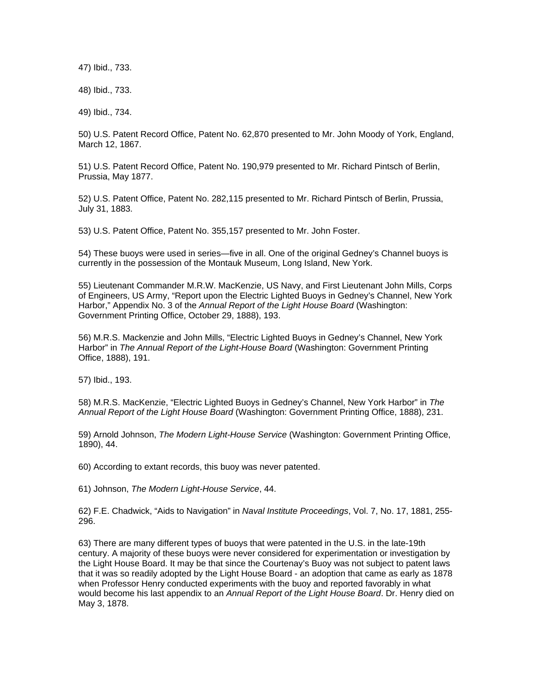47) Ibid., 733.

48) Ibid., 733.

49) Ibid., 734.

50) U.S. Patent Record Office, Patent No. 62,870 presented to Mr. John Moody of York, England, March 12, 1867.

51) U.S. Patent Record Office, Patent No. 190,979 presented to Mr. Richard Pintsch of Berlin, Prussia, May 1877.

52) U.S. Patent Office, Patent No. 282,115 presented to Mr. Richard Pintsch of Berlin, Prussia, July 31, 1883.

53) U.S. Patent Office, Patent No. 355,157 presented to Mr. John Foster.

54) These buoys were used in series—five in all. One of the original Gedney's Channel buoys is currently in the possession of the Montauk Museum, Long Island, New York.

55) Lieutenant Commander M.R.W. MacKenzie, US Navy, and First Lieutenant John Mills, Corps of Engineers, US Army, "Report upon the Electric Lighted Buoys in Gedney's Channel, New York Harbor," Appendix No. 3 of the *Annual Report of the Light House Board* (Washington: Government Printing Office, October 29, 1888), 193.

56) M.R.S. Mackenzie and John Mills, "Electric Lighted Buoys in Gedney's Channel, New York Harbor" in *The Annual Report of the Light-House Board* (Washington: Government Printing Office, 1888), 191.

57) Ibid., 193.

58) M.R.S. MacKenzie, "Electric Lighted Buoys in Gedney's Channel, New York Harbor" in *The Annual Report of the Light House Board* (Washington: Government Printing Office, 1888), 231.

59) Arnold Johnson, *The Modern Light-House Service* (Washington: Government Printing Office, 1890), 44.

60) According to extant records, this buoy was never patented.

61) Johnson, *The Modern Light-House Service*, 44.

62) F.E. Chadwick, "Aids to Navigation" in *Naval Institute Proceedings*, Vol. 7, No. 17, 1881, 255- 296.

63) There are many different types of buoys that were patented in the U.S. in the late-19th century. A majority of these buoys were never considered for experimentation or investigation by the Light House Board. It may be that since the Courtenay's Buoy was not subject to patent laws that it was so readily adopted by the Light House Board - an adoption that came as early as 1878 when Professor Henry conducted experiments with the buoy and reported favorably in what would become his last appendix to an *Annual Report of the Light House Board*. Dr. Henry died on May 3, 1878.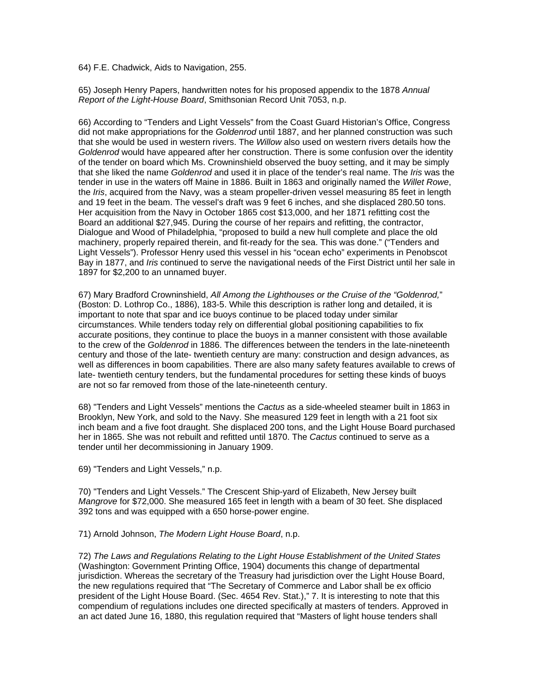64) F.E. Chadwick, Aids to Navigation, 255.

65) Joseph Henry Papers, handwritten notes for his proposed appendix to the 1878 *Annual Report of the Light-House Board*, Smithsonian Record Unit 7053, n.p.

66) According to "Tenders and Light Vessels" from the Coast Guard Historian's Office, Congress did not make appropriations for the *Goldenrod* until 1887, and her planned construction was such that she would be used in western rivers. The *Willow* also used on western rivers details how the *Goldenrod* would have appeared after her construction. There is some confusion over the identity of the tender on board which Ms. Crowninshield observed the buoy setting, and it may be simply that she liked the name *Goldenrod* and used it in place of the tender's real name. The *Iris* was the tender in use in the waters off Maine in 1886. Built in 1863 and originally named the *Willet Rowe*, the *Iris*, acquired from the Navy, was a steam propeller-driven vessel measuring 85 feet in length and 19 feet in the beam. The vessel's draft was 9 feet 6 inches, and she displaced 280.50 tons. Her acquisition from the Navy in October 1865 cost \$13,000, and her 1871 refitting cost the Board an additional \$27,945. During the course of her repairs and refitting, the contractor, Dialogue and Wood of Philadelphia, "proposed to build a new hull complete and place the old machinery, properly repaired therein, and fit-ready for the sea. This was done." ("Tenders and Light Vessels"). Professor Henry used this vessel in his "ocean echo" experiments in Penobscot Bay in 1877, and *Iris* continued to serve the navigational needs of the First District until her sale in 1897 for \$2,200 to an unnamed buyer.

67) Mary Bradford Crowninshield, *All Among the Lighthouses or the Cruise of the "Goldenrod,*" (Boston: D. Lothrop Co., 1886), 183-5. While this description is rather long and detailed, it is important to note that spar and ice buoys continue to be placed today under similar circumstances. While tenders today rely on differential global positioning capabilities to fix accurate positions, they continue to place the buoys in a manner consistent with those available to the crew of the *Goldenrod* in 1886. The differences between the tenders in the late-nineteenth century and those of the late- twentieth century are many: construction and design advances, as well as differences in boom capabilities. There are also many safety features available to crews of late- twentieth century tenders, but the fundamental procedures for setting these kinds of buoys are not so far removed from those of the late-nineteenth century.

68) "Tenders and Light Vessels" mentions the *Cactus* as a side-wheeled steamer built in 1863 in Brooklyn, New York, and sold to the Navy. She measured 129 feet in length with a 21 foot six inch beam and a five foot draught. She displaced 200 tons, and the Light House Board purchased her in 1865. She was not rebuilt and refitted until 1870. The *Cactus* continued to serve as a tender until her decommissioning in January 1909.

69) "Tenders and Light Vessels," n.p.

70) "Tenders and Light Vessels." The Crescent Ship-yard of Elizabeth, New Jersey built *Mangrove* for \$72,000. She measured 165 feet in length with a beam of 30 feet. She displaced 392 tons and was equipped with a 650 horse-power engine.

71) Arnold Johnson, *The Modern Light House Board*, n.p.

72) *The Laws and Regulations Relating to the Light House Establishment of the United States* (Washington: Government Printing Office, 1904) documents this change of departmental jurisdiction. Whereas the secretary of the Treasury had jurisdiction over the Light House Board, the new regulations required that "The Secretary of Commerce and Labor shall be ex officio president of the Light House Board. (Sec. 4654 Rev. Stat.)," 7. It is interesting to note that this compendium of regulations includes one directed specifically at masters of tenders. Approved in an act dated June 16, 1880, this regulation required that "Masters of light house tenders shall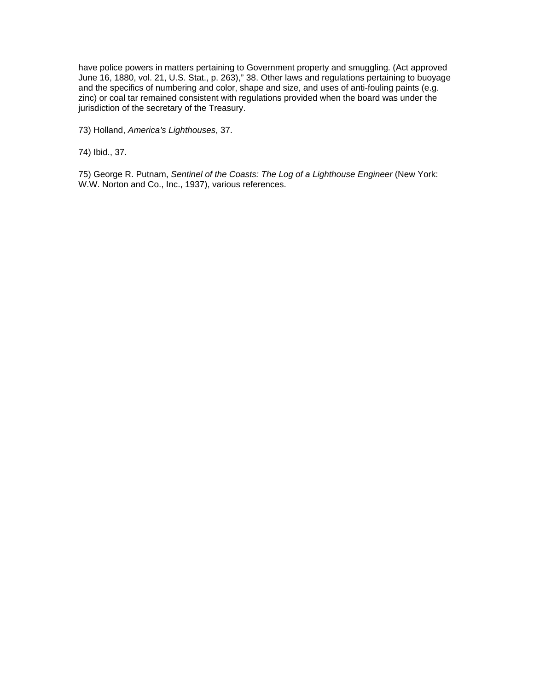have police powers in matters pertaining to Government property and smuggling. (Act approved June 16, 1880, vol. 21, U.S. Stat., p. 263)," 38. Other laws and regulations pertaining to buoyage and the specifics of numbering and color, shape and size, and uses of anti-fouling paints (e.g. zinc) or coal tar remained consistent with regulations provided when the board was under the jurisdiction of the secretary of the Treasury.

73) Holland, *America's Lighthouses*, 37.

74) Ibid., 37.

75) George R. Putnam, Sentinel of the Coasts: The Log of a Lighthouse Engineer (New York: W.W. Norton and Co., Inc., 1937), various references.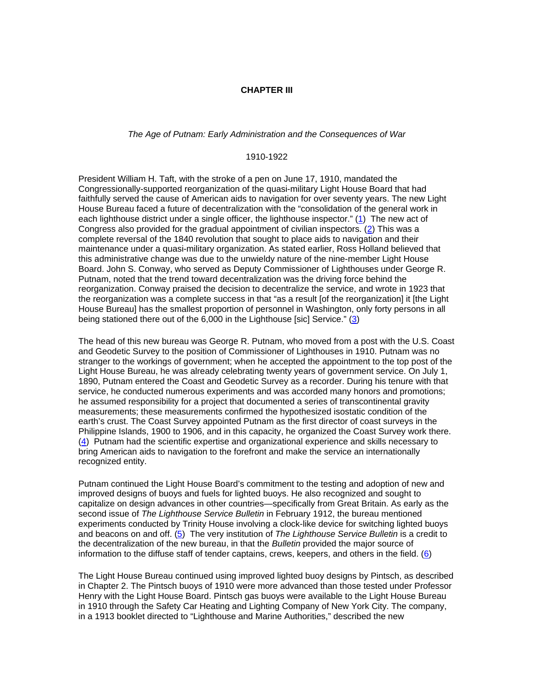#### **CHAPTER III**

# *The Age of Putnam: Early Administration and the Consequences of War*

#### 1910-1922

President William H. Taft, with the stroke of a pen on June 17, 1910, mandated the Congressionally-supported reorganization of the quasi-military Light House Board that had faithfully served the cause of American aids to navigation for over seventy years. The new Light House Bureau faced a future of decentralization with the "consolidation of the general work in each lighthouse district under a single officer, the lighthouse inspector." (1) The new act of Congress also provided for the gradual appointment of civilian inspectors. (2) This was a complete reversal of the 1840 revolution that sought to place aids to navigation and their maintenance under a quasi-military organization. As stated earlier, Ross Holland believed that this administrative change was due to the unwieldy nature of the nine-member Light House Board. John S. Conway, who served as Deputy Commissioner of Lighthouses under George R. Putnam, noted that the trend toward decentralization was the driving force behind the reorganization. Conway praised the decision to decentralize the service, and wrote in 1923 that the reorganization was a complete success in that "as a result [of the reorganization] it [the Light House Bureau] has the smallest proportion of personnel in Washington, only forty persons in all being stationed there out of the 6,000 in the Lighthouse [sic] Service." (3)

The head of this new bureau was George R. Putnam, who moved from a post with the U.S. Coast and Geodetic Survey to the position of Commissioner of Lighthouses in 1910. Putnam was no stranger to the workings of government; when he accepted the appointment to the top post of the Light House Bureau, he was already celebrating twenty years of government service. On July 1, 1890, Putnam entered the Coast and Geodetic Survey as a recorder. During his tenure with that service, he conducted numerous experiments and was accorded many honors and promotions; he assumed responsibility for a project that documented a series of transcontinental gravity measurements; these measurements confirmed the hypothesized isostatic condition of the earth's crust. The Coast Survey appointed Putnam as the first director of coast surveys in the Philippine Islands, 1900 to 1906, and in this capacity, he organized the Coast Survey work there. (4) Putnam had the scientific expertise and organizational experience and skills necessary to bring American aids to navigation to the forefront and make the service an internationally recognized entity.

Putnam continued the Light House Board's commitment to the testing and adoption of new and improved designs of buoys and fuels for lighted buoys. He also recognized and sought to capitalize on design advances in other countries—specifically from Great Britain. As early as the second issue of *The Lighthouse Service Bulletin* in February 1912, the bureau mentioned experiments conducted by Trinity House involving a clock-like device for switching lighted buoys and beacons on and off. (5) The very institution of *The Lighthouse Service Bulletin* is a credit to the decentralization of the new bureau, in that the *Bulletin* provided the major source of information to the diffuse staff of tender captains, crews, keepers, and others in the field. (6)

The Light House Bureau continued using improved lighted buoy designs by Pintsch, as described in Chapter 2. The Pintsch buoys of 1910 were more advanced than those tested under Professor Henry with the Light House Board. Pintsch gas buoys were available to the Light House Bureau in 1910 through the Safety Car Heating and Lighting Company of New York City. The company, in a 1913 booklet directed to "Lighthouse and Marine Authorities," described the new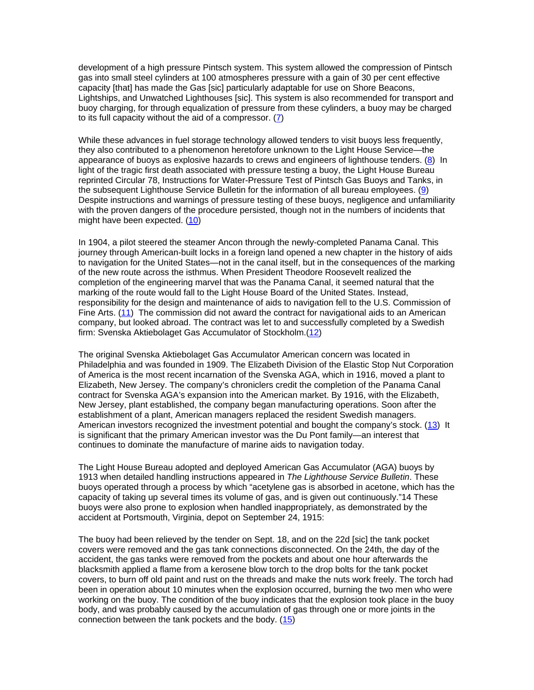development of a high pressure Pintsch system. This system allowed the compression of Pintsch gas into small steel cylinders at 100 atmospheres pressure with a gain of 30 per cent effective capacity [that] has made the Gas [sic] particularly adaptable for use on Shore Beacons, Lightships, and Unwatched Lighthouses [sic]. This system is also recommended for transport and buoy charging, for through equalization of pressure from these cylinders, a buoy may be charged to its full capacity without the aid of a compressor. (7)

While these advances in fuel storage technology allowed tenders to visit buoys less frequently, they also contributed to a phenomenon heretofore unknown to the Light House Service—the appearance of buoys as explosive hazards to crews and engineers of lighthouse tenders.  $(8)$  In light of the tragic first death associated with pressure testing a buoy, the Light House Bureau reprinted Circular 78, Instructions for Water-Pressure Test of Pintsch Gas Buoys and Tanks, in the subsequent Lighthouse Service Bulletin for the information of all bureau employees. (9) Despite instructions and warnings of pressure testing of these buoys, negligence and unfamiliarity with the proven dangers of the procedure persisted, though not in the numbers of incidents that might have been expected. (10)

In 1904, a pilot steered the steamer Ancon through the newly-completed Panama Canal. This journey through American-built locks in a foreign land opened a new chapter in the history of aids to navigation for the United States—not in the canal itself, but in the consequences of the marking of the new route across the isthmus. When President Theodore Roosevelt realized the completion of the engineering marvel that was the Panama Canal, it seemed natural that the marking of the route would fall to the Light House Board of the United States. Instead, responsibility for the design and maintenance of aids to navigation fell to the U.S. Commission of Fine Arts. (11) The commission did not award the contract for navigational aids to an American company, but looked abroad. The contract was let to and successfully completed by a Swedish firm: Svenska Aktiebolaget Gas Accumulator of Stockholm.(12)

The original Svenska Aktiebolaget Gas Accumulator American concern was located in Philadelphia and was founded in 1909. The Elizabeth Division of the Elastic Stop Nut Corporation of America is the most recent incarnation of the Svenska AGA, which in 1916, moved a plant to Elizabeth, New Jersey. The company's chroniclers credit the completion of the Panama Canal contract for Svenska AGA's expansion into the American market. By 1916, with the Elizabeth, New Jersey, plant established, the company began manufacturing operations. Soon after the establishment of a plant, American managers replaced the resident Swedish managers. American investors recognized the investment potential and bought the company's stock. (13) It is significant that the primary American investor was the Du Pont family—an interest that continues to dominate the manufacture of marine aids to navigation today.

The Light House Bureau adopted and deployed American Gas Accumulator (AGA) buoys by 1913 when detailed handling instructions appeared in *The Lighthouse Service Bulletin*. These buoys operated through a process by which "acetylene gas is absorbed in acetone, which has the capacity of taking up several times its volume of gas, and is given out continuously."14 These buoys were also prone to explosion when handled inappropriately, as demonstrated by the accident at Portsmouth, Virginia, depot on September 24, 1915:

The buoy had been relieved by the tender on Sept. 18, and on the 22d [sic] the tank pocket covers were removed and the gas tank connections disconnected. On the 24th, the day of the accident, the gas tanks were removed from the pockets and about one hour afterwards the blacksmith applied a flame from a kerosene blow torch to the drop bolts for the tank pocket covers, to burn off old paint and rust on the threads and make the nuts work freely. The torch had been in operation about 10 minutes when the explosion occurred, burning the two men who were working on the buoy. The condition of the buoy indicates that the explosion took place in the buoy body, and was probably caused by the accumulation of gas through one or more joints in the connection between the tank pockets and the body. (15)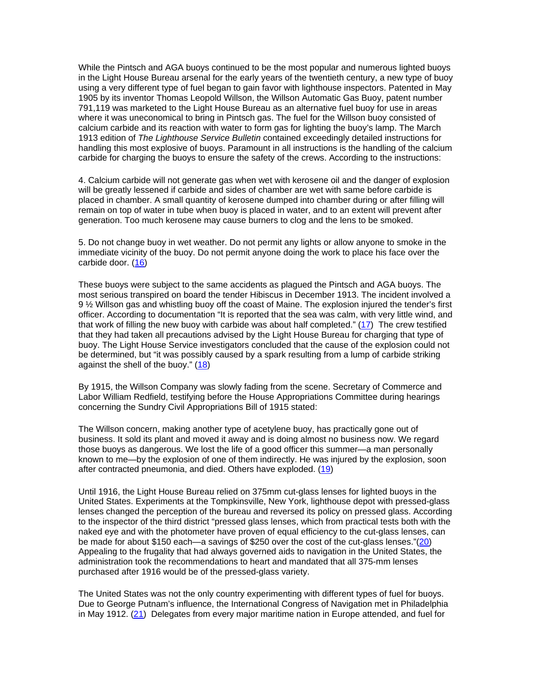While the Pintsch and AGA buoys continued to be the most popular and numerous lighted buoys in the Light House Bureau arsenal for the early years of the twentieth century, a new type of buoy using a very different type of fuel began to gain favor with lighthouse inspectors. Patented in May 1905 by its inventor Thomas Leopold Willson, the Willson Automatic Gas Buoy, patent number 791,119 was marketed to the Light House Bureau as an alternative fuel buoy for use in areas where it was uneconomical to bring in Pintsch gas. The fuel for the Willson buoy consisted of calcium carbide and its reaction with water to form gas for lighting the buoy's lamp. The March 1913 edition of *The Lighthouse Service Bulletin* contained exceedingly detailed instructions for handling this most explosive of buoys. Paramount in all instructions is the handling of the calcium carbide for charging the buoys to ensure the safety of the crews. According to the instructions:

4. Calcium carbide will not generate gas when wet with kerosene oil and the danger of explosion will be greatly lessened if carbide and sides of chamber are wet with same before carbide is placed in chamber. A small quantity of kerosene dumped into chamber during or after filling will remain on top of water in tube when buoy is placed in water, and to an extent will prevent after generation. Too much kerosene may cause burners to clog and the lens to be smoked.

5. Do not change buoy in wet weather. Do not permit any lights or allow anyone to smoke in the immediate vicinity of the buoy. Do not permit anyone doing the work to place his face over the carbide door. (16)

These buoys were subject to the same accidents as plagued the Pintsch and AGA buoys. The most serious transpired on board the tender Hibiscus in December 1913. The incident involved a 9 ½ Willson gas and whistling buoy off the coast of Maine. The explosion injured the tender's first officer. According to documentation "It is reported that the sea was calm, with very little wind, and that work of filling the new buoy with carbide was about half completed." (17) The crew testified that they had taken all precautions advised by the Light House Bureau for charging that type of buoy. The Light House Service investigators concluded that the cause of the explosion could not be determined, but "it was possibly caused by a spark resulting from a lump of carbide striking against the shell of the buoy." (18)

By 1915, the Willson Company was slowly fading from the scene. Secretary of Commerce and Labor William Redfield, testifying before the House Appropriations Committee during hearings concerning the Sundry Civil Appropriations Bill of 1915 stated:

The Willson concern, making another type of acetylene buoy, has practically gone out of business. It sold its plant and moved it away and is doing almost no business now. We regard those buoys as dangerous. We lost the life of a good officer this summer—a man personally known to me—by the explosion of one of them indirectly. He was injured by the explosion, soon after contracted pneumonia, and died. Others have exploded. (19)

Until 1916, the Light House Bureau relied on 375mm cut-glass lenses for lighted buoys in the United States. Experiments at the Tompkinsville, New York, lighthouse depot with pressed-glass lenses changed the perception of the bureau and reversed its policy on pressed glass. According to the inspector of the third district "pressed glass lenses, which from practical tests both with the naked eye and with the photometer have proven of equal efficiency to the cut-glass lenses, can be made for about \$150 each—a savings of \$250 over the cost of the cut-glass lenses."(20) Appealing to the frugality that had always governed aids to navigation in the United States, the administration took the recommendations to heart and mandated that all 375-mm lenses purchased after 1916 would be of the pressed-glass variety.

The United States was not the only country experimenting with different types of fuel for buoys. Due to George Putnam's influence, the International Congress of Navigation met in Philadelphia in May 1912. (21) Delegates from every major maritime nation in Europe attended, and fuel for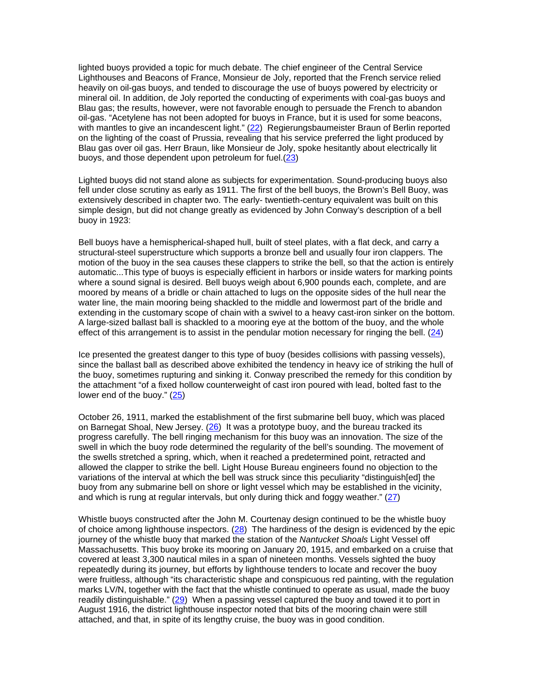lighted buoys provided a topic for much debate. The chief engineer of the Central Service Lighthouses and Beacons of France, Monsieur de Joly, reported that the French service relied heavily on oil-gas buoys, and tended to discourage the use of buoys powered by electricity or mineral oil. In addition, de Joly reported the conducting of experiments with coal-gas buoys and Blau gas; the results, however, were not favorable enough to persuade the French to abandon oil-gas. "Acetylene has not been adopted for buoys in France, but it is used for some beacons, with mantles to give an incandescent light."  $(22)$  Regierungsbaumeister Braun of Berlin reported on the lighting of the coast of Prussia, revealing that his service preferred the light produced by Blau gas over oil gas. Herr Braun, like Monsieur de Joly, spoke hesitantly about electrically lit buoys, and those dependent upon petroleum for fuel. $(23)$ 

Lighted buoys did not stand alone as subjects for experimentation. Sound-producing buoys also fell under close scrutiny as early as 1911. The first of the bell buoys, the Brown's Bell Buoy, was extensively described in chapter two. The early- twentieth-century equivalent was built on this simple design, but did not change greatly as evidenced by John Conway's description of a bell buoy in 1923:

Bell buoys have a hemispherical-shaped hull, built of steel plates, with a flat deck, and carry a structural-steel superstructure which supports a bronze bell and usually four iron clappers. The motion of the buoy in the sea causes these clappers to strike the bell, so that the action is entirely automatic...This type of buoys is especially efficient in harbors or inside waters for marking points where a sound signal is desired. Bell buoys weigh about 6,900 pounds each, complete, and are moored by means of a bridle or chain attached to lugs on the opposite sides of the hull near the water line, the main mooring being shackled to the middle and lowermost part of the bridle and extending in the customary scope of chain with a swivel to a heavy cast-iron sinker on the bottom. A large-sized ballast ball is shackled to a mooring eye at the bottom of the buoy, and the whole effect of this arrangement is to assist in the pendular motion necessary for ringing the bell. (24)

Ice presented the greatest danger to this type of buoy (besides collisions with passing vessels), since the ballast ball as described above exhibited the tendency in heavy ice of striking the hull of the buoy, sometimes rupturing and sinking it. Conway prescribed the remedy for this condition by the attachment "of a fixed hollow counterweight of cast iron poured with lead, bolted fast to the lower end of the buoy." (25)

October 26, 1911, marked the establishment of the first submarine bell buoy, which was placed on Barnegat Shoal, New Jersey.  $(26)$  It was a prototype buoy, and the bureau tracked its progress carefully. The bell ringing mechanism for this buoy was an innovation. The size of the swell in which the buoy rode determined the regularity of the bell's sounding. The movement of the swells stretched a spring, which, when it reached a predetermined point, retracted and allowed the clapper to strike the bell. Light House Bureau engineers found no objection to the variations of the interval at which the bell was struck since this peculiarity "distinguish[ed] the buoy from any submarine bell on shore or light vessel which may be established in the vicinity, and which is rung at regular intervals, but only during thick and foggy weather." (27)

Whistle buoys constructed after the John M. Courtenay design continued to be the whistle buoy of choice among lighthouse inspectors.  $(28)$  The hardiness of the design is evidenced by the epic journey of the whistle buoy that marked the station of the *Nantucket Shoals* Light Vessel off Massachusetts. This buoy broke its mooring on January 20, 1915, and embarked on a cruise that covered at least 3,300 nautical miles in a span of nineteen months. Vessels sighted the buoy repeatedly during its journey, but efforts by lighthouse tenders to locate and recover the buoy were fruitless, although "its characteristic shape and conspicuous red painting, with the regulation marks LV/N, together with the fact that the whistle continued to operate as usual, made the buoy readily distinguishable." (29) When a passing vessel captured the buoy and towed it to port in August 1916, the district lighthouse inspector noted that bits of the mooring chain were still attached, and that, in spite of its lengthy cruise, the buoy was in good condition.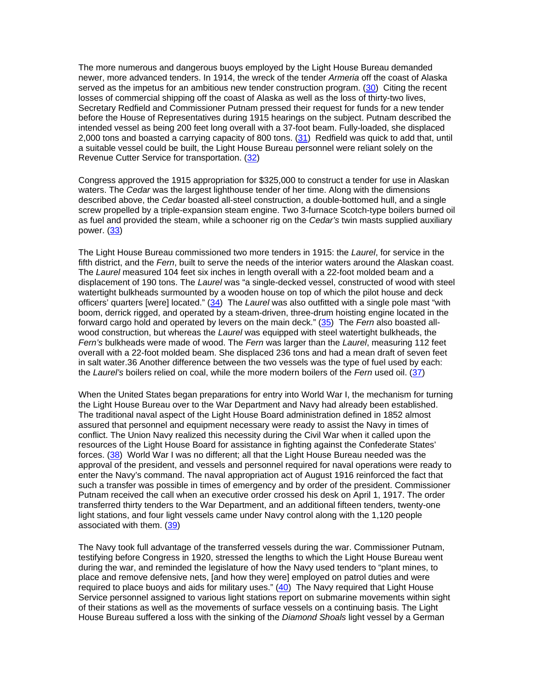The more numerous and dangerous buoys employed by the Light House Bureau demanded newer, more advanced tenders. In 1914, the wreck of the tender *Armeria* off the coast of Alaska served as the impetus for an ambitious new tender construction program. (30) Citing the recent losses of commercial shipping off the coast of Alaska as well as the loss of thirty-two lives, Secretary Redfield and Commissioner Putnam pressed their request for funds for a new tender before the House of Representatives during 1915 hearings on the subject. Putnam described the intended vessel as being 200 feet long overall with a 37-foot beam. Fully-loaded, she displaced 2,000 tons and boasted a carrying capacity of 800 tons. (31) Redfield was quick to add that, until a suitable vessel could be built, the Light House Bureau personnel were reliant solely on the Revenue Cutter Service for transportation. (32)

Congress approved the 1915 appropriation for \$325,000 to construct a tender for use in Alaskan waters. The *Cedar* was the largest lighthouse tender of her time. Along with the dimensions described above, the *Cedar* boasted all-steel construction, a double-bottomed hull, and a single screw propelled by a triple-expansion steam engine. Two 3-furnace Scotch-type boilers burned oil as fuel and provided the steam, while a schooner rig on the *Cedar's* twin masts supplied auxiliary power. (33)

The Light House Bureau commissioned two more tenders in 1915: the *Laurel*, for service in the fifth district, and the *Fern*, built to serve the needs of the interior waters around the Alaskan coast. The *Laurel* measured 104 feet six inches in length overall with a 22-foot molded beam and a displacement of 190 tons. The *Laurel* was "a single-decked vessel, constructed of wood with steel watertight bulkheads surmounted by a wooden house on top of which the pilot house and deck officers' quarters [were] located." (34) The *Laurel* was also outfitted with a single pole mast "with boom, derrick rigged, and operated by a steam-driven, three-drum hoisting engine located in the forward cargo hold and operated by levers on the main deck." (35) The *Fern* also boasted allwood construction, but whereas the *Laurel* was equipped with steel watertight bulkheads, the *Fern's* bulkheads were made of wood. The *Fern* was larger than the *Laurel*, measuring 112 feet overall with a 22-foot molded beam. She displaced 236 tons and had a mean draft of seven feet in salt water.36 Another difference between the two vessels was the type of fuel used by each: the *Laurel's* boilers relied on coal, while the more modern boilers of the *Fern* used oil. (37)

When the United States began preparations for entry into World War I, the mechanism for turning the Light House Bureau over to the War Department and Navy had already been established. The traditional naval aspect of the Light House Board administration defined in 1852 almost assured that personnel and equipment necessary were ready to assist the Navy in times of conflict. The Union Navy realized this necessity during the Civil War when it called upon the resources of the Light House Board for assistance in fighting against the Confederate States' forces. (38) World War I was no different; all that the Light House Bureau needed was the approval of the president, and vessels and personnel required for naval operations were ready to enter the Navy's command. The naval appropriation act of August 1916 reinforced the fact that such a transfer was possible in times of emergency and by order of the president. Commissioner Putnam received the call when an executive order crossed his desk on April 1, 1917. The order transferred thirty tenders to the War Department, and an additional fifteen tenders, twenty-one light stations, and four light vessels came under Navy control along with the 1,120 people associated with them. (39)

The Navy took full advantage of the transferred vessels during the war. Commissioner Putnam, testifying before Congress in 1920, stressed the lengths to which the Light House Bureau went during the war, and reminded the legislature of how the Navy used tenders to "plant mines, to place and remove defensive nets, [and how they were] employed on patrol duties and were required to place buoys and aids for military uses." (40) The Navy required that Light House Service personnel assigned to various light stations report on submarine movements within sight of their stations as well as the movements of surface vessels on a continuing basis. The Light House Bureau suffered a loss with the sinking of the *Diamond Shoals* light vessel by a German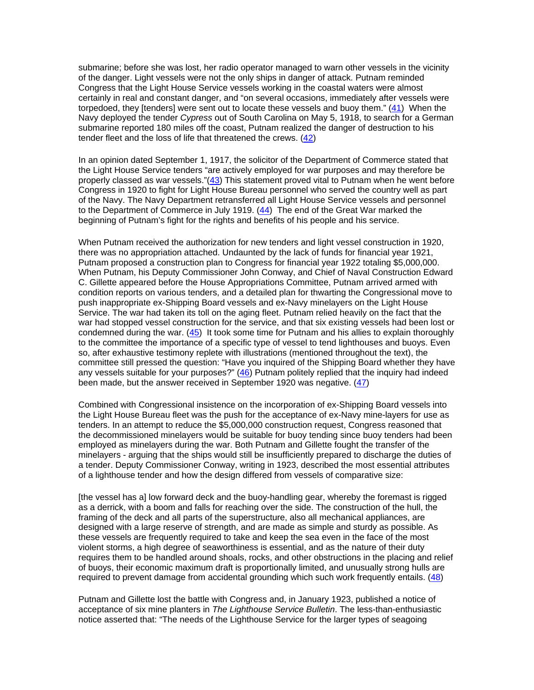submarine; before she was lost, her radio operator managed to warn other vessels in the vicinity of the danger. Light vessels were not the only ships in danger of attack. Putnam reminded Congress that the Light House Service vessels working in the coastal waters were almost certainly in real and constant danger, and "on several occasions, immediately after vessels were torpedoed, they [tenders] were sent out to locate these vessels and buoy them." (41) When the Navy deployed the tender *Cypress* out of South Carolina on May 5, 1918, to search for a German submarine reported 180 miles off the coast, Putnam realized the danger of destruction to his tender fleet and the loss of life that threatened the crews. (42)

In an opinion dated September 1, 1917, the solicitor of the Department of Commerce stated that the Light House Service tenders "are actively employed for war purposes and may therefore be properly classed as war vessels."(43) This statement proved vital to Putnam when he went before Congress in 1920 to fight for Light House Bureau personnel who served the country well as part of the Navy. The Navy Department retransferred all Light House Service vessels and personnel to the Department of Commerce in July 1919. (44) The end of the Great War marked the beginning of Putnam's fight for the rights and benefits of his people and his service.

When Putnam received the authorization for new tenders and light vessel construction in 1920, there was no appropriation attached. Undaunted by the lack of funds for financial year 1921, Putnam proposed a construction plan to Congress for financial year 1922 totaling \$5,000,000. When Putnam, his Deputy Commissioner John Conway, and Chief of Naval Construction Edward C. Gillette appeared before the House Appropriations Committee, Putnam arrived armed with condition reports on various tenders, and a detailed plan for thwarting the Congressional move to push inappropriate ex-Shipping Board vessels and ex-Navy minelayers on the Light House Service. The war had taken its toll on the aging fleet. Putnam relied heavily on the fact that the war had stopped vessel construction for the service, and that six existing vessels had been lost or condemned during the war. (45) It took some time for Putnam and his allies to explain thoroughly to the committee the importance of a specific type of vessel to tend lighthouses and buoys. Even so, after exhaustive testimony replete with illustrations (mentioned throughout the text), the committee still pressed the question: "Have you inquired of the Shipping Board whether they have any vessels suitable for your purposes?"  $(46)$  Putnam politely replied that the inquiry had indeed been made, but the answer received in September 1920 was negative. (47)

Combined with Congressional insistence on the incorporation of ex-Shipping Board vessels into the Light House Bureau fleet was the push for the acceptance of ex-Navy mine-layers for use as tenders. In an attempt to reduce the \$5,000,000 construction request, Congress reasoned that the decommissioned minelayers would be suitable for buoy tending since buoy tenders had been employed as minelayers during the war. Both Putnam and Gillette fought the transfer of the minelayers - arguing that the ships would still be insufficiently prepared to discharge the duties of a tender. Deputy Commissioner Conway, writing in 1923, described the most essential attributes of a lighthouse tender and how the design differed from vessels of comparative size:

[the vessel has a] low forward deck and the buoy-handling gear, whereby the foremast is rigged as a derrick, with a boom and falls for reaching over the side. The construction of the hull, the framing of the deck and all parts of the superstructure, also all mechanical appliances, are designed with a large reserve of strength, and are made as simple and sturdy as possible. As these vessels are frequently required to take and keep the sea even in the face of the most violent storms, a high degree of seaworthiness is essential, and as the nature of their duty requires them to be handled around shoals, rocks, and other obstructions in the placing and relief of buoys, their economic maximum draft is proportionally limited, and unusually strong hulls are required to prevent damage from accidental grounding which such work frequently entails. (48)

Putnam and Gillette lost the battle with Congress and, in January 1923, published a notice of acceptance of six mine planters in *The Lighthouse Service Bulletin*. The less-than-enthusiastic notice asserted that: "The needs of the Lighthouse Service for the larger types of seagoing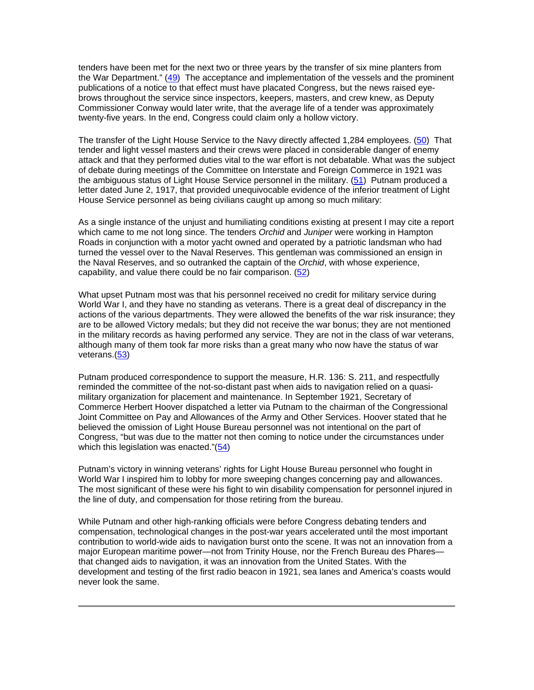tenders have been met for the next two or three years by the transfer of six mine planters from the War Department." (49) The acceptance and implementation of the vessels and the prominent publications of a notice to that effect must have placated Congress, but the news raised eyebrows throughout the service since inspectors, keepers, masters, and crew knew, as Deputy Commissioner Conway would later write, that the average life of a tender was approximately twenty-five years. In the end, Congress could claim only a hollow victory.

The transfer of the Light House Service to the Navy directly affected 1,284 employees. (50) That tender and light vessel masters and their crews were placed in considerable danger of enemy attack and that they performed duties vital to the war effort is not debatable. What was the subject of debate during meetings of the Committee on Interstate and Foreign Commerce in 1921 was the ambiguous status of Light House Service personnel in the military. (51) Putnam produced a letter dated June 2, 1917, that provided unequivocable evidence of the inferior treatment of Light House Service personnel as being civilians caught up among so much military:

As a single instance of the unjust and humiliating conditions existing at present I may cite a report which came to me not long since. The tenders *Orchid* and *Juniper* were working in Hampton Roads in conjunction with a motor yacht owned and operated by a patriotic landsman who had turned the vessel over to the Naval Reserves. This gentleman was commissioned an ensign in the Naval Reserves, and so outranked the captain of the *Orchid*, with whose experience, capability, and value there could be no fair comparison. (52)

What upset Putnam most was that his personnel received no credit for military service during World War I, and they have no standing as veterans. There is a great deal of discrepancy in the actions of the various departments. They were allowed the benefits of the war risk insurance; they are to be allowed Victory medals; but they did not receive the war bonus; they are not mentioned in the military records as having performed any service. They are not in the class of war veterans, although many of them took far more risks than a great many who now have the status of war veterans.(53)

Putnam produced correspondence to support the measure, H.R. 136: S. 211, and respectfully reminded the committee of the not-so-distant past when aids to navigation relied on a quasimilitary organization for placement and maintenance. In September 1921, Secretary of Commerce Herbert Hoover dispatched a letter via Putnam to the chairman of the Congressional Joint Committee on Pay and Allowances of the Army and Other Services. Hoover stated that he believed the omission of Light House Bureau personnel was not intentional on the part of Congress, "but was due to the matter not then coming to notice under the circumstances under which this legislation was enacted."(54)

Putnam's victory in winning veterans' rights for Light House Bureau personnel who fought in World War I inspired him to lobby for more sweeping changes concerning pay and allowances. The most significant of these were his fight to win disability compensation for personnel injured in the line of duty, and compensation for those retiring from the bureau.

While Putnam and other high-ranking officials were before Congress debating tenders and compensation, technological changes in the post-war years accelerated until the most important contribution to world-wide aids to navigation burst onto the scene. It was not an innovation from a major European maritime power—not from Trinity House, nor the French Bureau des Phares that changed aids to navigation, it was an innovation from the United States. With the development and testing of the first radio beacon in 1921, sea lanes and America's coasts would never look the same.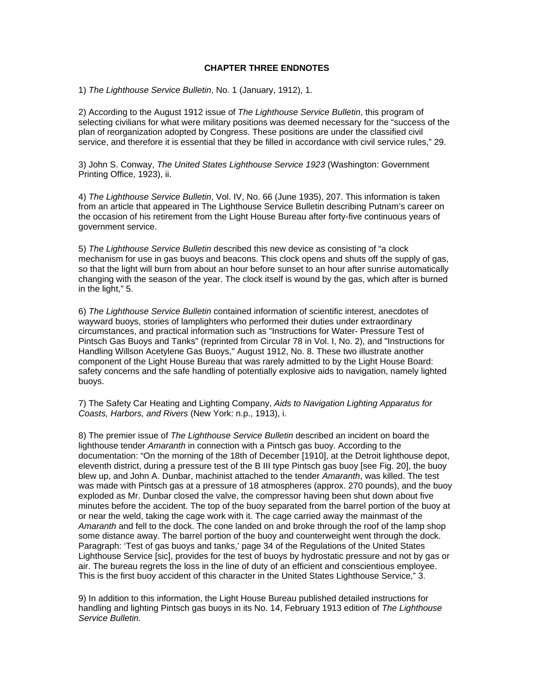## **CHAPTER THREE ENDNOTES**

1) *The Lighthouse Service Bulletin*, No. 1 (January, 1912), 1.

2) According to the August 1912 issue of *The Lighthouse Service Bulletin*, this program of selecting civilians for what were military positions was deemed necessary for the "success of the plan of reorganization adopted by Congress. These positions are under the classified civil service, and therefore it is essential that they be filled in accordance with civil service rules," 29.

3) John S. Conway, *The United States Lighthouse Service 1923* (Washington: Government Printing Office, 1923), ii.

4) *The Lighthouse Service Bulletin*, Vol. IV, No. 66 (June 1935), 207. This information is taken from an article that appeared in The Lighthouse Service Bulletin describing Putnam's career on the occasion of his retirement from the Light House Bureau after forty-five continuous years of government service.

5) *The Lighthouse Service Bulletin* described this new device as consisting of "a clock mechanism for use in gas buoys and beacons. This clock opens and shuts off the supply of gas, so that the light will burn from about an hour before sunset to an hour after sunrise automatically changing with the season of the year. The clock itself is wound by the gas, which after is burned in the light," 5.

6) *The Lighthouse Service Bulletin* contained information of scientific interest, anecdotes of wayward buoys, stories of lamplighters who performed their duties under extraordinary circumstances, and practical information such as "Instructions for Water- Pressure Test of Pintsch Gas Buoys and Tanks" (reprinted from Circular 78 in Vol. I, No. 2), and "Instructions for Handling Willson Acetylene Gas Buoys," August 1912, No. 8. These two illustrate another component of the Light House Bureau that was rarely admitted to by the Light House Board: safety concerns and the safe handling of potentially explosive aids to navigation, namely lighted buoys.

7) The Safety Car Heating and Lighting Company, *Aids to Navigation Lighting Apparatus for Coasts, Harbors, and Rivers* (New York: n.p., 1913), i.

8) The premier issue of *The Lighthouse Service Bulletin* described an incident on board the lighthouse tender *Amaranth* in connection with a Pintsch gas buoy. According to the documentation: "On the morning of the 18th of December [1910], at the Detroit lighthouse depot, eleventh district, during a pressure test of the B III type Pintsch gas buoy [see Fig. 20], the buoy blew up, and John A. Dunbar, machinist attached to the tender *Amaranth*, was killed. The test was made with Pintsch gas at a pressure of 18 atmospheres (approx. 270 pounds), and the buoy exploded as Mr. Dunbar closed the valve, the compressor having been shut down about five minutes before the accident. The top of the buoy separated from the barrel portion of the buoy at or near the weld, taking the cage work with it. The cage carried away the mainmast of the *Amaranth* and fell to the dock. The cone landed on and broke through the roof of the lamp shop some distance away. The barrel portion of the buoy and counterweight went through the dock. Paragraph: 'Test of gas buoys and tanks,' page 34 of the Regulations of the United States Lighthouse Service [sic], provides for the test of buoys by hydrostatic pressure and not by gas or air. The bureau regrets the loss in the line of duty of an efficient and conscientious employee. This is the first buoy accident of this character in the United States Lighthouse Service," 3.

9) In addition to this information, the Light House Bureau published detailed instructions for handling and lighting Pintsch gas buoys in its No. 14, February 1913 edition of *The Lighthouse Service Bulletin.*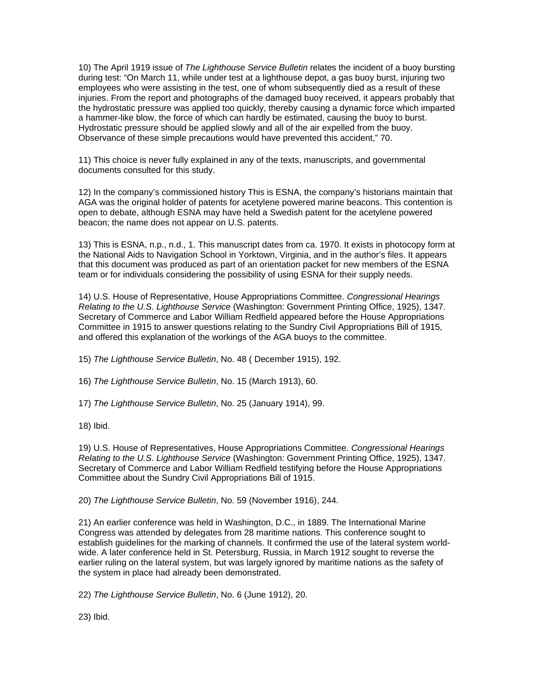10) The April 1919 issue of *The Lighthouse Service Bulletin* relates the incident of a buoy bursting during test: "On March 11, while under test at a lighthouse depot, a gas buoy burst, injuring two employees who were assisting in the test, one of whom subsequently died as a result of these injuries. From the report and photographs of the damaged buoy received, it appears probably that the hydrostatic pressure was applied too quickly, thereby causing a dynamic force which imparted a hammer-like blow, the force of which can hardly be estimated, causing the buoy to burst. Hydrostatic pressure should be applied slowly and all of the air expelled from the buoy. Observance of these simple precautions would have prevented this accident," 70.

11) This choice is never fully explained in any of the texts, manuscripts, and governmental documents consulted for this study.

12) In the company's commissioned history This is ESNA, the company's historians maintain that AGA was the original holder of patents for acetylene powered marine beacons. This contention is open to debate, although ESNA may have held a Swedish patent for the acetylene powered beacon; the name does not appear on U.S. patents.

13) This is ESNA, n.p., n.d., 1. This manuscript dates from ca. 1970. It exists in photocopy form at the National Aids to Navigation School in Yorktown, Virginia, and in the author's files. It appears that this document was produced as part of an orientation packet for new members of the ESNA team or for individuals considering the possibility of using ESNA for their supply needs.

14) U.S. House of Representative, House Appropriations Committee. *Congressional Hearings Relating to the U.S. Lighthouse Service* (Washington: Government Printing Office, 1925), 1347. Secretary of Commerce and Labor William Redfield appeared before the House Appropriations Committee in 1915 to answer questions relating to the Sundry Civil Appropriations Bill of 1915, and offered this explanation of the workings of the AGA buoys to the committee.

15) *The Lighthouse Service Bulletin*, No. 48 ( December 1915), 192.

16) *The Lighthouse Service Bulletin*, No. 15 (March 1913), 60.

17) *The Lighthouse Service Bulletin*, No. 25 (January 1914), 99.

18) Ibid.

19) U.S. House of Representatives, House Appropriations Committee. *Congressional Hearings Relating to the U.S. Lighthouse Service* (Washington: Government Printing Office, 1925), 1347. Secretary of Commerce and Labor William Redfield testifying before the House Appropriations Committee about the Sundry Civil Appropriations Bill of 1915.

20) *The Lighthouse Service Bulletin*, No. 59 (November 1916), 244.

21) An earlier conference was held in Washington, D.C., in 1889. The International Marine Congress was attended by delegates from 28 maritime nations. This conference sought to establish guidelines for the marking of channels. It confirmed the use of the lateral system worldwide. A later conference held in St. Petersburg, Russia, in March 1912 sought to reverse the earlier ruling on the lateral system, but was largely ignored by maritime nations as the safety of the system in place had already been demonstrated.

22) *The Lighthouse Service Bulletin*, No. 6 (June 1912), 20.

23) Ibid.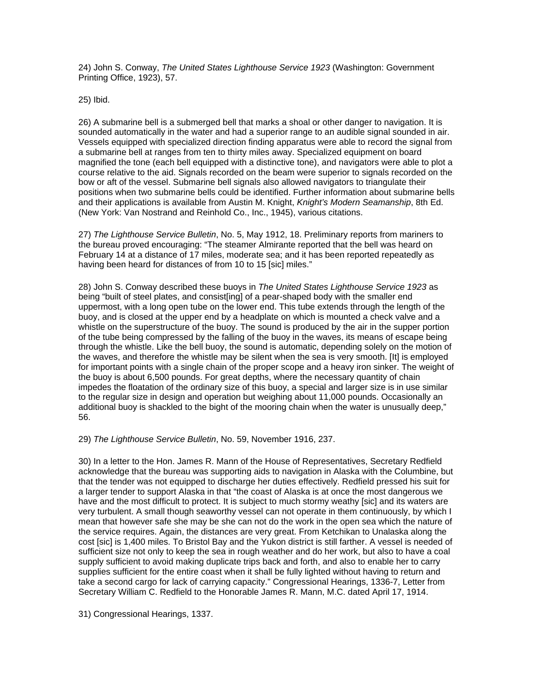24) John S. Conway, *The United States Lighthouse Service 1923* (Washington: Government Printing Office, 1923), 57.

25) Ibid.

26) A submarine bell is a submerged bell that marks a shoal or other danger to navigation. It is sounded automatically in the water and had a superior range to an audible signal sounded in air. Vessels equipped with specialized direction finding apparatus were able to record the signal from a submarine bell at ranges from ten to thirty miles away. Specialized equipment on board magnified the tone (each bell equipped with a distinctive tone), and navigators were able to plot a course relative to the aid. Signals recorded on the beam were superior to signals recorded on the bow or aft of the vessel. Submarine bell signals also allowed navigators to triangulate their positions when two submarine bells could be identified. Further information about submarine bells and their applications is available from Austin M. Knight, *Knight's Modern Seamanship*, 8th Ed. (New York: Van Nostrand and Reinhold Co., Inc., 1945), various citations.

27) *The Lighthouse Service Bulletin*, No. 5, May 1912, 18. Preliminary reports from mariners to the bureau proved encouraging: "The steamer Almirante reported that the bell was heard on February 14 at a distance of 17 miles, moderate sea; and it has been reported repeatedly as having been heard for distances of from 10 to 15 [sic] miles."

28) John S. Conway described these buoys in *The United States Lighthouse Service 1923* as being "built of steel plates, and consist[ing] of a pear-shaped body with the smaller end uppermost, with a long open tube on the lower end. This tube extends through the length of the buoy, and is closed at the upper end by a headplate on which is mounted a check valve and a whistle on the superstructure of the buoy. The sound is produced by the air in the supper portion of the tube being compressed by the falling of the buoy in the waves, its means of escape being through the whistle. Like the bell buoy, the sound is automatic, depending solely on the motion of the waves, and therefore the whistle may be silent when the sea is very smooth. [It] is employed for important points with a single chain of the proper scope and a heavy iron sinker. The weight of the buoy is about 6,500 pounds. For great depths, where the necessary quantity of chain impedes the floatation of the ordinary size of this buoy, a special and larger size is in use similar to the regular size in design and operation but weighing about 11,000 pounds. Occasionally an additional buoy is shackled to the bight of the mooring chain when the water is unusually deep," 56.

29) *The Lighthouse Service Bulletin*, No. 59, November 1916, 237.

30) In a letter to the Hon. James R. Mann of the House of Representatives, Secretary Redfield acknowledge that the bureau was supporting aids to navigation in Alaska with the Columbine, but that the tender was not equipped to discharge her duties effectively. Redfield pressed his suit for a larger tender to support Alaska in that "the coast of Alaska is at once the most dangerous we have and the most difficult to protect. It is subject to much stormy weathy [sic] and its waters are very turbulent. A small though seaworthy vessel can not operate in them continuously, by which I mean that however safe she may be she can not do the work in the open sea which the nature of the service requires. Again, the distances are very great. From Ketchikan to Unalaska along the cost [sic] is 1,400 miles. To Bristol Bay and the Yukon district is still farther. A vessel is needed of sufficient size not only to keep the sea in rough weather and do her work, but also to have a coal supply sufficient to avoid making duplicate trips back and forth, and also to enable her to carry supplies sufficient for the entire coast when it shall be fully lighted without having to return and take a second cargo for lack of carrying capacity." Congressional Hearings, 1336-7, Letter from Secretary William C. Redfield to the Honorable James R. Mann, M.C. dated April 17, 1914.

31) Congressional Hearings, 1337.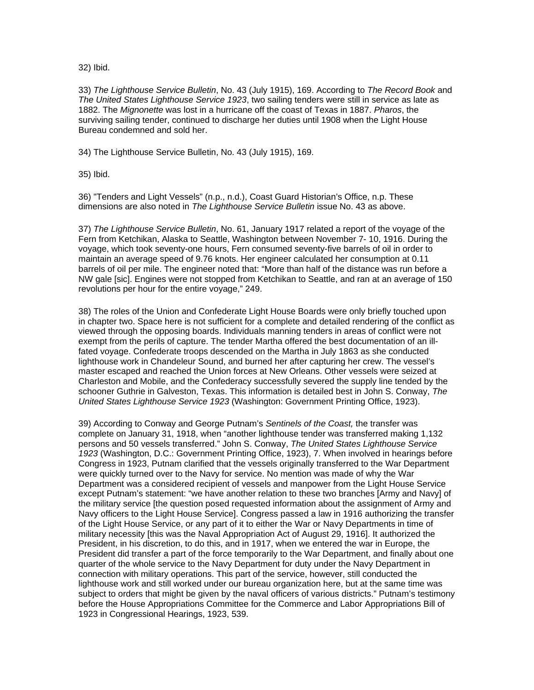32) Ibid.

33) *The Lighthouse Service Bulletin*, No. 43 (July 1915), 169. According to *The Record Book* and *The United States Lighthouse Service 1923*, two sailing tenders were still in service as late as 1882. The *Mignonette* was lost in a hurricane off the coast of Texas in 1887. *Pharos*, the surviving sailing tender, continued to discharge her duties until 1908 when the Light House Bureau condemned and sold her.

34) The Lighthouse Service Bulletin, No. 43 (July 1915), 169.

35) Ibid.

36) "Tenders and Light Vessels" (n.p., n.d.), Coast Guard Historian's Office, n.p. These dimensions are also noted in *The Lighthouse Service Bulletin* issue No. 43 as above.

37) *The Lighthouse Service Bulletin*, No. 61, January 1917 related a report of the voyage of the Fern from Ketchikan, Alaska to Seattle, Washington between November 7- 10, 1916. During the voyage, which took seventy-one hours, Fern consumed seventy-five barrels of oil in order to maintain an average speed of 9.76 knots. Her engineer calculated her consumption at 0.11 barrels of oil per mile. The engineer noted that: "More than half of the distance was run before a NW gale [sic]. Engines were not stopped from Ketchikan to Seattle, and ran at an average of 150 revolutions per hour for the entire voyage," 249.

38) The roles of the Union and Confederate Light House Boards were only briefly touched upon in chapter two. Space here is not sufficient for a complete and detailed rendering of the conflict as viewed through the opposing boards. Individuals manning tenders in areas of conflict were not exempt from the perils of capture. The tender Martha offered the best documentation of an illfated voyage. Confederate troops descended on the Martha in July 1863 as she conducted lighthouse work in Chandeleur Sound, and burned her after capturing her crew. The vessel's master escaped and reached the Union forces at New Orleans. Other vessels were seized at Charleston and Mobile, and the Confederacy successfully severed the supply line tended by the schooner Guthrie in Galveston, Texas. This information is detailed best in John S. Conway, *The United States Lighthouse Service 1923* (Washington: Government Printing Office, 1923).

39) According to Conway and George Putnam's *Sentinels of the Coast,* the transfer was complete on January 31, 1918, when "another lighthouse tender was transferred making 1,132 persons and 50 vessels transferred." John S. Conway, *The United States Lighthouse Service 1923* (Washington, D.C.: Government Printing Office, 1923), 7. When involved in hearings before Congress in 1923, Putnam clarified that the vessels originally transferred to the War Department were quickly turned over to the Navy for service. No mention was made of why the War Department was a considered recipient of vessels and manpower from the Light House Service except Putnam's statement: "we have another relation to these two branches [Army and Navy] of the military service [the question posed requested information about the assignment of Army and Navy officers to the Light House Service]. Congress passed a law in 1916 authorizing the transfer of the Light House Service, or any part of it to either the War or Navy Departments in time of military necessity [this was the Naval Appropriation Act of August 29, 1916]. It authorized the President, in his discretion, to do this, and in 1917, when we entered the war in Europe, the President did transfer a part of the force temporarily to the War Department, and finally about one quarter of the whole service to the Navy Department for duty under the Navy Department in connection with military operations. This part of the service, however, still conducted the lighthouse work and still worked under our bureau organization here, but at the same time was subject to orders that might be given by the naval officers of various districts." Putnam's testimony before the House Appropriations Committee for the Commerce and Labor Appropriations Bill of 1923 in Congressional Hearings, 1923, 539.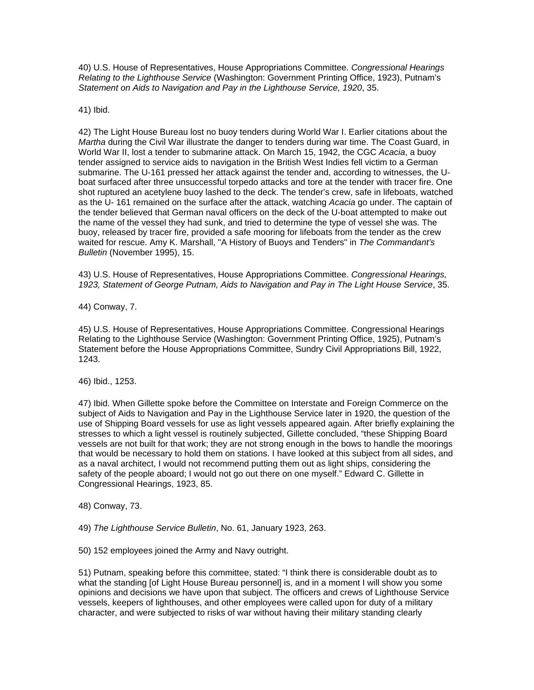40) U.S. House of Representatives, House Appropriations Committee. *Congressional Hearings Relating to the Lighthouse Service* (Washington: Government Printing Office, 1923), Putnam's *Statement on Aids to Navigation and Pay in the Lighthouse Service, 1920*, 35.

41) Ibid.

42) The Light House Bureau lost no buoy tenders during World War I. Earlier citations about the *Martha* during the Civil War illustrate the danger to tenders during war time. The Coast Guard, in World War II, lost a tender to submarine attack. On March 15, 1942, the CGC *Acacia*, a buoy tender assigned to service aids to navigation in the British West Indies fell victim to a German submarine. The U-161 pressed her attack against the tender and, according to witnesses, the Uboat surfaced after three unsuccessful torpedo attacks and tore at the tender with tracer fire. One shot ruptured an acetylene buoy lashed to the deck. The tender's crew, safe in lifeboats, watched as the U- 161 remained on the surface after the attack, watching *Acacia* go under. The captain of the tender believed that German naval officers on the deck of the U-boat attempted to make out the name of the vessel they had sunk, and tried to determine the type of vessel she was. The buoy, released by tracer fire, provided a safe mooring for lifeboats from the tender as the crew waited for rescue. Amy K. Marshall, "A History of Buoys and Tenders" in *The Commandant's Bulletin* (November 1995), 15.

43) U.S. House of Representatives, House Appropriations Committee. *Congressional Hearings, 1923, Statement of George Putnam, Aids to Navigation and Pay in The Light House Service*, 35.

44) Conway, 7.

45) U.S. House of Representatives, House Appropriations Committee. Congressional Hearings Relating to the Lighthouse Service (Washington: Government Printing Office, 1925), Putnam's Statement before the House Appropriations Committee, Sundry Civil Appropriations Bill, 1922, 1243.

46) Ibid., 1253.

47) Ibid. When Gillette spoke before the Committee on Interstate and Foreign Commerce on the subject of Aids to Navigation and Pay in the Lighthouse Service later in 1920, the question of the use of Shipping Board vessels for use as light vessels appeared again. After briefly explaining the stresses to which a light vessel is routinely subjected, Gillette concluded, "these Shipping Board vessels are not built for that work; they are not strong enough in the bows to handle the moorings that would be necessary to hold them on stations. I have looked at this subject from all sides, and as a naval architect, I would not recommend putting them out as light ships, considering the safety of the people aboard; I would not go out there on one myself." Edward C. Gillette in Congressional Hearings, 1923, 85.

48) Conway, 73.

49) *The Lighthouse Service Bulletin*, No. 61, January 1923, 263.

50) 152 employees joined the Army and Navy outright.

51) Putnam, speaking before this committee, stated: "I think there is considerable doubt as to what the standing [of Light House Bureau personnel] is, and in a moment I will show you some opinions and decisions we have upon that subject. The officers and crews of Lighthouse Service vessels, keepers of lighthouses, and other employees were called upon for duty of a military character, and were subjected to risks of war without having their military standing clearly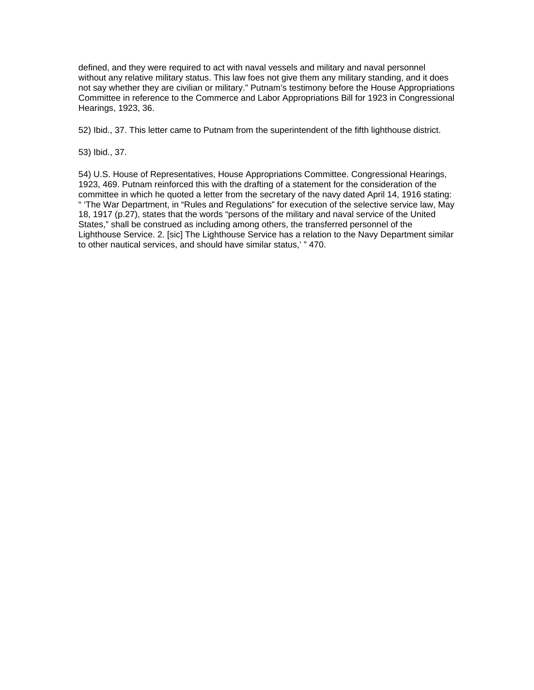defined, and they were required to act with naval vessels and military and naval personnel without any relative military status. This law foes not give them any military standing, and it does not say whether they are civilian or military." Putnam's testimony before the House Appropriations Committee in reference to the Commerce and Labor Appropriations Bill for 1923 in Congressional Hearings, 1923, 36.

52) Ibid., 37. This letter came to Putnam from the superintendent of the fifth lighthouse district.

53) Ibid., 37.

54) U.S. House of Representatives, House Appropriations Committee. Congressional Hearings, 1923, 469. Putnam reinforced this with the drafting of a statement for the consideration of the committee in which he quoted a letter from the secretary of the navy dated April 14, 1916 stating: " 'The War Department, in "Rules and Regulations" for execution of the selective service law, May 18, 1917 (p.27), states that the words "persons of the military and naval service of the United States," shall be construed as including among others, the transferred personnel of the Lighthouse Service. 2. [sic] The Lighthouse Service has a relation to the Navy Department similar to other nautical services, and should have similar status,' " 470.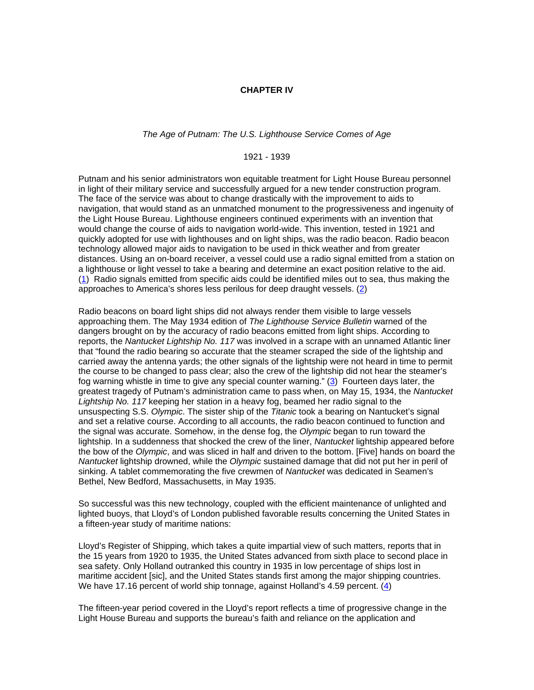#### **CHAPTER IV**

### *The Age of Putnam: The U.S. Lighthouse Service Comes of Age*

1921 - 1939

Putnam and his senior administrators won equitable treatment for Light House Bureau personnel in light of their military service and successfully argued for a new tender construction program. The face of the service was about to change drastically with the improvement to aids to navigation, that would stand as an unmatched monument to the progressiveness and ingenuity of the Light House Bureau. Lighthouse engineers continued experiments with an invention that would change the course of aids to navigation world-wide. This invention, tested in 1921 and quickly adopted for use with lighthouses and on light ships, was the radio beacon. Radio beacon technology allowed major aids to navigation to be used in thick weather and from greater distances. Using an on-board receiver, a vessel could use a radio signal emitted from a station on a lighthouse or light vessel to take a bearing and determine an exact position relative to the aid. (1) Radio signals emitted from specific aids could be identified miles out to sea, thus making the approaches to America's shores less perilous for deep draught vessels. (2)

Radio beacons on board light ships did not always render them visible to large vessels approaching them. The May 1934 edition of *The Lighthouse Service Bulletin* warned of the dangers brought on by the accuracy of radio beacons emitted from light ships. According to reports, the *Nantucket Lightship No. 117* was involved in a scrape with an unnamed Atlantic liner that "found the radio bearing so accurate that the steamer scraped the side of the lightship and carried away the antenna yards; the other signals of the lightship were not heard in time to permit the course to be changed to pass clear; also the crew of the lightship did not hear the steamer's fog warning whistle in time to give any special counter warning."  $(3)$  Fourteen days later, the greatest tragedy of Putnam's administration came to pass when, on May 15, 1934, the *Nantucket Lightship No. 117* keeping her station in a heavy fog, beamed her radio signal to the unsuspecting S.S. *Olympic*. The sister ship of the *Titanic* took a bearing on Nantucket's signal and set a relative course. According to all accounts, the radio beacon continued to function and the signal was accurate. Somehow, in the dense fog, the *Olympic* began to run toward the lightship. In a suddenness that shocked the crew of the liner, *Nantucket* lightship appeared before the bow of the *Olympic*, and was sliced in half and driven to the bottom. [Five] hands on board the *Nantucket* lightship drowned, while the *Olympic* sustained damage that did not put her in peril of sinking. A tablet commemorating the five crewmen of *Nantucket* was dedicated in Seamen's Bethel, New Bedford, Massachusetts, in May 1935.

So successful was this new technology, coupled with the efficient maintenance of unlighted and lighted buoys, that Lloyd's of London published favorable results concerning the United States in a fifteen-year study of maritime nations:

Lloyd's Register of Shipping, which takes a quite impartial view of such matters, reports that in the 15 years from 1920 to 1935, the United States advanced from sixth place to second place in sea safety. Only Holland outranked this country in 1935 in low percentage of ships lost in maritime accident [sic], and the United States stands first among the major shipping countries. We have 17.16 percent of world ship tonnage, against Holland's 4.59 percent. (4)

The fifteen-year period covered in the Lloyd's report reflects a time of progressive change in the Light House Bureau and supports the bureau's faith and reliance on the application and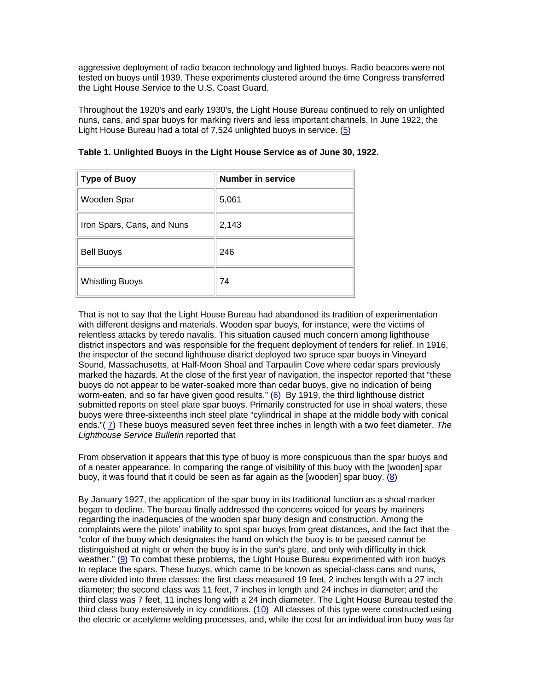aggressive deployment of radio beacon technology and lighted buoys. Radio beacons were not tested on buoys until 1939. These experiments clustered around the time Congress transferred the Light House Service to the U.S. Coast Guard.

Throughout the 1920's and early 1930's, the Light House Bureau continued to rely on unlighted nuns, cans, and spar buoys for marking rivers and less important channels. In June 1922, the Light House Bureau had a total of 7,524 unlighted buoys in service. (5)

| <b>Type of Buoy</b>        | <b>Number in service</b> |
|----------------------------|--------------------------|
| Wooden Spar                | 5,061                    |
| Iron Spars, Cans, and Nuns | 2,143                    |
| <b>Bell Buoys</b>          | 246                      |
| <b>Whistling Buoys</b>     | 74                       |

**Table 1. Unlighted Buoys in the Light House Service as of June 30, 1922.**

That is not to say that the Light House Bureau had abandoned its tradition of experimentation with different designs and materials. Wooden spar buoys, for instance, were the victims of relentless attacks by teredo navalis. This situation caused much concern among lighthouse district inspectors and was responsible for the frequent deployment of tenders for relief. In 1916, the inspector of the second lighthouse district deployed two spruce spar buoys in Vineyard Sound, Massachusetts, at Half-Moon Shoal and Tarpaulin Cove where cedar spars previously marked the hazards. At the close of the first year of navigation, the inspector reported that "these buoys do not appear to be water-soaked more than cedar buoys, give no indication of being worm-eaten, and so far have given good results." (6) By 1919, the third lighthouse district submitted reports on steel plate spar buoys. Primarily constructed for use in shoal waters, these buoys were three-sixteenths inch steel plate "cylindrical in shape at the middle body with conical ends."( 7) These buoys measured seven feet three inches in length with a two feet diameter. *The Lighthouse Service Bulletin* reported that

From observation it appears that this type of buoy is more conspicuous than the spar buoys and of a neater appearance. In comparing the range of visibility of this buoy with the [wooden] spar buoy, it was found that it could be seen as far again as the [wooden] spar buoy. (8)

By January 1927, the application of the spar buoy in its traditional function as a shoal marker began to decline. The bureau finally addressed the concerns voiced for years by mariners regarding the inadequacies of the wooden spar buoy design and construction. Among the complaints were the pilots' inability to spot spar buoys from great distances, and the fact that the "color of the buoy which designates the hand on which the buoy is to be passed cannot be distinguished at night or when the buoy is in the sun's glare, and only with difficulty in thick weather." (9) To combat these problems, the Light House Bureau experimented with iron buoys to replace the spars. These buoys, which came to be known as special-class cans and nuns, were divided into three classes: the first class measured 19 feet, 2 inches length with a 27 inch diameter; the second class was 11 feet, 7 inches in length and 24 inches in diameter; and the third class was 7 feet, 11 inches long with a 24 inch diameter. The Light House Bureau tested the third class buoy extensively in icy conditions. (10) All classes of this type were constructed using the electric or acetylene welding processes, and, while the cost for an individual iron buoy was far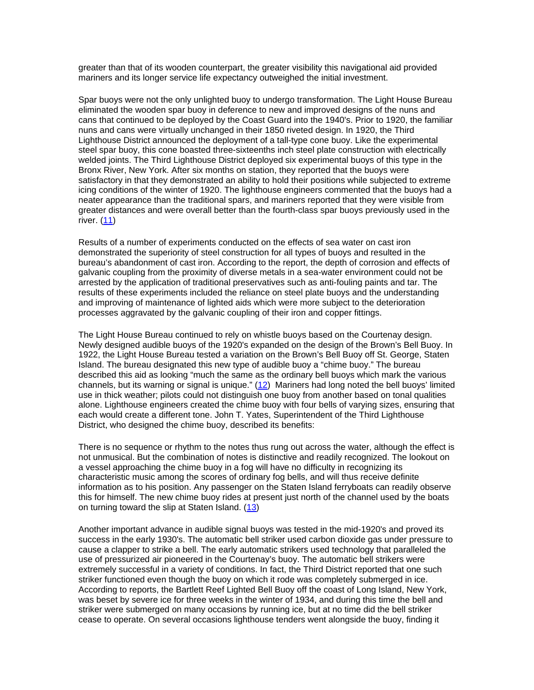greater than that of its wooden counterpart, the greater visibility this navigational aid provided mariners and its longer service life expectancy outweighed the initial investment.

Spar buoys were not the only unlighted buoy to undergo transformation. The Light House Bureau eliminated the wooden spar buoy in deference to new and improved designs of the nuns and cans that continued to be deployed by the Coast Guard into the 1940's. Prior to 1920, the familiar nuns and cans were virtually unchanged in their 1850 riveted design. In 1920, the Third Lighthouse District announced the deployment of a tall-type cone buoy. Like the experimental steel spar buoy, this cone boasted three-sixteenths inch steel plate construction with electrically welded joints. The Third Lighthouse District deployed six experimental buoys of this type in the Bronx River, New York. After six months on station, they reported that the buoys were satisfactory in that they demonstrated an ability to hold their positions while subjected to extreme icing conditions of the winter of 1920. The lighthouse engineers commented that the buoys had a neater appearance than the traditional spars, and mariners reported that they were visible from greater distances and were overall better than the fourth-class spar buoys previously used in the river. (11)

Results of a number of experiments conducted on the effects of sea water on cast iron demonstrated the superiority of steel construction for all types of buoys and resulted in the bureau's abandonment of cast iron. According to the report, the depth of corrosion and effects of galvanic coupling from the proximity of diverse metals in a sea-water environment could not be arrested by the application of traditional preservatives such as anti-fouling paints and tar. The results of these experiments included the reliance on steel plate buoys and the understanding and improving of maintenance of lighted aids which were more subject to the deterioration processes aggravated by the galvanic coupling of their iron and copper fittings.

The Light House Bureau continued to rely on whistle buoys based on the Courtenay design. Newly designed audible buoys of the 1920's expanded on the design of the Brown's Bell Buoy. In 1922, the Light House Bureau tested a variation on the Brown's Bell Buoy off St. George, Staten Island. The bureau designated this new type of audible buoy a "chime buoy." The bureau described this aid as looking "much the same as the ordinary bell buoys which mark the various channels, but its warning or signal is unique." (12) Mariners had long noted the bell buoys' limited use in thick weather; pilots could not distinguish one buoy from another based on tonal qualities alone. Lighthouse engineers created the chime buoy with four bells of varying sizes, ensuring that each would create a different tone. John T. Yates, Superintendent of the Third Lighthouse District, who designed the chime buoy, described its benefits:

There is no sequence or rhythm to the notes thus rung out across the water, although the effect is not unmusical. But the combination of notes is distinctive and readily recognized. The lookout on a vessel approaching the chime buoy in a fog will have no difficulty in recognizing its characteristic music among the scores of ordinary fog bells, and will thus receive definite information as to his position. Any passenger on the Staten Island ferryboats can readily observe this for himself. The new chime buoy rides at present just north of the channel used by the boats on turning toward the slip at Staten Island.  $(13)$ 

Another important advance in audible signal buoys was tested in the mid-1920's and proved its success in the early 1930's. The automatic bell striker used carbon dioxide gas under pressure to cause a clapper to strike a bell. The early automatic strikers used technology that paralleled the use of pressurized air pioneered in the Courtenay's buoy. The automatic bell strikers were extremely successful in a variety of conditions. In fact, the Third District reported that one such striker functioned even though the buoy on which it rode was completely submerged in ice. According to reports, the Bartlett Reef Lighted Bell Buoy off the coast of Long Island, New York, was beset by severe ice for three weeks in the winter of 1934, and during this time the bell and striker were submerged on many occasions by running ice, but at no time did the bell striker cease to operate. On several occasions lighthouse tenders went alongside the buoy, finding it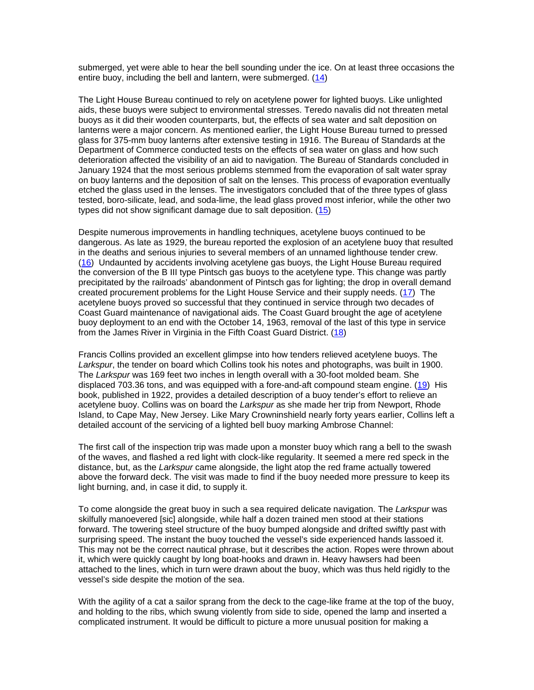submerged, yet were able to hear the bell sounding under the ice. On at least three occasions the entire buoy, including the bell and lantern, were submerged. (14)

The Light House Bureau continued to rely on acetylene power for lighted buoys. Like unlighted aids, these buoys were subject to environmental stresses. Teredo navalis did not threaten metal buoys as it did their wooden counterparts, but, the effects of sea water and salt deposition on lanterns were a major concern. As mentioned earlier, the Light House Bureau turned to pressed glass for 375-mm buoy lanterns after extensive testing in 1916. The Bureau of Standards at the Department of Commerce conducted tests on the effects of sea water on glass and how such deterioration affected the visibility of an aid to navigation. The Bureau of Standards concluded in January 1924 that the most serious problems stemmed from the evaporation of salt water spray on buoy lanterns and the deposition of salt on the lenses. This process of evaporation eventually etched the glass used in the lenses. The investigators concluded that of the three types of glass tested, boro-silicate, lead, and soda-lime, the lead glass proved most inferior, while the other two types did not show significant damage due to salt deposition.  $(15)$ 

Despite numerous improvements in handling techniques, acetylene buoys continued to be dangerous. As late as 1929, the bureau reported the explosion of an acetylene buoy that resulted in the deaths and serious injuries to several members of an unnamed lighthouse tender crew. (16) Undaunted by accidents involving acetylene gas buoys, the Light House Bureau required the conversion of the B III type Pintsch gas buoys to the acetylene type. This change was partly precipitated by the railroads' abandonment of Pintsch gas for lighting; the drop in overall demand created procurement problems for the Light House Service and their supply needs. (17) The acetylene buoys proved so successful that they continued in service through two decades of Coast Guard maintenance of navigational aids. The Coast Guard brought the age of acetylene buoy deployment to an end with the October 14, 1963, removal of the last of this type in service from the James River in Virginia in the Fifth Coast Guard District. (18)

Francis Collins provided an excellent glimpse into how tenders relieved acetylene buoys. The *Larkspur*, the tender on board which Collins took his notes and photographs, was built in 1900. The *Larkspur* was 169 feet two inches in length overall with a 30-foot molded beam. She displaced 703.36 tons, and was equipped with a fore-and-aft compound steam engine. (19) His book, published in 1922, provides a detailed description of a buoy tender's effort to relieve an acetylene buoy. Collins was on board the *Larkspur* as she made her trip from Newport, Rhode Island, to Cape May, New Jersey. Like Mary Crowninshield nearly forty years earlier, Collins left a detailed account of the servicing of a lighted bell buoy marking Ambrose Channel:

The first call of the inspection trip was made upon a monster buoy which rang a bell to the swash of the waves, and flashed a red light with clock-like regularity. It seemed a mere red speck in the distance, but, as the *Larkspur* came alongside, the light atop the red frame actually towered above the forward deck. The visit was made to find if the buoy needed more pressure to keep its light burning, and, in case it did, to supply it.

To come alongside the great buoy in such a sea required delicate navigation. The *Larkspur* was skilfully manoevered [sic] alongside, while half a dozen trained men stood at their stations forward. The towering steel structure of the buoy bumped alongside and drifted swiftly past with surprising speed. The instant the buoy touched the vessel's side experienced hands lassoed it. This may not be the correct nautical phrase, but it describes the action. Ropes were thrown about it, which were quickly caught by long boat-hooks and drawn in. Heavy hawsers had been attached to the lines, which in turn were drawn about the buoy, which was thus held rigidly to the vessel's side despite the motion of the sea.

With the agility of a cat a sailor sprang from the deck to the cage-like frame at the top of the buoy, and holding to the ribs, which swung violently from side to side, opened the lamp and inserted a complicated instrument. It would be difficult to picture a more unusual position for making a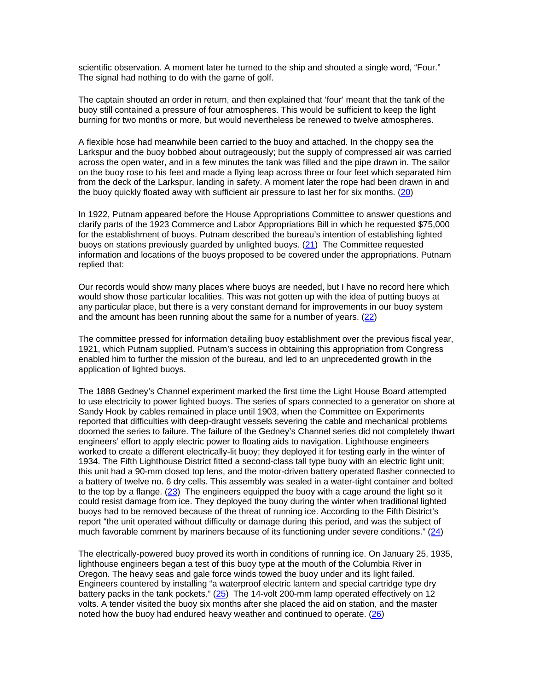scientific observation. A moment later he turned to the ship and shouted a single word, "Four." The signal had nothing to do with the game of golf.

The captain shouted an order in return, and then explained that 'four' meant that the tank of the buoy still contained a pressure of four atmospheres. This would be sufficient to keep the light burning for two months or more, but would nevertheless be renewed to twelve atmospheres.

A flexible hose had meanwhile been carried to the buoy and attached. In the choppy sea the Larkspur and the buoy bobbed about outrageously; but the supply of compressed air was carried across the open water, and in a few minutes the tank was filled and the pipe drawn in. The sailor on the buoy rose to his feet and made a flying leap across three or four feet which separated him from the deck of the Larkspur, landing in safety. A moment later the rope had been drawn in and the buoy quickly floated away with sufficient air pressure to last her for six months. (20)

In 1922, Putnam appeared before the House Appropriations Committee to answer questions and clarify parts of the 1923 Commerce and Labor Appropriations Bill in which he requested \$75,000 for the establishment of buoys. Putnam described the bureau's intention of establishing lighted buoys on stations previously guarded by unlighted buoys. (21) The Committee requested information and locations of the buoys proposed to be covered under the appropriations. Putnam replied that:

Our records would show many places where buoys are needed, but I have no record here which would show those particular localities. This was not gotten up with the idea of putting buoys at any particular place, but there is a very constant demand for improvements in our buoy system and the amount has been running about the same for a number of years. (22)

The committee pressed for information detailing buoy establishment over the previous fiscal year, 1921, which Putnam supplied. Putnam's success in obtaining this appropriation from Congress enabled him to further the mission of the bureau, and led to an unprecedented growth in the application of lighted buoys.

The 1888 Gedney's Channel experiment marked the first time the Light House Board attempted to use electricity to power lighted buoys. The series of spars connected to a generator on shore at Sandy Hook by cables remained in place until 1903, when the Committee on Experiments reported that difficulties with deep-draught vessels severing the cable and mechanical problems doomed the series to failure. The failure of the Gedney's Channel series did not completely thwart engineers' effort to apply electric power to floating aids to navigation. Lighthouse engineers worked to create a different electrically-lit buoy; they deployed it for testing early in the winter of 1934. The Fifth Lighthouse District fitted a second-class tall type buoy with an electric light unit; this unit had a 90-mm closed top lens, and the motor-driven battery operated flasher connected to a battery of twelve no. 6 dry cells. This assembly was sealed in a water-tight container and bolted to the top by a flange.  $(23)$  The engineers equipped the buoy with a cage around the light so it could resist damage from ice. They deployed the buoy during the winter when traditional lighted buoys had to be removed because of the threat of running ice. According to the Fifth District's report "the unit operated without difficulty or damage during this period, and was the subject of much favorable comment by mariners because of its functioning under severe conditions."  $(24)$ 

The electrically-powered buoy proved its worth in conditions of running ice. On January 25, 1935, lighthouse engineers began a test of this buoy type at the mouth of the Columbia River in Oregon. The heavy seas and gale force winds towed the buoy under and its light failed. Engineers countered by installing "a waterproof electric lantern and special cartridge type dry battery packs in the tank pockets." (25) The 14-volt 200-mm lamp operated effectively on 12 volts. A tender visited the buoy six months after she placed the aid on station, and the master noted how the buoy had endured heavy weather and continued to operate. (26)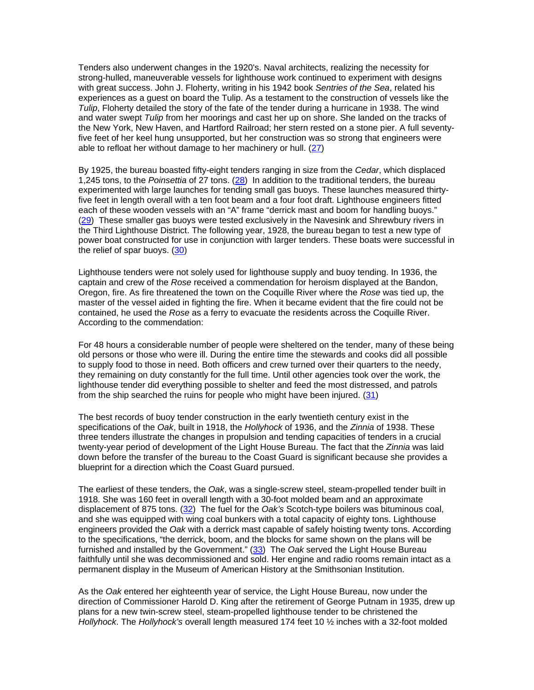Tenders also underwent changes in the 1920's. Naval architects, realizing the necessity for strong-hulled, maneuverable vessels for lighthouse work continued to experiment with designs with great success. John J. Floherty, writing in his 1942 book *Sentries of the Sea*, related his experiences as a guest on board the Tulip. As a testament to the construction of vessels like the *Tulip*, Floherty detailed the story of the fate of the tender during a hurricane in 1938. The wind and water swept *Tulip* from her moorings and cast her up on shore. She landed on the tracks of the New York, New Haven, and Hartford Railroad; her stern rested on a stone pier. A full seventyfive feet of her keel hung unsupported, but her construction was so strong that engineers were able to refloat her without damage to her machinery or hull. (27)

By 1925, the bureau boasted fifty-eight tenders ranging in size from the *Cedar*, which displaced 1,245 tons, to the *Poinsettia* of 27 tons. (28) In addition to the traditional tenders, the bureau experimented with large launches for tending small gas buoys. These launches measured thirtyfive feet in length overall with a ten foot beam and a four foot draft. Lighthouse engineers fitted each of these wooden vessels with an "A" frame "derrick mast and boom for handling buoys." (29) These smaller gas buoys were tested exclusively in the Navesink and Shrewbury rivers in the Third Lighthouse District. The following year, 1928, the bureau began to test a new type of power boat constructed for use in conjunction with larger tenders. These boats were successful in the relief of spar buoys. (30)

Lighthouse tenders were not solely used for lighthouse supply and buoy tending. In 1936, the captain and crew of the *Rose* received a commendation for heroism displayed at the Bandon, Oregon, fire. As fire threatened the town on the Coquille River where the *Rose* was tied up, the master of the vessel aided in fighting the fire. When it became evident that the fire could not be contained, he used the *Rose* as a ferry to evacuate the residents across the Coquille River. According to the commendation:

For 48 hours a considerable number of people were sheltered on the tender, many of these being old persons or those who were ill. During the entire time the stewards and cooks did all possible to supply food to those in need. Both officers and crew turned over their quarters to the needy, they remaining on duty constantly for the full time. Until other agencies took over the work, the lighthouse tender did everything possible to shelter and feed the most distressed, and patrols from the ship searched the ruins for people who might have been injured. (31)

The best records of buoy tender construction in the early twentieth century exist in the specifications of the *Oak*, built in 1918, the *Hollyhock* of 1936, and the *Zinnia* of 1938. These three tenders illustrate the changes in propulsion and tending capacities of tenders in a crucial twenty-year period of development of the Light House Bureau. The fact that the *Zinnia* was laid down before the transfer of the bureau to the Coast Guard is significant because she provides a blueprint for a direction which the Coast Guard pursued.

The earliest of these tenders, the *Oak*, was a single-screw steel, steam-propelled tender built in 1918. She was 160 feet in overall length with a 30-foot molded beam and an approximate displacement of 875 tons. (32) The fuel for the *Oak's* Scotch-type boilers was bituminous coal, and she was equipped with wing coal bunkers with a total capacity of eighty tons. Lighthouse engineers provided the *Oak* with a derrick mast capable of safely hoisting twenty tons. According to the specifications, "the derrick, boom, and the blocks for same shown on the plans will be furnished and installed by the Government." (33) The *Oak* served the Light House Bureau faithfully until she was decommissioned and sold. Her engine and radio rooms remain intact as a permanent display in the Museum of American History at the Smithsonian Institution.

As the *Oak* entered her eighteenth year of service, the Light House Bureau, now under the direction of Commissioner Harold D. King after the retirement of George Putnam in 1935, drew up plans for a new twin-screw steel, steam-propelled lighthouse tender to be christened the *Hollyhock*. The *Hollyhock's* overall length measured 174 feet 10 ½ inches with a 32-foot molded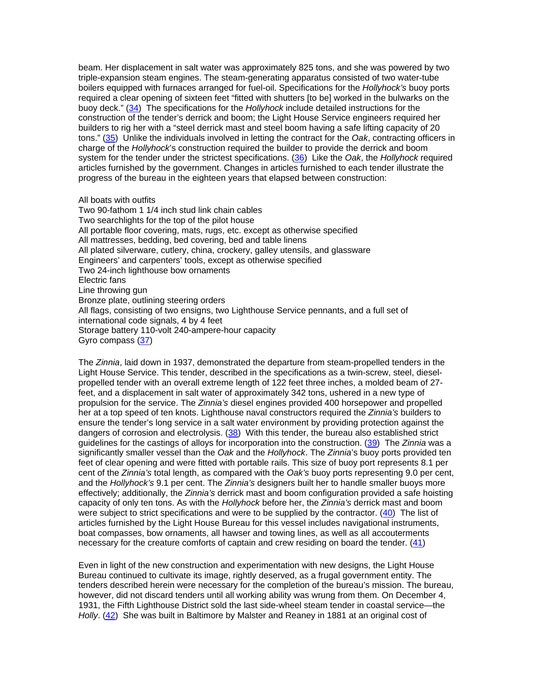beam. Her displacement in salt water was approximately 825 tons, and she was powered by two triple-expansion steam engines. The steam-generating apparatus consisted of two water-tube boilers equipped with furnaces arranged for fuel-oil. Specifications for the *Hollyhock's* buoy ports required a clear opening of sixteen feet "fitted with shutters [to be] worked in the bulwarks on the buoy deck." (34) The specifications for the *Hollyhock* include detailed instructions for the construction of the tender's derrick and boom; the Light House Service engineers required her builders to rig her with a "steel derrick mast and steel boom having a safe lifting capacity of 20 tons." (35) Unlike the individuals involved in letting the contract for the *Oak*, contracting officers in charge of the *Hollyhock*'s construction required the builder to provide the derrick and boom system for the tender under the strictest specifications. (36) Like the *Oak*, the *Hollyhock* required articles furnished by the government. Changes in articles furnished to each tender illustrate the progress of the bureau in the eighteen years that elapsed between construction:

### All boats with outfits

Two 90-fathom 1 1/4 inch stud link chain cables Two searchlights for the top of the pilot house All portable floor covering, mats, rugs, etc. except as otherwise specified All mattresses, bedding, bed covering, bed and table linens All plated silverware, cutlery, china, crockery, galley utensils, and glassware Engineers' and carpenters' tools, except as otherwise specified Two 24-inch lighthouse bow ornaments Electric fans Line throwing gun Bronze plate, outlining steering orders All flags, consisting of two ensigns, two Lighthouse Service pennants, and a full set of international code signals, 4 by 4 feet Storage battery 110-volt 240-ampere-hour capacity Gyro compass (37)

The *Zinnia*, laid down in 1937, demonstrated the departure from steam-propelled tenders in the Light House Service. This tender, described in the specifications as a twin-screw, steel, dieselpropelled tender with an overall extreme length of 122 feet three inches, a molded beam of 27 feet, and a displacement in salt water of approximately 342 tons, ushered in a new type of propulsion for the service. The *Zinnia's* diesel engines provided 400 horsepower and propelled her at a top speed of ten knots. Lighthouse naval constructors required the *Zinnia's* builders to ensure the tender's long service in a salt water environment by providing protection against the dangers of corrosion and electrolysis. (38) With this tender, the bureau also established strict guidelines for the castings of alloys for incorporation into the construction. (39) The *Zinnia* was a significantly smaller vessel than the *Oak* and the *Hollyhock*. The *Zinnia*'s buoy ports provided ten feet of clear opening and were fitted with portable rails. This size of buoy port represents 8.1 per cent of the *Zinnia's* total length, as compared with the *Oak's* buoy ports representing 9.0 per cent, and the *Hollyhock's* 9.1 per cent. The *Zinnia's* designers built her to handle smaller buoys more effectively; additionally, the *Zinnia's* derrick mast and boom configuration provided a safe hoisting capacity of only ten tons. As with the *Hollyhock* before her, the *Zinnia's* derrick mast and boom were subject to strict specifications and were to be supplied by the contractor. (40) The list of articles furnished by the Light House Bureau for this vessel includes navigational instruments, boat compasses, bow ornaments, all hawser and towing lines, as well as all accouterments necessary for the creature comforts of captain and crew residing on board the tender. (41)

Even in light of the new construction and experimentation with new designs, the Light House Bureau continued to cultivate its image, rightly deserved, as a frugal government entity. The tenders described herein were necessary for the completion of the bureau's mission. The bureau, however, did not discard tenders until all working ability was wrung from them. On December 4, 1931, the Fifth Lighthouse District sold the last side-wheel steam tender in coastal service—the *Holly*. (42) She was built in Baltimore by Malster and Reaney in 1881 at an original cost of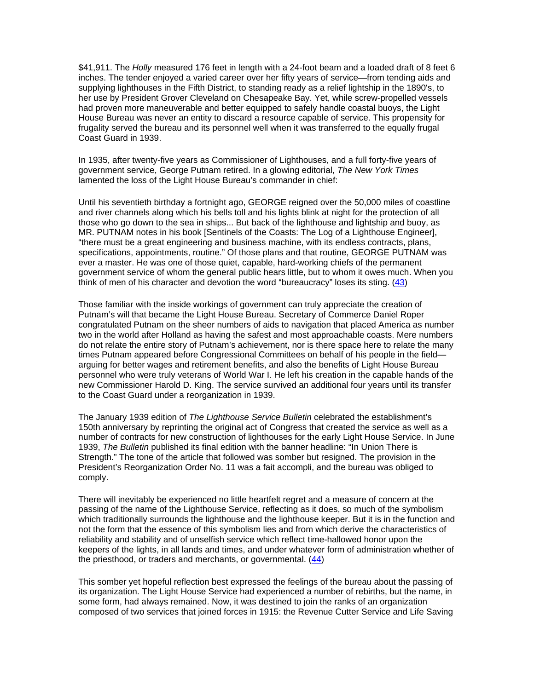\$41,911. The *Holly* measured 176 feet in length with a 24-foot beam and a loaded draft of 8 feet 6 inches. The tender enjoyed a varied career over her fifty years of service—from tending aids and supplying lighthouses in the Fifth District, to standing ready as a relief lightship in the 1890's, to her use by President Grover Cleveland on Chesapeake Bay. Yet, while screw-propelled vessels had proven more maneuverable and better equipped to safely handle coastal buoys, the Light House Bureau was never an entity to discard a resource capable of service. This propensity for frugality served the bureau and its personnel well when it was transferred to the equally frugal Coast Guard in 1939.

In 1935, after twenty-five years as Commissioner of Lighthouses, and a full forty-five years of government service, George Putnam retired. In a glowing editorial, *The New York Times* lamented the loss of the Light House Bureau's commander in chief:

Until his seventieth birthday a fortnight ago, GEORGE reigned over the 50,000 miles of coastline and river channels along which his bells toll and his lights blink at night for the protection of all those who go down to the sea in ships... But back of the lighthouse and lightship and buoy, as MR. PUTNAM notes in his book [Sentinels of the Coasts: The Log of a Lighthouse Engineer], "there must be a great engineering and business machine, with its endless contracts, plans, specifications, appointments, routine." Of those plans and that routine, GEORGE PUTNAM was ever a master. He was one of those quiet, capable, hard-working chiefs of the permanent government service of whom the general public hears little, but to whom it owes much. When you think of men of his character and devotion the word "bureaucracy" loses its sting. (43)

Those familiar with the inside workings of government can truly appreciate the creation of Putnam's will that became the Light House Bureau. Secretary of Commerce Daniel Roper congratulated Putnam on the sheer numbers of aids to navigation that placed America as number two in the world after Holland as having the safest and most approachable coasts. Mere numbers do not relate the entire story of Putnam's achievement, nor is there space here to relate the many times Putnam appeared before Congressional Committees on behalf of his people in the field arguing for better wages and retirement benefits, and also the benefits of Light House Bureau personnel who were truly veterans of World War I. He left his creation in the capable hands of the new Commissioner Harold D. King. The service survived an additional four years until its transfer to the Coast Guard under a reorganization in 1939.

The January 1939 edition of *The Lighthouse Service Bulletin* celebrated the establishment's 150th anniversary by reprinting the original act of Congress that created the service as well as a number of contracts for new construction of lighthouses for the early Light House Service. In June 1939, *The Bulletin* published its final edition with the banner headline: "In Union There is Strength." The tone of the article that followed was somber but resigned. The provision in the President's Reorganization Order No. 11 was a fait accompli, and the bureau was obliged to comply.

There will inevitably be experienced no little heartfelt regret and a measure of concern at the passing of the name of the Lighthouse Service, reflecting as it does, so much of the symbolism which traditionally surrounds the lighthouse and the lighthouse keeper. But it is in the function and not the form that the essence of this symbolism lies and from which derive the characteristics of reliability and stability and of unselfish service which reflect time-hallowed honor upon the keepers of the lights, in all lands and times, and under whatever form of administration whether of the priesthood, or traders and merchants, or governmental. (44)

This somber yet hopeful reflection best expressed the feelings of the bureau about the passing of its organization. The Light House Service had experienced a number of rebirths, but the name, in some form, had always remained. Now, it was destined to join the ranks of an organization composed of two services that joined forces in 1915: the Revenue Cutter Service and Life Saving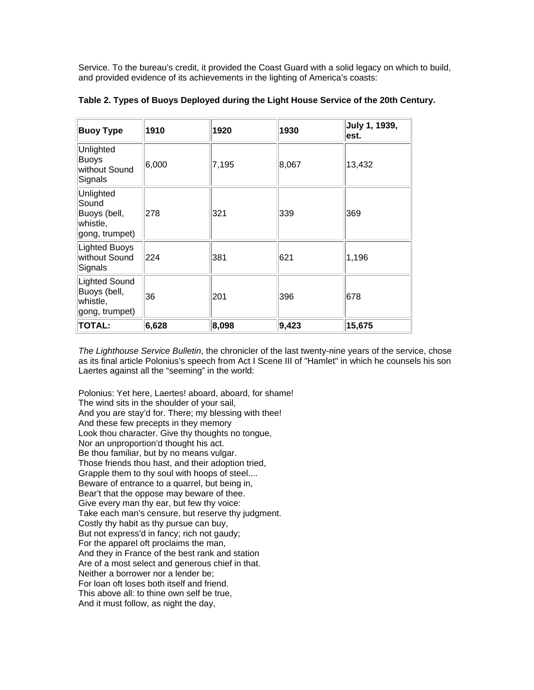Service. To the bureau's credit, it provided the Coast Guard with a solid legacy on which to build, and provided evidence of its achievements in the lighting of America's coasts:

| <b>Buoy Type</b>                                                 | 1910  | 1920  | 1930  | July 1, 1939,<br>est. |
|------------------------------------------------------------------|-------|-------|-------|-----------------------|
| Unlighted<br><b>Buoys</b><br>without Sound<br>Signals            | 6,000 | 7,195 | 8,067 | 13,432                |
| Unlighted<br>Sound<br>Buoys (bell,<br>whistle,<br>gong, trumpet) | 278   | 321   | 339   | 369                   |
| Lighted Buoys<br>without Sound<br>Signals                        | 224   | 381   | 621   | 1,196                 |
| Lighted Sound<br>Buoys (bell,<br>whistle,<br>gong, trumpet)      | 36    | 201   | 396   | 678                   |
| <b>TOTAL:</b>                                                    | 6,628 | 8,098 | 9,423 | 15,675                |

**Table 2. Types of Buoys Deployed during the Light House Service of the 20th Century.**

*The Lighthouse Service Bulletin*, the chronicler of the last twenty-nine years of the service, chose as its final article Polonius's speech from Act I Scene III of "Hamlet" in which he counsels his son Laertes against all the "seeming" in the world:

Polonius: Yet here, Laertes! aboard, aboard, for shame! The wind sits in the shoulder of your sail, And you are stay'd for. There; my blessing with thee! And these few precepts in they memory Look thou character. Give thy thoughts no tongue, Nor an unproportion'd thought his act. Be thou familiar, but by no means vulgar. Those friends thou hast, and their adoption tried, Grapple them to thy soul with hoops of steel.... Beware of entrance to a quarrel, but being in, Bear't that the oppose may beware of thee. Give every man thy ear, but few thy voice: Take each man's censure, but reserve thy judgment. Costly thy habit as thy pursue can buy, But not express'd in fancy; rich not gaudy; For the apparel oft proclaims the man, And they in France of the best rank and station Are of a most select and generous chief in that. Neither a borrower nor a lender be; For loan oft loses both itself and friend. This above all: to thine own self be true, And it must follow, as night the day,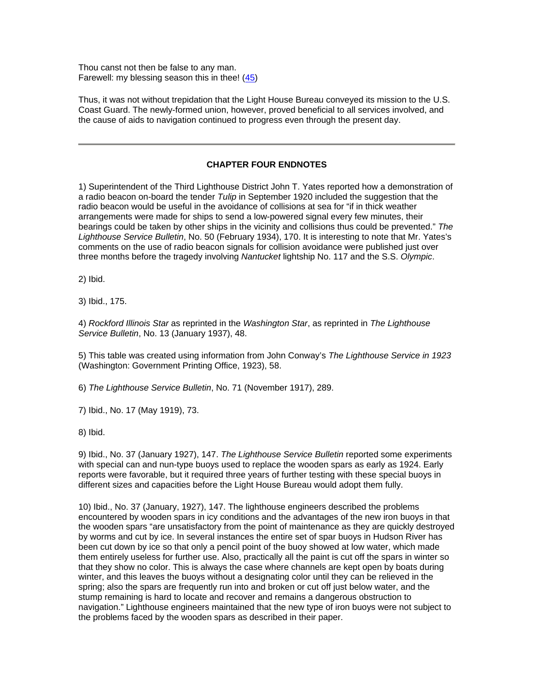Thou canst not then be false to any man. Farewell: my blessing season this in thee! (45)

Thus, it was not without trepidation that the Light House Bureau conveyed its mission to the U.S. Coast Guard. The newly-formed union, however, proved beneficial to all services involved, and the cause of aids to navigation continued to progress even through the present day.

# **CHAPTER FOUR ENDNOTES**

1) Superintendent of the Third Lighthouse District John T. Yates reported how a demonstration of a radio beacon on-board the tender *Tulip* in September 1920 included the suggestion that the radio beacon would be useful in the avoidance of collisions at sea for "if in thick weather arrangements were made for ships to send a low-powered signal every few minutes, their bearings could be taken by other ships in the vicinity and collisions thus could be prevented." *The Lighthouse Service Bulletin*, No. 50 (February 1934), 170. It is interesting to note that Mr. Yates's comments on the use of radio beacon signals for collision avoidance were published just over three months before the tragedy involving *Nantucket* lightship No. 117 and the S.S. *Olympic*.

2) Ibid.

3) Ibid., 175.

4) *Rockford Illinois Star* as reprinted in the *Washington Star*, as reprinted in *The Lighthouse Service Bulletin*, No. 13 (January 1937), 48.

5) This table was created using information from John Conway's *The Lighthouse Service in 1923* (Washington: Government Printing Office, 1923), 58.

6) *The Lighthouse Service Bulletin*, No. 71 (November 1917), 289.

7) Ibid., No. 17 (May 1919), 73.

8) Ibid.

9) Ibid., No. 37 (January 1927), 147. *The Lighthouse Service Bulletin* reported some experiments with special can and nun-type buoys used to replace the wooden spars as early as 1924. Early reports were favorable, but it required three years of further testing with these special buoys in different sizes and capacities before the Light House Bureau would adopt them fully.

10) Ibid., No. 37 (January, 1927), 147. The lighthouse engineers described the problems encountered by wooden spars in icy conditions and the advantages of the new iron buoys in that the wooden spars "are unsatisfactory from the point of maintenance as they are quickly destroyed by worms and cut by ice. In several instances the entire set of spar buoys in Hudson River has been cut down by ice so that only a pencil point of the buoy showed at low water, which made them entirely useless for further use. Also, practically all the paint is cut off the spars in winter so that they show no color. This is always the case where channels are kept open by boats during winter, and this leaves the buoys without a designating color until they can be relieved in the spring; also the spars are frequently run into and broken or cut off just below water, and the stump remaining is hard to locate and recover and remains a dangerous obstruction to navigation." Lighthouse engineers maintained that the new type of iron buoys were not subject to the problems faced by the wooden spars as described in their paper.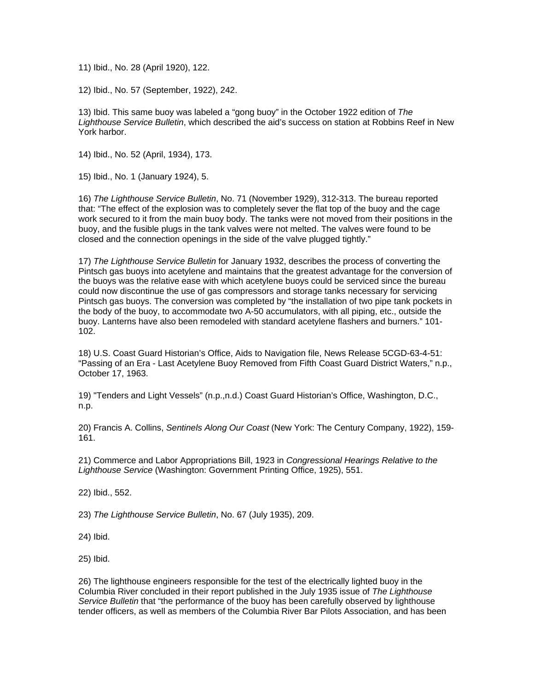11) Ibid., No. 28 (April 1920), 122.

12) Ibid., No. 57 (September, 1922), 242.

13) Ibid. This same buoy was labeled a "gong buoy" in the October 1922 edition of *The Lighthouse Service Bulletin*, which described the aid's success on station at Robbins Reef in New York harbor.

14) Ibid., No. 52 (April, 1934), 173.

15) Ibid., No. 1 (January 1924), 5.

16) *The Lighthouse Service Bulletin*, No. 71 (November 1929), 312-313. The bureau reported that: "The effect of the explosion was to completely sever the flat top of the buoy and the cage work secured to it from the main buoy body. The tanks were not moved from their positions in the buoy, and the fusible plugs in the tank valves were not melted. The valves were found to be closed and the connection openings in the side of the valve plugged tightly."

17) *The Lighthouse Service Bulletin* for January 1932, describes the process of converting the Pintsch gas buoys into acetylene and maintains that the greatest advantage for the conversion of the buoys was the relative ease with which acetylene buoys could be serviced since the bureau could now discontinue the use of gas compressors and storage tanks necessary for servicing Pintsch gas buoys. The conversion was completed by "the installation of two pipe tank pockets in the body of the buoy, to accommodate two A-50 accumulators, with all piping, etc., outside the buoy. Lanterns have also been remodeled with standard acetylene flashers and burners." 101- 102.

18) U.S. Coast Guard Historian's Office, Aids to Navigation file, News Release 5CGD-63-4-51: "Passing of an Era - Last Acetylene Buoy Removed from Fifth Coast Guard District Waters," n.p., October 17, 1963.

19) "Tenders and Light Vessels" (n.p.,n.d.) Coast Guard Historian's Office, Washington, D.C., n.p.

20) Francis A. Collins, *Sentinels Along Our Coast* (New York: The Century Company, 1922), 159- 161.

21) Commerce and Labor Appropriations Bill, 1923 in *Congressional Hearings Relative to the Lighthouse Service* (Washington: Government Printing Office, 1925), 551.

22) Ibid., 552.

23) *The Lighthouse Service Bulletin*, No. 67 (July 1935), 209.

24) Ibid.

25) Ibid.

26) The lighthouse engineers responsible for the test of the electrically lighted buoy in the Columbia River concluded in their report published in the July 1935 issue of *The Lighthouse Service Bulletin* that "the performance of the buoy has been carefully observed by lighthouse tender officers, as well as members of the Columbia River Bar Pilots Association, and has been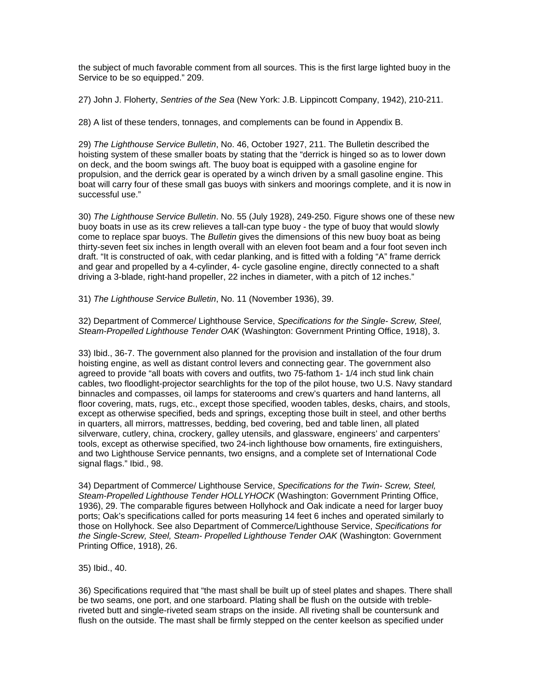the subject of much favorable comment from all sources. This is the first large lighted buoy in the Service to be so equipped." 209.

27) John J. Floherty, *Sentries of the Sea* (New York: J.B. Lippincott Company, 1942), 210-211.

28) A list of these tenders, tonnages, and complements can be found in Appendix B.

29) *The Lighthouse Service Bulletin*, No. 46, October 1927, 211. The Bulletin described the hoisting system of these smaller boats by stating that the "derrick is hinged so as to lower down on deck, and the boom swings aft. The buoy boat is equipped with a gasoline engine for propulsion, and the derrick gear is operated by a winch driven by a small gasoline engine. This boat will carry four of these small gas buoys with sinkers and moorings complete, and it is now in successful use."

30) *The Lighthouse Service Bulletin*. No. 55 (July 1928), 249-250. Figure shows one of these new buoy boats in use as its crew relieves a tall-can type buoy - the type of buoy that would slowly come to replace spar buoys. The *Bulletin* gives the dimensions of this new buoy boat as being thirty-seven feet six inches in length overall with an eleven foot beam and a four foot seven inch draft. "It is constructed of oak, with cedar planking, and is fitted with a folding "A" frame derrick and gear and propelled by a 4-cylinder, 4- cycle gasoline engine, directly connected to a shaft driving a 3-blade, right-hand propeller, 22 inches in diameter, with a pitch of 12 inches."

31) *The Lighthouse Service Bulletin*, No. 11 (November 1936), 39.

32) Department of Commerce/ Lighthouse Service, *Specifications for the Single- Screw, Steel, Steam-Propelled Lighthouse Tender OAK* (Washington: Government Printing Office, 1918), 3.

33) Ibid., 36-7. The government also planned for the provision and installation of the four drum hoisting engine, as well as distant control levers and connecting gear. The government also agreed to provide "all boats with covers and outfits, two 75-fathom 1- 1/4 inch stud link chain cables, two floodlight-projector searchlights for the top of the pilot house, two U.S. Navy standard binnacles and compasses, oil lamps for staterooms and crew's quarters and hand lanterns, all floor covering, mats, rugs, etc., except those specified, wooden tables, desks, chairs, and stools, except as otherwise specified, beds and springs, excepting those built in steel, and other berths in quarters, all mirrors, mattresses, bedding, bed covering, bed and table linen, all plated silverware, cutlery, china, crockery, galley utensils, and glassware, engineers' and carpenters' tools, except as otherwise specified, two 24-inch lighthouse bow ornaments, fire extinguishers, and two Lighthouse Service pennants, two ensigns, and a complete set of International Code signal flags." Ibid., 98.

34) Department of Commerce/ Lighthouse Service, *Specifications for the Twin- Screw, Steel, Steam-Propelled Lighthouse Tender HOLLYHOCK* (Washington: Government Printing Office, 1936), 29. The comparable figures between Hollyhock and Oak indicate a need for larger buoy ports; Oak's specifications called for ports measuring 14 feet 6 inches and operated similarly to those on Hollyhock. See also Department of Commerce/Lighthouse Service, *Specifications for the Single-Screw, Steel, Steam- Propelled Lighthouse Tender OAK* (Washington: Government Printing Office, 1918), 26.

35) Ibid., 40.

36) Specifications required that "the mast shall be built up of steel plates and shapes. There shall be two seams, one port, and one starboard. Plating shall be flush on the outside with trebleriveted butt and single-riveted seam straps on the inside. All riveting shall be countersunk and flush on the outside. The mast shall be firmly stepped on the center keelson as specified under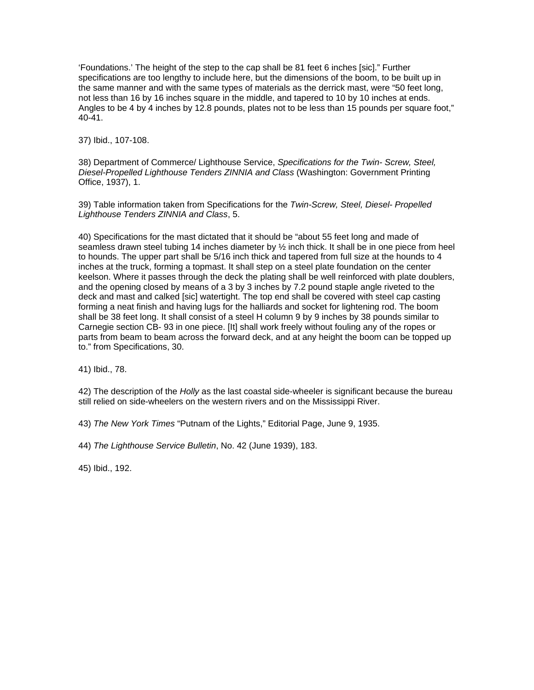'Foundations.' The height of the step to the cap shall be 81 feet 6 inches [sic]." Further specifications are too lengthy to include here, but the dimensions of the boom, to be built up in the same manner and with the same types of materials as the derrick mast, were "50 feet long, not less than 16 by 16 inches square in the middle, and tapered to 10 by 10 inches at ends. Angles to be 4 by 4 inches by 12.8 pounds, plates not to be less than 15 pounds per square foot," 40-41.

37) Ibid., 107-108.

38) Department of Commerce/ Lighthouse Service, *Specifications for the Twin- Screw, Steel, Diesel-Propelled Lighthouse Tenders ZINNIA and Class* (Washington: Government Printing Office, 1937), 1.

39) Table information taken from Specifications for the *Twin-Screw, Steel, Diesel- Propelled Lighthouse Tenders ZINNIA and Class*, 5.

40) Specifications for the mast dictated that it should be "about 55 feet long and made of seamless drawn steel tubing 14 inches diameter by ½ inch thick. It shall be in one piece from heel to hounds. The upper part shall be 5/16 inch thick and tapered from full size at the hounds to 4 inches at the truck, forming a topmast. It shall step on a steel plate foundation on the center keelson. Where it passes through the deck the plating shall be well reinforced with plate doublers, and the opening closed by means of a 3 by 3 inches by 7.2 pound staple angle riveted to the deck and mast and calked [sic] watertight. The top end shall be covered with steel cap casting forming a neat finish and having lugs for the halliards and socket for lightening rod. The boom shall be 38 feet long. It shall consist of a steel H column 9 by 9 inches by 38 pounds similar to Carnegie section CB- 93 in one piece. [It] shall work freely without fouling any of the ropes or parts from beam to beam across the forward deck, and at any height the boom can be topped up to." from Specifications, 30.

41) Ibid., 78.

42) The description of the *Holly* as the last coastal side-wheeler is significant because the bureau still relied on side-wheelers on the western rivers and on the Mississippi River.

43) *The New York Times* "Putnam of the Lights," Editorial Page, June 9, 1935.

44) *The Lighthouse Service Bulletin*, No. 42 (June 1939), 183.

45) Ibid., 192.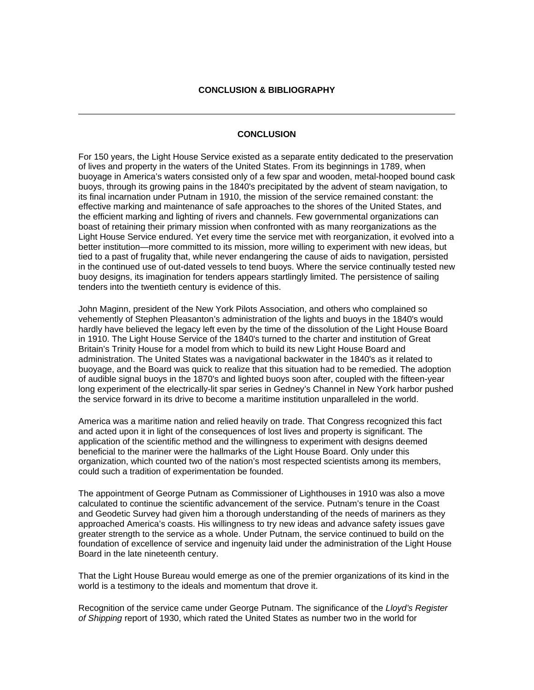# **CONCLUSION**

For 150 years, the Light House Service existed as a separate entity dedicated to the preservation of lives and property in the waters of the United States. From its beginnings in 1789, when buoyage in America's waters consisted only of a few spar and wooden, metal-hooped bound cask buoys, through its growing pains in the 1840's precipitated by the advent of steam navigation, to its final incarnation under Putnam in 1910, the mission of the service remained constant: the effective marking and maintenance of safe approaches to the shores of the United States, and the efficient marking and lighting of rivers and channels. Few governmental organizations can boast of retaining their primary mission when confronted with as many reorganizations as the Light House Service endured. Yet every time the service met with reorganization, it evolved into a better institution—more committed to its mission, more willing to experiment with new ideas, but tied to a past of frugality that, while never endangering the cause of aids to navigation, persisted in the continued use of out-dated vessels to tend buoys. Where the service continually tested new buoy designs, its imagination for tenders appears startlingly limited. The persistence of sailing tenders into the twentieth century is evidence of this.

John Maginn, president of the New York Pilots Association, and others who complained so vehemently of Stephen Pleasanton's administration of the lights and buoys in the 1840's would hardly have believed the legacy left even by the time of the dissolution of the Light House Board in 1910. The Light House Service of the 1840's turned to the charter and institution of Great Britain's Trinity House for a model from which to build its new Light House Board and administration. The United States was a navigational backwater in the 1840's as it related to buoyage, and the Board was quick to realize that this situation had to be remedied. The adoption of audible signal buoys in the 1870's and lighted buoys soon after, coupled with the fifteen-year long experiment of the electrically-lit spar series in Gedney's Channel in New York harbor pushed the service forward in its drive to become a maritime institution unparalleled in the world.

America was a maritime nation and relied heavily on trade. That Congress recognized this fact and acted upon it in light of the consequences of lost lives and property is significant. The application of the scientific method and the willingness to experiment with designs deemed beneficial to the mariner were the hallmarks of the Light House Board. Only under this organization, which counted two of the nation's most respected scientists among its members, could such a tradition of experimentation be founded.

The appointment of George Putnam as Commissioner of Lighthouses in 1910 was also a move calculated to continue the scientific advancement of the service. Putnam's tenure in the Coast and Geodetic Survey had given him a thorough understanding of the needs of mariners as they approached America's coasts. His willingness to try new ideas and advance safety issues gave greater strength to the service as a whole. Under Putnam, the service continued to build on the foundation of excellence of service and ingenuity laid under the administration of the Light House Board in the late nineteenth century.

That the Light House Bureau would emerge as one of the premier organizations of its kind in the world is a testimony to the ideals and momentum that drove it.

Recognition of the service came under George Putnam. The significance of the *Lloyd's Register of Shipping* report of 1930, which rated the United States as number two in the world for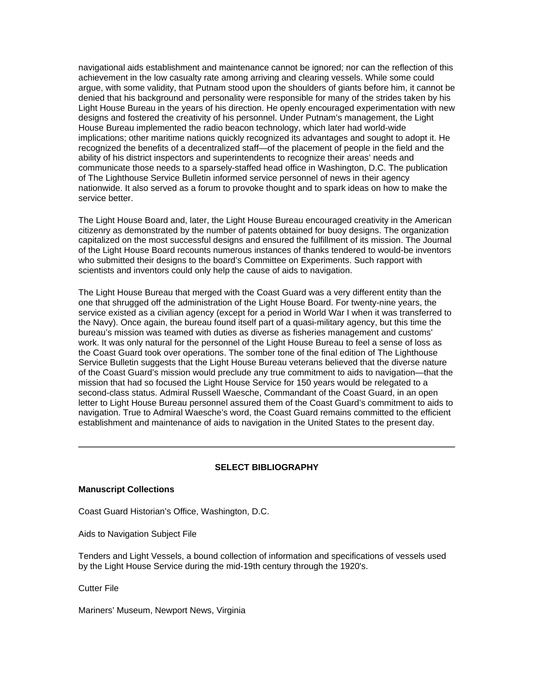navigational aids establishment and maintenance cannot be ignored; nor can the reflection of this achievement in the low casualty rate among arriving and clearing vessels. While some could argue, with some validity, that Putnam stood upon the shoulders of giants before him, it cannot be denied that his background and personality were responsible for many of the strides taken by his Light House Bureau in the years of his direction. He openly encouraged experimentation with new designs and fostered the creativity of his personnel. Under Putnam's management, the Light House Bureau implemented the radio beacon technology, which later had world-wide implications; other maritime nations quickly recognized its advantages and sought to adopt it. He recognized the benefits of a decentralized staff—of the placement of people in the field and the ability of his district inspectors and superintendents to recognize their areas' needs and communicate those needs to a sparsely-staffed head office in Washington, D.C. The publication of The Lighthouse Service Bulletin informed service personnel of news in their agency nationwide. It also served as a forum to provoke thought and to spark ideas on how to make the service better.

The Light House Board and, later, the Light House Bureau encouraged creativity in the American citizenry as demonstrated by the number of patents obtained for buoy designs. The organization capitalized on the most successful designs and ensured the fulfillment of its mission. The Journal of the Light House Board recounts numerous instances of thanks tendered to would-be inventors who submitted their designs to the board's Committee on Experiments. Such rapport with scientists and inventors could only help the cause of aids to navigation.

The Light House Bureau that merged with the Coast Guard was a very different entity than the one that shrugged off the administration of the Light House Board. For twenty-nine years, the service existed as a civilian agency (except for a period in World War I when it was transferred to the Navy). Once again, the bureau found itself part of a quasi-military agency, but this time the bureau's mission was teamed with duties as diverse as fisheries management and customs' work. It was only natural for the personnel of the Light House Bureau to feel a sense of loss as the Coast Guard took over operations. The somber tone of the final edition of The Lighthouse Service Bulletin suggests that the Light House Bureau veterans believed that the diverse nature of the Coast Guard's mission would preclude any true commitment to aids to navigation—that the mission that had so focused the Light House Service for 150 years would be relegated to a second-class status. Admiral Russell Waesche, Commandant of the Coast Guard, in an open letter to Light House Bureau personnel assured them of the Coast Guard's commitment to aids to navigation. True to Admiral Waesche's word, the Coast Guard remains committed to the efficient establishment and maintenance of aids to navigation in the United States to the present day.

### **SELECT BIBLIOGRAPHY**

#### **Manuscript Collections**

Coast Guard Historian's Office, Washington, D.C.

Aids to Navigation Subject File

Tenders and Light Vessels, a bound collection of information and specifications of vessels used by the Light House Service during the mid-19th century through the 1920's.

Cutter File

Mariners' Museum, Newport News, Virginia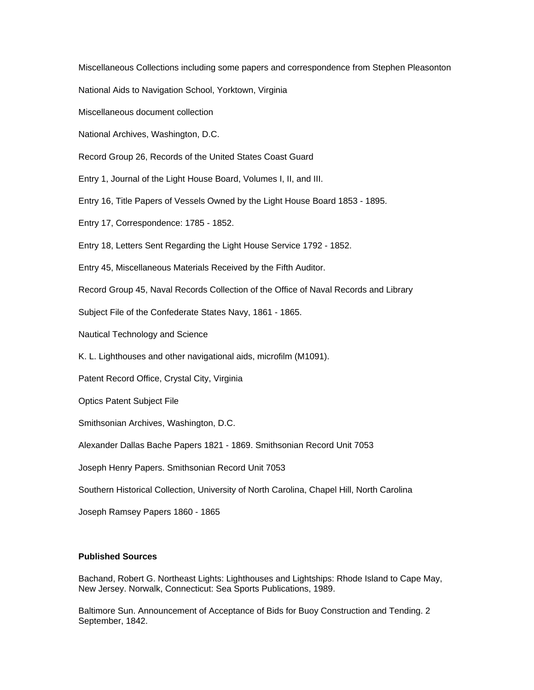Miscellaneous Collections including some papers and correspondence from Stephen Pleasonton

National Aids to Navigation School, Yorktown, Virginia

Miscellaneous document collection

National Archives, Washington, D.C.

Record Group 26, Records of the United States Coast Guard

Entry 1, Journal of the Light House Board, Volumes I, II, and III.

Entry 16, Title Papers of Vessels Owned by the Light House Board 1853 - 1895.

Entry 17, Correspondence: 1785 - 1852.

Entry 18, Letters Sent Regarding the Light House Service 1792 - 1852.

Entry 45, Miscellaneous Materials Received by the Fifth Auditor.

Record Group 45, Naval Records Collection of the Office of Naval Records and Library

Subject File of the Confederate States Navy, 1861 - 1865.

Nautical Technology and Science

K. L. Lighthouses and other navigational aids, microfilm (M1091).

Patent Record Office, Crystal City, Virginia

Optics Patent Subject File

Smithsonian Archives, Washington, D.C.

Alexander Dallas Bache Papers 1821 - 1869. Smithsonian Record Unit 7053

Joseph Henry Papers. Smithsonian Record Unit 7053

Southern Historical Collection, University of North Carolina, Chapel Hill, North Carolina

Joseph Ramsey Papers 1860 - 1865

## **Published Sources**

Bachand, Robert G. Northeast Lights: Lighthouses and Lightships: Rhode Island to Cape May, New Jersey. Norwalk, Connecticut: Sea Sports Publications, 1989.

Baltimore Sun. Announcement of Acceptance of Bids for Buoy Construction and Tending. 2 September, 1842.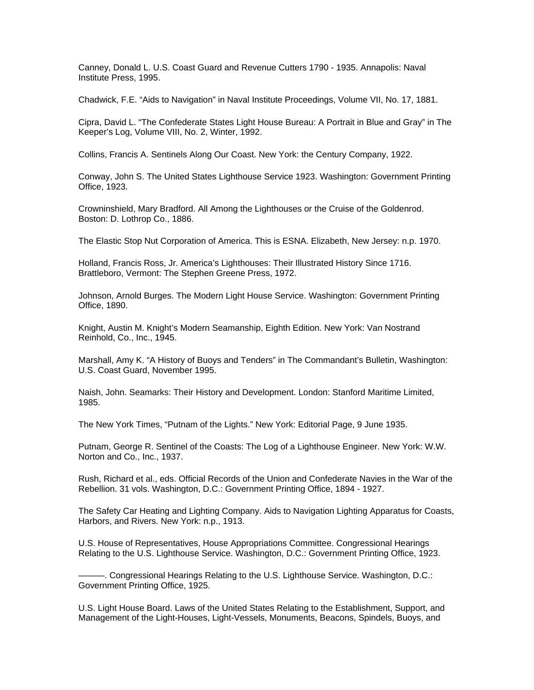Canney, Donald L. U.S. Coast Guard and Revenue Cutters 1790 - 1935. Annapolis: Naval Institute Press, 1995.

Chadwick, F.E. "Aids to Navigation" in Naval Institute Proceedings, Volume VII, No. 17, 1881.

Cipra, David L. "The Confederate States Light House Bureau: A Portrait in Blue and Gray" in The Keeper's Log, Volume VIII, No. 2, Winter, 1992.

Collins, Francis A. Sentinels Along Our Coast. New York: the Century Company, 1922.

Conway, John S. The United States Lighthouse Service 1923. Washington: Government Printing Office, 1923.

Crowninshield, Mary Bradford. All Among the Lighthouses or the Cruise of the Goldenrod. Boston: D. Lothrop Co., 1886.

The Elastic Stop Nut Corporation of America. This is ESNA. Elizabeth, New Jersey: n.p. 1970.

Holland, Francis Ross, Jr. America's Lighthouses: Their Illustrated History Since 1716. Brattleboro, Vermont: The Stephen Greene Press, 1972.

Johnson, Arnold Burges. The Modern Light House Service. Washington: Government Printing Office, 1890.

Knight, Austin M. Knight's Modern Seamanship, Eighth Edition. New York: Van Nostrand Reinhold, Co., Inc., 1945.

Marshall, Amy K. "A History of Buoys and Tenders" in The Commandant's Bulletin, Washington: U.S. Coast Guard, November 1995.

Naish, John. Seamarks: Their History and Development. London: Stanford Maritime Limited, 1985.

The New York Times, "Putnam of the Lights." New York: Editorial Page, 9 June 1935.

Putnam, George R. Sentinel of the Coasts: The Log of a Lighthouse Engineer. New York: W.W. Norton and Co., Inc., 1937.

Rush, Richard et al., eds. Official Records of the Union and Confederate Navies in the War of the Rebellion. 31 vols. Washington, D.C.: Government Printing Office, 1894 - 1927.

The Safety Car Heating and Lighting Company. Aids to Navigation Lighting Apparatus for Coasts, Harbors, and Rivers. New York: n.p., 1913.

U.S. House of Representatives, House Appropriations Committee. Congressional Hearings Relating to the U.S. Lighthouse Service. Washington, D.C.: Government Printing Office, 1923.

———. Congressional Hearings Relating to the U.S. Lighthouse Service. Washington, D.C.: Government Printing Office, 1925.

U.S. Light House Board. Laws of the United States Relating to the Establishment, Support, and Management of the Light-Houses, Light-Vessels, Monuments, Beacons, Spindels, Buoys, and